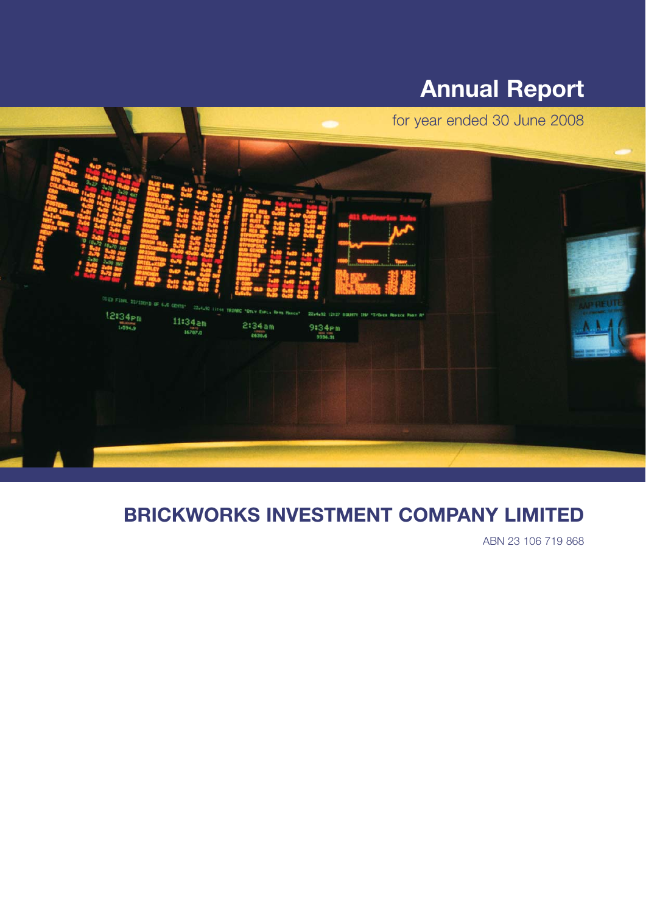# **Annual Report**



# **BRICKWORKS INVESTMENT COMPANY LIMITED**

ABN 23 106 719 868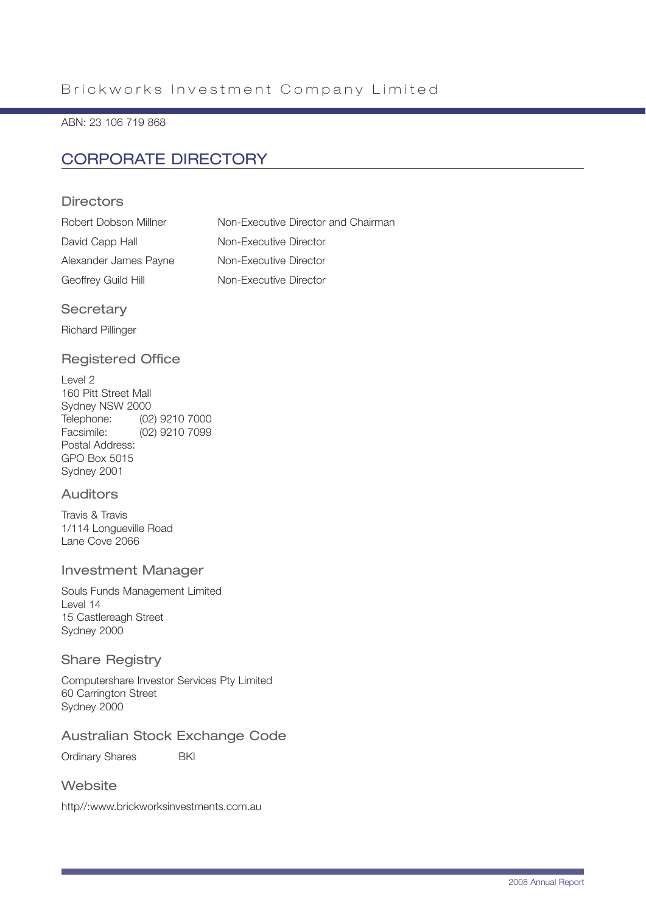ABN: 23 106 719 868

## CORPORATE DIRECTORY

### **Directors**

| Robert Dobson Millner | Non-Executive Director and Chairman |
|-----------------------|-------------------------------------|
| David Capp Hall       | Non-Executive Director              |
| Alexander James Payne | Non-Executive Director              |
| Geoffrey Guild Hill   | Non-Executive Director              |

### **Secretary**

Richard Pillinger

### Registered Office

Level 2 160 Pitt Street Mall Sydney NSW 2000 Telephone: (02) 9210 7000 Facsimile: (02) 9210 7099 Postal Address: GPO Box 5015 Sydney 2001

### Auditors

Travis & Travis 1/114 Longueville Road Lane Cove 2066

#### Investment Manager

Souls Funds Management Limited Level 14 15 Castlereagh Street Sydney 2000

### Share Registry

Computershare Investor Services Pty Limited 60 Carrington Street Sydney 2000

### Australian Stock Exchange Code

Ordinary Shares **BKI** 

### **Website**

http//:www.brickworksinvestments.com.au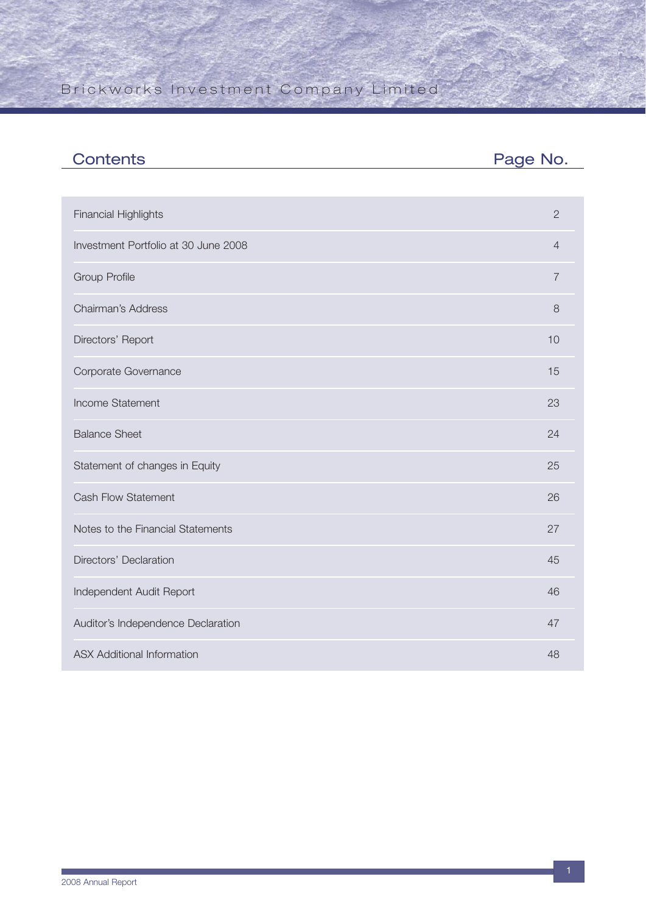| <b>Contents</b>                      | Page No.       |
|--------------------------------------|----------------|
|                                      |                |
| <b>Financial Highlights</b>          | $\mathbf{2}$   |
| Investment Portfolio at 30 June 2008 | $\overline{4}$ |
| <b>Group Profile</b>                 | $\overline{7}$ |
| Chairman's Address                   | 8              |
| Directors' Report                    | 10             |
| Corporate Governance                 | 15             |
| Income Statement                     | 23             |
| <b>Balance Sheet</b>                 | 24             |
| Statement of changes in Equity       | 25             |
| <b>Cash Flow Statement</b>           | 26             |
| Notes to the Financial Statements    | 27             |
| Directors' Declaration               | 45             |
| Independent Audit Report             | 46             |
| Auditor's Independence Declaration   | 47             |
| <b>ASX Additional Information</b>    | 48             |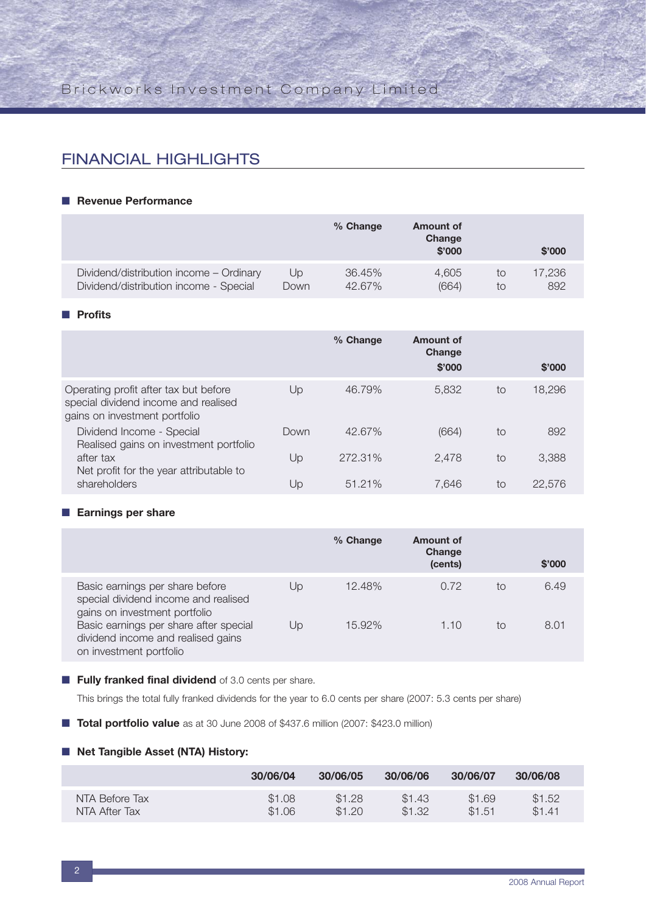## FINANCIAL HIGHLIGHTS

#### ■ **Revenue Performance**

|                                         |      | % Change  | <b>Amount of</b><br>Change<br>\$'000 |    | \$'000 |
|-----------------------------------------|------|-----------|--------------------------------------|----|--------|
| Dividend/distribution income - Ordinary | Up   | 36.45%    | 4.605                                | to | 17,236 |
| Dividend/distribution income - Special  | Down | $42.67\%$ | (664)                                | to | 892    |

#### ■ **Profits**

|                                                                                                                |      | % Change | Amount of<br>Change<br>\$'000 |    | \$'000 |  |
|----------------------------------------------------------------------------------------------------------------|------|----------|-------------------------------|----|--------|--|
| Operating profit after tax but before<br>special dividend income and realised<br>gains on investment portfolio | Up   | 46.79%   | 5.832                         | to | 18,296 |  |
| Dividend Income - Special<br>Realised gains on investment portfolio                                            | Down | 42.67%   | (664)                         | to | 892    |  |
| after tax<br>Net profit for the year attributable to                                                           | Up   | 272.31%  | 2.478                         | to | 3,388  |  |
| shareholders                                                                                                   | Up   | 51.21%   | 7.646                         | to | 22,576 |  |

#### ■ **Earnings per share**

|                                                                                                          |    | % Change | Amount of<br>Change<br>(cents) |    | \$'000 |
|----------------------------------------------------------------------------------------------------------|----|----------|--------------------------------|----|--------|
| Basic earnings per share before<br>special dividend income and realised<br>gains on investment portfolio | Up | 12.48%   | 0.72                           | to | 6.49   |
| Basic earnings per share after special<br>dividend income and realised gains<br>on investment portfolio  | Up | 15.92%   | 1.10                           | to | 8.01   |

#### ■ **Fully franked final dividend** of 3.0 cents per share.

This brings the total fully franked dividends for the year to 6.0 cents per share (2007: 5.3 cents per share)

■ **Total portfolio value** as at 30 June 2008 of \$437.6 million (2007: \$423.0 million)

#### ■ **Net Tangible Asset (NTA) History:**

|                | 30/06/04 | 30/06/05 | 30/06/06 | 30/06/07 | 30/06/08 |
|----------------|----------|----------|----------|----------|----------|
| NTA Before Tax | \$1.08   | \$1.28   | \$1.43   | \$1.69   | \$1.52   |
| NTA After Tax  | \$1.06   | \$1.20   | \$1.32   | \$1.51   | \$141    |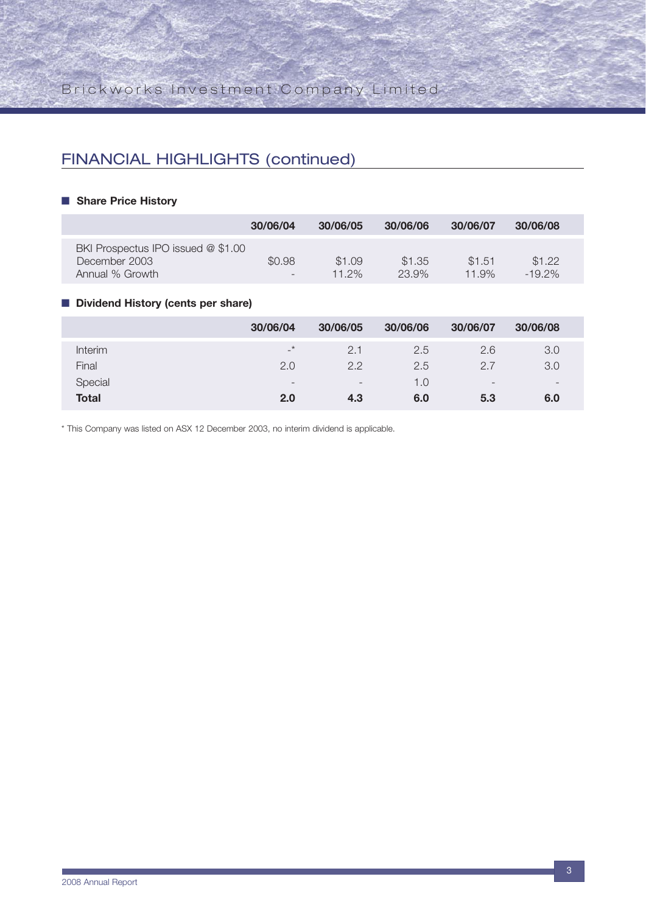## FINANCIAL HIGHLIGHTS (continued)

#### ■ **Share Price History**

|                                                                        | 30/06/04                    | 30/06/05        | 30/06/06        | 30/06/07        | 30/06/08          |
|------------------------------------------------------------------------|-----------------------------|-----------------|-----------------|-----------------|-------------------|
| BKI Prospectus IPO issued @ \$1.00<br>December 2003<br>Annual % Growth | \$0.98<br>$\qquad \qquad -$ | \$1.09<br>11 2% | \$1.35<br>23.9% | \$1.51<br>11.9% | \$1.22<br>$-192%$ |

### ■ **Dividend History (cents per share)**

|              | 30/06/04                 | 30/06/05                     | 30/06/06 | 30/06/07                 | 30/06/08                 |
|--------------|--------------------------|------------------------------|----------|--------------------------|--------------------------|
| Interim      | $\rightarrow$            | 2.1                          | 2.5      | 2.6                      | 3.0                      |
| Final        | 2.0                      | 2.2                          | 2.5      | 2.7                      | 3.0                      |
| Special      | $\overline{\phantom{0}}$ | $\qquad \qquad \blacksquare$ | 1.0      | $\overline{\phantom{0}}$ | $\overline{\phantom{0}}$ |
| <b>Total</b> | 2.0                      | 4.3                          | 6.0      | 5.3                      | 6.0                      |

\* This Company was listed on ASX 12 December 2003, no interim dividend is applicable.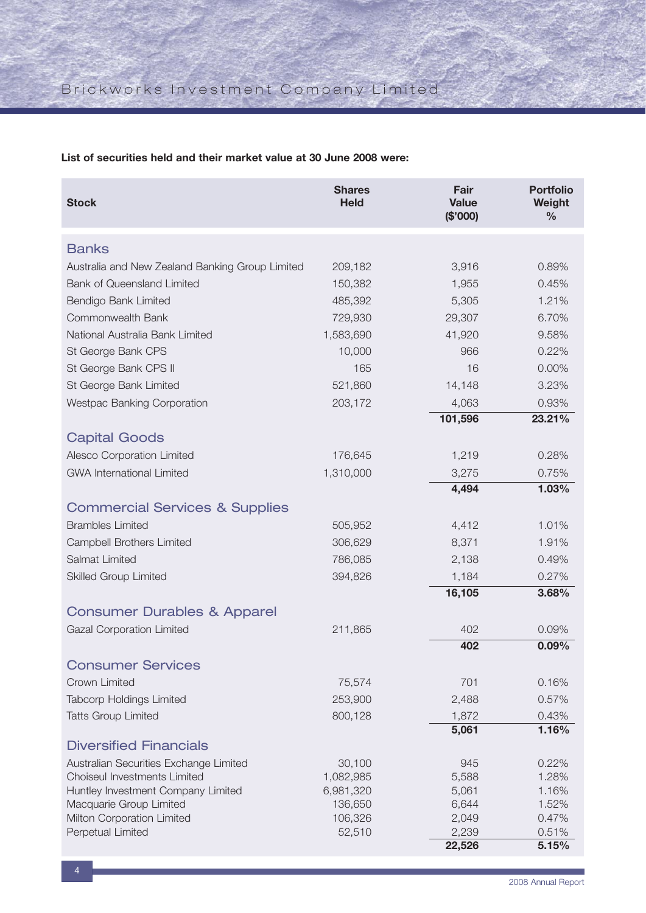**List of securities held and their market value at 30 June 2008 were:**

| <b>Stock</b>                                    | <b>Shares</b><br><b>Held</b> | Fair<br><b>Value</b><br>(\$'000) | <b>Portfolio</b><br>Weight<br>$\frac{0}{0}$ |
|-------------------------------------------------|------------------------------|----------------------------------|---------------------------------------------|
| <b>Banks</b>                                    |                              |                                  |                                             |
| Australia and New Zealand Banking Group Limited | 209,182                      | 3,916                            | 0.89%                                       |
| <b>Bank of Queensland Limited</b>               | 150,382                      | 1,955                            | 0.45%                                       |
|                                                 |                              |                                  | 1.21%                                       |
| Bendigo Bank Limited                            | 485,392                      | 5,305                            |                                             |
| Commonwealth Bank                               | 729,930                      | 29,307                           | 6.70%                                       |
| National Australia Bank Limited                 | 1,583,690                    | 41,920                           | 9.58%                                       |
| St George Bank CPS                              | 10,000                       | 966                              | 0.22%                                       |
| St George Bank CPS II                           | 165                          | 16                               | 0.00%                                       |
| St George Bank Limited                          | 521,860                      | 14,148                           | 3.23%                                       |
| Westpac Banking Corporation                     | 203,172                      | 4,063                            | 0.93%                                       |
|                                                 |                              | 101,596                          | 23.21%                                      |
| <b>Capital Goods</b>                            |                              |                                  |                                             |
| Alesco Corporation Limited                      | 176,645                      | 1,219                            | 0.28%                                       |
| <b>GWA International Limited</b>                | 1,310,000                    | 3,275                            | 0.75%                                       |
|                                                 |                              | 4,494                            | 1.03%                                       |
| <b>Commercial Services &amp; Supplies</b>       |                              |                                  |                                             |
| <b>Brambles Limited</b>                         | 505,952                      | 4,412                            | 1.01%                                       |
| Campbell Brothers Limited                       | 306,629                      | 8,371                            | 1.91%                                       |
| <b>Salmat Limited</b>                           | 786,085                      | 2,138                            | 0.49%                                       |
| <b>Skilled Group Limited</b>                    | 394,826                      | 1,184                            | 0.27%                                       |
|                                                 |                              | 16,105                           | 3.68%                                       |
| <b>Consumer Durables &amp; Apparel</b>          |                              |                                  |                                             |
| <b>Gazal Corporation Limited</b>                | 211,865                      | 402                              | 0.09%                                       |
|                                                 |                              | 402                              | 0.09%                                       |
| <b>Consumer Services</b>                        |                              |                                  |                                             |
| Crown Limited                                   | 75,574                       | 701                              | 0.16%                                       |
| <b>Tabcorp Holdings Limited</b>                 | 253,900                      | 2,488                            | 0.57%                                       |
| <b>Tatts Group Limited</b>                      | 800,128                      | 1,872                            | 0.43%                                       |
|                                                 |                              | 5,061                            | 1.16%                                       |
| <b>Diversified Financials</b>                   |                              |                                  |                                             |
| Australian Securities Exchange Limited          | 30,100                       | 945                              | 0.22%                                       |
| Choiseul Investments Limited                    | 1,082,985                    | 5,588                            | 1.28%                                       |
| Huntley Investment Company Limited              | 6,981,320                    | 5,061                            | 1.16%                                       |
| Macquarie Group Limited                         | 136,650                      | 6,644                            | 1.52%                                       |
| Milton Corporation Limited<br>Perpetual Limited | 106,326<br>52,510            | 2,049<br>2,239                   | 0.47%<br>0.51%                              |
|                                                 |                              | 22,526                           | 5.15%                                       |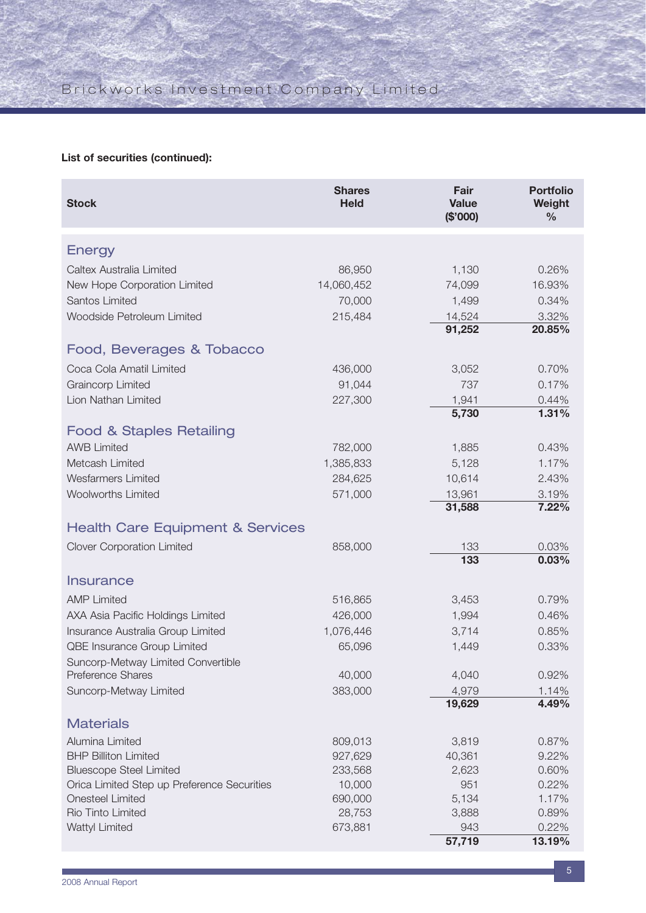## **List of securities (continued):**

| Energy<br>Caltex Australia Limited<br>86,950<br>1,130<br>0.26%<br>14,060,452<br>New Hope Corporation Limited<br>74,099<br>16.93%<br>Santos Limited<br>70,000<br>1,499<br>0.34%<br>215,484<br>14,524<br>3.32%<br>Woodside Petroleum Limited<br>91,252<br>20.85%<br>Food, Beverages & Tobacco<br>Coca Cola Amatil Limited<br>436,000<br>3,052<br>0.70%<br>Graincorp Limited<br>91,044<br>737<br>0.17%<br>Lion Nathan Limited<br>227,300<br>1,941<br>0.44%<br>5,730<br>1.31%<br><b>Food &amp; Staples Retailing</b><br><b>AWB Limited</b><br>782,000<br>0.43%<br>1,885<br>Metcash Limited<br>1,385,833<br>5,128<br>1.17%<br><b>Wesfarmers Limited</b><br>284,625<br>10,614<br>2.43%<br><b>Woolworths Limited</b><br>571,000<br>13,961<br>3.19%<br>7.22%<br>31,588<br><b>Health Care Equipment &amp; Services</b><br><b>Clover Corporation Limited</b><br>858,000<br>133<br>0.03%<br>133<br>0.03%<br>Insurance<br><b>AMP Limited</b><br>516,865<br>0.79%<br>3,453<br>426,000<br>AXA Asia Pacific Holdings Limited<br>1,994<br>0.46%<br>Insurance Australia Group Limited<br>1,076,446<br>3,714<br>0.85%<br>QBE Insurance Group Limited<br>65,096<br>1,449<br>0.33%<br>Suncorp-Metway Limited Convertible<br>Preference Shares<br>40,000<br>4,040<br>0.92%<br>383,000<br>4,979<br>Suncorp-Metway Limited<br>1.14%<br>4.49%<br>19,629<br><b>Materials</b><br>Alumina Limited<br>3,819<br>809,013<br>0.87%<br><b>BHP Billiton Limited</b><br>927,629<br>40,361<br>9.22%<br><b>Bluescope Steel Limited</b><br>233,568<br>2,623<br>0.60%<br>Orica Limited Step up Preference Securities<br>10,000<br>951<br>0.22%<br><b>Onesteel Limited</b><br>690,000<br>5,134<br>1.17%<br>Rio Tinto Limited<br>28,753<br>0.89%<br>3,888<br>Wattyl Limited<br>673,881<br>943<br>0.22%<br>57,719<br>13.19% | <b>Stock</b> | <b>Shares</b><br><b>Held</b> | Fair<br><b>Value</b><br>(\$'000) | <b>Portfolio</b><br>Weight<br>$\frac{0}{0}$ |
|------------------------------------------------------------------------------------------------------------------------------------------------------------------------------------------------------------------------------------------------------------------------------------------------------------------------------------------------------------------------------------------------------------------------------------------------------------------------------------------------------------------------------------------------------------------------------------------------------------------------------------------------------------------------------------------------------------------------------------------------------------------------------------------------------------------------------------------------------------------------------------------------------------------------------------------------------------------------------------------------------------------------------------------------------------------------------------------------------------------------------------------------------------------------------------------------------------------------------------------------------------------------------------------------------------------------------------------------------------------------------------------------------------------------------------------------------------------------------------------------------------------------------------------------------------------------------------------------------------------------------------------------------------------------------------------------------------------------------------------------------------------------------------|--------------|------------------------------|----------------------------------|---------------------------------------------|
|                                                                                                                                                                                                                                                                                                                                                                                                                                                                                                                                                                                                                                                                                                                                                                                                                                                                                                                                                                                                                                                                                                                                                                                                                                                                                                                                                                                                                                                                                                                                                                                                                                                                                                                                                                                    |              |                              |                                  |                                             |
|                                                                                                                                                                                                                                                                                                                                                                                                                                                                                                                                                                                                                                                                                                                                                                                                                                                                                                                                                                                                                                                                                                                                                                                                                                                                                                                                                                                                                                                                                                                                                                                                                                                                                                                                                                                    |              |                              |                                  |                                             |
|                                                                                                                                                                                                                                                                                                                                                                                                                                                                                                                                                                                                                                                                                                                                                                                                                                                                                                                                                                                                                                                                                                                                                                                                                                                                                                                                                                                                                                                                                                                                                                                                                                                                                                                                                                                    |              |                              |                                  |                                             |
|                                                                                                                                                                                                                                                                                                                                                                                                                                                                                                                                                                                                                                                                                                                                                                                                                                                                                                                                                                                                                                                                                                                                                                                                                                                                                                                                                                                                                                                                                                                                                                                                                                                                                                                                                                                    |              |                              |                                  |                                             |
|                                                                                                                                                                                                                                                                                                                                                                                                                                                                                                                                                                                                                                                                                                                                                                                                                                                                                                                                                                                                                                                                                                                                                                                                                                                                                                                                                                                                                                                                                                                                                                                                                                                                                                                                                                                    |              |                              |                                  |                                             |
|                                                                                                                                                                                                                                                                                                                                                                                                                                                                                                                                                                                                                                                                                                                                                                                                                                                                                                                                                                                                                                                                                                                                                                                                                                                                                                                                                                                                                                                                                                                                                                                                                                                                                                                                                                                    |              |                              |                                  |                                             |
|                                                                                                                                                                                                                                                                                                                                                                                                                                                                                                                                                                                                                                                                                                                                                                                                                                                                                                                                                                                                                                                                                                                                                                                                                                                                                                                                                                                                                                                                                                                                                                                                                                                                                                                                                                                    |              |                              |                                  |                                             |
|                                                                                                                                                                                                                                                                                                                                                                                                                                                                                                                                                                                                                                                                                                                                                                                                                                                                                                                                                                                                                                                                                                                                                                                                                                                                                                                                                                                                                                                                                                                                                                                                                                                                                                                                                                                    |              |                              |                                  |                                             |
|                                                                                                                                                                                                                                                                                                                                                                                                                                                                                                                                                                                                                                                                                                                                                                                                                                                                                                                                                                                                                                                                                                                                                                                                                                                                                                                                                                                                                                                                                                                                                                                                                                                                                                                                                                                    |              |                              |                                  |                                             |
|                                                                                                                                                                                                                                                                                                                                                                                                                                                                                                                                                                                                                                                                                                                                                                                                                                                                                                                                                                                                                                                                                                                                                                                                                                                                                                                                                                                                                                                                                                                                                                                                                                                                                                                                                                                    |              |                              |                                  |                                             |
|                                                                                                                                                                                                                                                                                                                                                                                                                                                                                                                                                                                                                                                                                                                                                                                                                                                                                                                                                                                                                                                                                                                                                                                                                                                                                                                                                                                                                                                                                                                                                                                                                                                                                                                                                                                    |              |                              |                                  |                                             |
|                                                                                                                                                                                                                                                                                                                                                                                                                                                                                                                                                                                                                                                                                                                                                                                                                                                                                                                                                                                                                                                                                                                                                                                                                                                                                                                                                                                                                                                                                                                                                                                                                                                                                                                                                                                    |              |                              |                                  |                                             |
|                                                                                                                                                                                                                                                                                                                                                                                                                                                                                                                                                                                                                                                                                                                                                                                                                                                                                                                                                                                                                                                                                                                                                                                                                                                                                                                                                                                                                                                                                                                                                                                                                                                                                                                                                                                    |              |                              |                                  |                                             |
|                                                                                                                                                                                                                                                                                                                                                                                                                                                                                                                                                                                                                                                                                                                                                                                                                                                                                                                                                                                                                                                                                                                                                                                                                                                                                                                                                                                                                                                                                                                                                                                                                                                                                                                                                                                    |              |                              |                                  |                                             |
|                                                                                                                                                                                                                                                                                                                                                                                                                                                                                                                                                                                                                                                                                                                                                                                                                                                                                                                                                                                                                                                                                                                                                                                                                                                                                                                                                                                                                                                                                                                                                                                                                                                                                                                                                                                    |              |                              |                                  |                                             |
|                                                                                                                                                                                                                                                                                                                                                                                                                                                                                                                                                                                                                                                                                                                                                                                                                                                                                                                                                                                                                                                                                                                                                                                                                                                                                                                                                                                                                                                                                                                                                                                                                                                                                                                                                                                    |              |                              |                                  |                                             |
|                                                                                                                                                                                                                                                                                                                                                                                                                                                                                                                                                                                                                                                                                                                                                                                                                                                                                                                                                                                                                                                                                                                                                                                                                                                                                                                                                                                                                                                                                                                                                                                                                                                                                                                                                                                    |              |                              |                                  |                                             |
|                                                                                                                                                                                                                                                                                                                                                                                                                                                                                                                                                                                                                                                                                                                                                                                                                                                                                                                                                                                                                                                                                                                                                                                                                                                                                                                                                                                                                                                                                                                                                                                                                                                                                                                                                                                    |              |                              |                                  |                                             |
|                                                                                                                                                                                                                                                                                                                                                                                                                                                                                                                                                                                                                                                                                                                                                                                                                                                                                                                                                                                                                                                                                                                                                                                                                                                                                                                                                                                                                                                                                                                                                                                                                                                                                                                                                                                    |              |                              |                                  |                                             |
|                                                                                                                                                                                                                                                                                                                                                                                                                                                                                                                                                                                                                                                                                                                                                                                                                                                                                                                                                                                                                                                                                                                                                                                                                                                                                                                                                                                                                                                                                                                                                                                                                                                                                                                                                                                    |              |                              |                                  |                                             |
|                                                                                                                                                                                                                                                                                                                                                                                                                                                                                                                                                                                                                                                                                                                                                                                                                                                                                                                                                                                                                                                                                                                                                                                                                                                                                                                                                                                                                                                                                                                                                                                                                                                                                                                                                                                    |              |                              |                                  |                                             |
|                                                                                                                                                                                                                                                                                                                                                                                                                                                                                                                                                                                                                                                                                                                                                                                                                                                                                                                                                                                                                                                                                                                                                                                                                                                                                                                                                                                                                                                                                                                                                                                                                                                                                                                                                                                    |              |                              |                                  |                                             |
|                                                                                                                                                                                                                                                                                                                                                                                                                                                                                                                                                                                                                                                                                                                                                                                                                                                                                                                                                                                                                                                                                                                                                                                                                                                                                                                                                                                                                                                                                                                                                                                                                                                                                                                                                                                    |              |                              |                                  |                                             |
|                                                                                                                                                                                                                                                                                                                                                                                                                                                                                                                                                                                                                                                                                                                                                                                                                                                                                                                                                                                                                                                                                                                                                                                                                                                                                                                                                                                                                                                                                                                                                                                                                                                                                                                                                                                    |              |                              |                                  |                                             |
|                                                                                                                                                                                                                                                                                                                                                                                                                                                                                                                                                                                                                                                                                                                                                                                                                                                                                                                                                                                                                                                                                                                                                                                                                                                                                                                                                                                                                                                                                                                                                                                                                                                                                                                                                                                    |              |                              |                                  |                                             |
|                                                                                                                                                                                                                                                                                                                                                                                                                                                                                                                                                                                                                                                                                                                                                                                                                                                                                                                                                                                                                                                                                                                                                                                                                                                                                                                                                                                                                                                                                                                                                                                                                                                                                                                                                                                    |              |                              |                                  |                                             |
|                                                                                                                                                                                                                                                                                                                                                                                                                                                                                                                                                                                                                                                                                                                                                                                                                                                                                                                                                                                                                                                                                                                                                                                                                                                                                                                                                                                                                                                                                                                                                                                                                                                                                                                                                                                    |              |                              |                                  |                                             |
|                                                                                                                                                                                                                                                                                                                                                                                                                                                                                                                                                                                                                                                                                                                                                                                                                                                                                                                                                                                                                                                                                                                                                                                                                                                                                                                                                                                                                                                                                                                                                                                                                                                                                                                                                                                    |              |                              |                                  |                                             |
|                                                                                                                                                                                                                                                                                                                                                                                                                                                                                                                                                                                                                                                                                                                                                                                                                                                                                                                                                                                                                                                                                                                                                                                                                                                                                                                                                                                                                                                                                                                                                                                                                                                                                                                                                                                    |              |                              |                                  |                                             |
|                                                                                                                                                                                                                                                                                                                                                                                                                                                                                                                                                                                                                                                                                                                                                                                                                                                                                                                                                                                                                                                                                                                                                                                                                                                                                                                                                                                                                                                                                                                                                                                                                                                                                                                                                                                    |              |                              |                                  |                                             |
|                                                                                                                                                                                                                                                                                                                                                                                                                                                                                                                                                                                                                                                                                                                                                                                                                                                                                                                                                                                                                                                                                                                                                                                                                                                                                                                                                                                                                                                                                                                                                                                                                                                                                                                                                                                    |              |                              |                                  |                                             |
|                                                                                                                                                                                                                                                                                                                                                                                                                                                                                                                                                                                                                                                                                                                                                                                                                                                                                                                                                                                                                                                                                                                                                                                                                                                                                                                                                                                                                                                                                                                                                                                                                                                                                                                                                                                    |              |                              |                                  |                                             |
|                                                                                                                                                                                                                                                                                                                                                                                                                                                                                                                                                                                                                                                                                                                                                                                                                                                                                                                                                                                                                                                                                                                                                                                                                                                                                                                                                                                                                                                                                                                                                                                                                                                                                                                                                                                    |              |                              |                                  |                                             |
|                                                                                                                                                                                                                                                                                                                                                                                                                                                                                                                                                                                                                                                                                                                                                                                                                                                                                                                                                                                                                                                                                                                                                                                                                                                                                                                                                                                                                                                                                                                                                                                                                                                                                                                                                                                    |              |                              |                                  |                                             |
|                                                                                                                                                                                                                                                                                                                                                                                                                                                                                                                                                                                                                                                                                                                                                                                                                                                                                                                                                                                                                                                                                                                                                                                                                                                                                                                                                                                                                                                                                                                                                                                                                                                                                                                                                                                    |              |                              |                                  |                                             |
|                                                                                                                                                                                                                                                                                                                                                                                                                                                                                                                                                                                                                                                                                                                                                                                                                                                                                                                                                                                                                                                                                                                                                                                                                                                                                                                                                                                                                                                                                                                                                                                                                                                                                                                                                                                    |              |                              |                                  |                                             |
|                                                                                                                                                                                                                                                                                                                                                                                                                                                                                                                                                                                                                                                                                                                                                                                                                                                                                                                                                                                                                                                                                                                                                                                                                                                                                                                                                                                                                                                                                                                                                                                                                                                                                                                                                                                    |              |                              |                                  |                                             |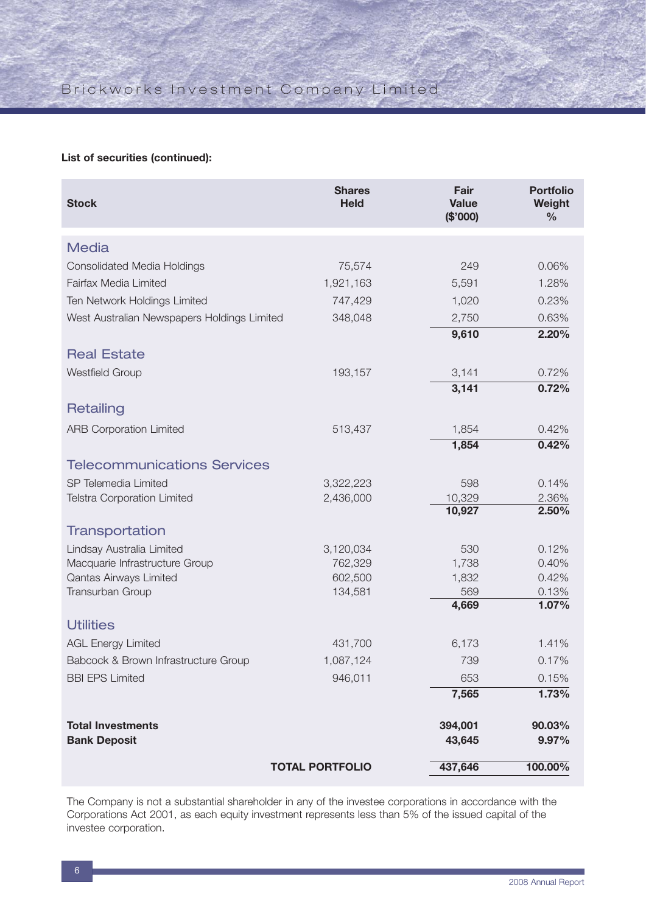### **List of securities (continued):**

| <b>Stock</b>                                | <b>Shares</b><br><b>Held</b> | Fair<br><b>Value</b><br>(\$'000) | <b>Portfolio</b><br>Weight<br>$\frac{0}{0}$ |
|---------------------------------------------|------------------------------|----------------------------------|---------------------------------------------|
| <b>Media</b>                                |                              |                                  |                                             |
| <b>Consolidated Media Holdings</b>          | 75,574                       | 249                              | 0.06%                                       |
| Fairfax Media Limited                       | 1,921,163                    | 5,591                            | 1.28%                                       |
| Ten Network Holdings Limited                | 747,429                      | 1,020                            | 0.23%                                       |
| West Australian Newspapers Holdings Limited | 348,048                      | 2,750                            | 0.63%                                       |
|                                             |                              | 9,610                            | 2.20%                                       |
| <b>Real Estate</b>                          |                              |                                  |                                             |
| <b>Westfield Group</b>                      | 193,157                      | 3,141                            | 0.72%                                       |
|                                             |                              | 3,141                            | 0.72%                                       |
| Retailing                                   |                              |                                  |                                             |
| <b>ARB Corporation Limited</b>              | 513,437                      | 1,854                            | 0.42%                                       |
|                                             |                              | 1,854                            | 0.42%                                       |
| <b>Telecommunications Services</b>          |                              |                                  |                                             |
| SP Telemedia Limited                        | 3,322,223                    | 598                              | 0.14%                                       |
| <b>Telstra Corporation Limited</b>          | 2,436,000                    | 10,329                           | 2.36%                                       |
|                                             |                              | 10,927                           | 2.50%                                       |
| Transportation                              |                              |                                  |                                             |
| Lindsay Australia Limited                   | 3,120,034                    | 530                              | 0.12%                                       |
| Macquarie Infrastructure Group              | 762,329                      | 1,738                            | 0.40%                                       |
| Qantas Airways Limited                      | 602,500                      | 1,832                            | 0.42%                                       |
| Transurban Group                            | 134,581                      | 569<br>4,669                     | 0.13%<br>1.07%                              |
|                                             |                              |                                  |                                             |
| <b>Utilities</b>                            |                              |                                  |                                             |
| <b>AGL Energy Limited</b>                   | 431,700                      | 6,173                            | 1.41%                                       |
| Babcock & Brown Infrastructure Group        | 1,087,124                    | 739                              | 0.17%                                       |
| <b>BBI EPS Limited</b>                      | 946,011                      | 653                              | 0.15%                                       |
|                                             |                              | 7,565                            | 1.73%                                       |
| <b>Total Investments</b>                    |                              | 394,001                          | 90.03%                                      |
| <b>Bank Deposit</b>                         |                              | 43,645                           | 9.97%                                       |
|                                             | <b>TOTAL PORTFOLIO</b>       | 437,646                          | 100.00%                                     |

The Company is not a substantial shareholder in any of the investee corporations in accordance with the Corporations Act 2001, as each equity investment represents less than 5% of the issued capital of the investee corporation.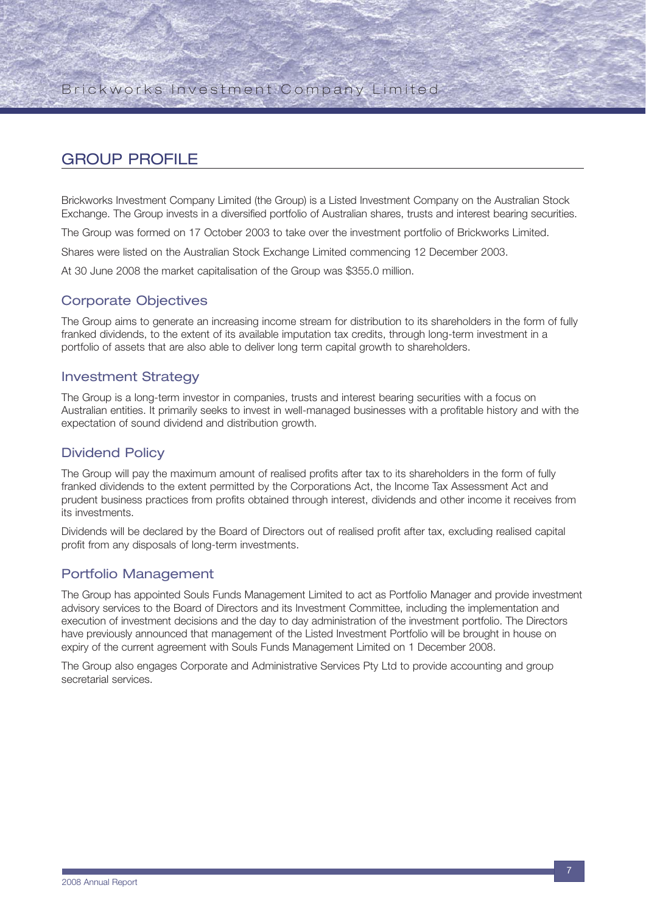## GROUP PROFILE

Brickworks Investment Company Limited (the Group) is a Listed Investment Company on the Australian Stock Exchange. The Group invests in a diversified portfolio of Australian shares, trusts and interest bearing securities.

The Group was formed on 17 October 2003 to take over the investment portfolio of Brickworks Limited.

Shares were listed on the Australian Stock Exchange Limited commencing 12 December 2003.

At 30 June 2008 the market capitalisation of the Group was \$355.0 million.

### Corporate Objectives

The Group aims to generate an increasing income stream for distribution to its shareholders in the form of fully franked dividends, to the extent of its available imputation tax credits, through long-term investment in a portfolio of assets that are also able to deliver long term capital growth to shareholders.

### Investment Strategy

The Group is a long-term investor in companies, trusts and interest bearing securities with a focus on Australian entities. It primarily seeks to invest in well-managed businesses with a profitable history and with the expectation of sound dividend and distribution growth.

### Dividend Policy

The Group will pay the maximum amount of realised profits after tax to its shareholders in the form of fully franked dividends to the extent permitted by the Corporations Act, the Income Tax Assessment Act and prudent business practices from profits obtained through interest, dividends and other income it receives from its investments.

Dividends will be declared by the Board of Directors out of realised profit after tax, excluding realised capital profit from any disposals of long-term investments.

### Portfolio Management

The Group has appointed Souls Funds Management Limited to act as Portfolio Manager and provide investment advisory services to the Board of Directors and its Investment Committee, including the implementation and execution of investment decisions and the day to day administration of the investment portfolio. The Directors have previously announced that management of the Listed Investment Portfolio will be brought in house on expiry of the current agreement with Souls Funds Management Limited on 1 December 2008.

The Group also engages Corporate and Administrative Services Pty Ltd to provide accounting and group secretarial services.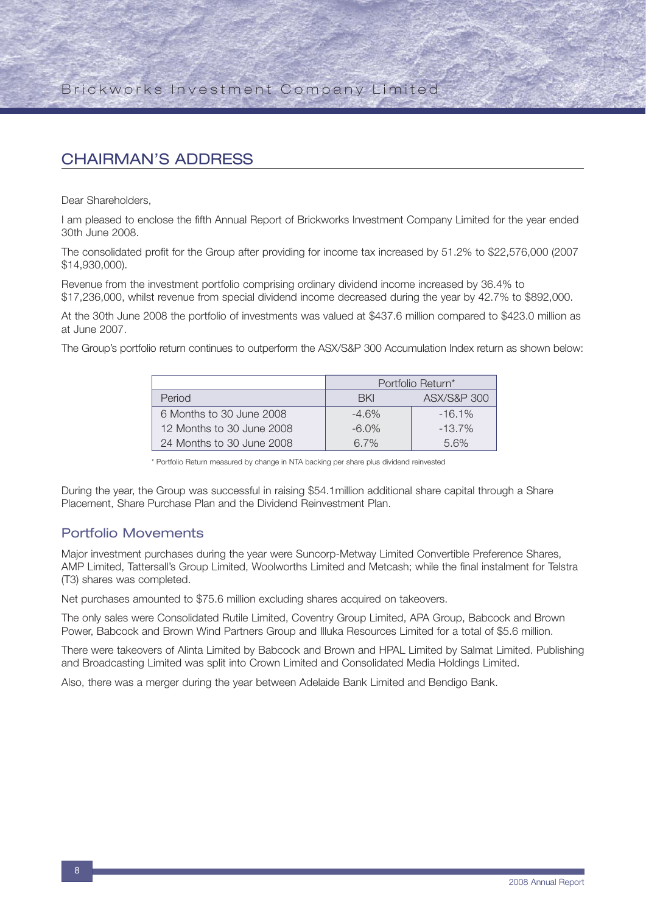## CHAIRMAN'S ADDRESS

Dear Shareholders,

I am pleased to enclose the fifth Annual Report of Brickworks Investment Company Limited for the year ended 30th June 2008.

The consolidated profit for the Group after providing for income tax increased by 51.2% to \$22,576,000 (2007 \$14,930,000).

Revenue from the investment portfolio comprising ordinary dividend income increased by 36.4% to \$17,236,000, whilst revenue from special dividend income decreased during the year by 42.7% to \$892,000.

At the 30th June 2008 the portfolio of investments was valued at \$437.6 million compared to \$423.0 million as at June 2007.

The Group's portfolio return continues to outperform the ASX/S&P 300 Accumulation Index return as shown below:

|                           | Portfolio Return* |                        |  |  |
|---------------------------|-------------------|------------------------|--|--|
| Period                    | <b>BKI</b>        | <b>ASX/S&amp;P 300</b> |  |  |
| 6 Months to 30 June 2008  | $-4.6%$           | $-16.1%$               |  |  |
| 12 Months to 30 June 2008 | $-6.0\%$          | $-13.7\%$              |  |  |
| 24 Months to 30 June 2008 | 6.7%              | 56%                    |  |  |

\* Portfolio Return measured by change in NTA backing per share plus dividend reinvested

During the year, the Group was successful in raising \$54.1million additional share capital through a Share Placement, Share Purchase Plan and the Dividend Reinvestment Plan.

### Portfolio Movements

Major investment purchases during the year were Suncorp-Metway Limited Convertible Preference Shares, AMP Limited, Tattersall's Group Limited, Woolworths Limited and Metcash; while the final instalment for Telstra (T3) shares was completed.

Net purchases amounted to \$75.6 million excluding shares acquired on takeovers.

The only sales were Consolidated Rutile Limited, Coventry Group Limited, APA Group, Babcock and Brown Power, Babcock and Brown Wind Partners Group and Illuka Resources Limited for a total of \$5.6 million.

There were takeovers of Alinta Limited by Babcock and Brown and HPAL Limited by Salmat Limited. Publishing and Broadcasting Limited was split into Crown Limited and Consolidated Media Holdings Limited.

Also, there was a merger during the year between Adelaide Bank Limited and Bendigo Bank.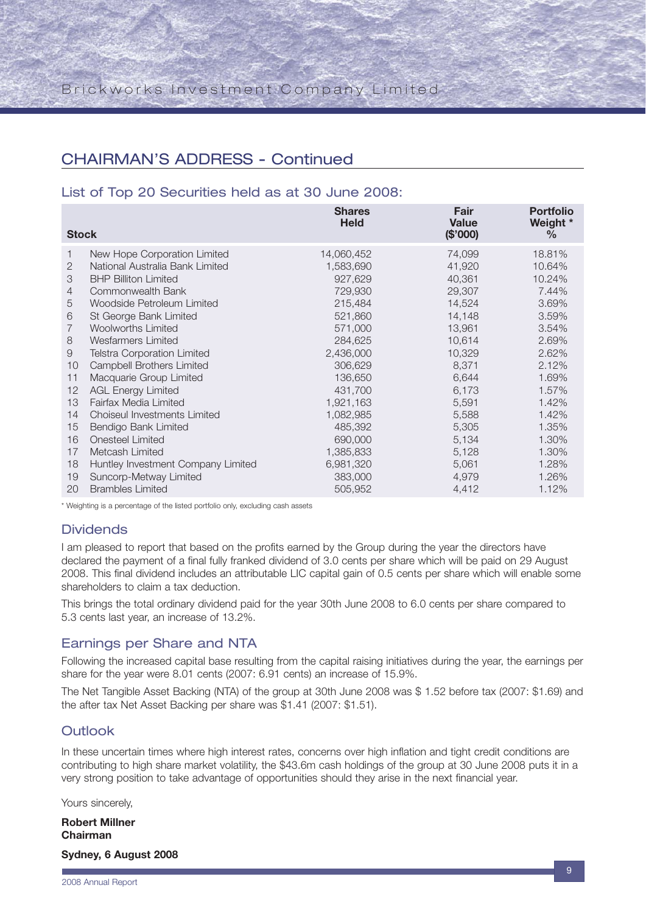## CHAIRMAN'S ADDRESS - Continued

### List of Top 20 Securities held as at 30 June 2008:

| <b>Stock</b>   |                                     | <b>Shares</b><br><b>Held</b> | Fair<br><b>Value</b><br>(\$'000) | <b>Portfolio</b><br>Weight *<br>$\%$ |
|----------------|-------------------------------------|------------------------------|----------------------------------|--------------------------------------|
| 1              | New Hope Corporation Limited        | 14,060,452                   | 74,099                           | 18.81%                               |
| 2              | National Australia Bank Limited     | 1,583,690                    | 41,920                           | 10.64%                               |
| 3              | <b>BHP Billiton Limited</b>         | 927,629                      | 40,361                           | 10.24%                               |
| $\overline{4}$ | Commonwealth Bank                   | 729,930                      | 29,307                           | 7.44%                                |
| 5              | Woodside Petroleum Limited          | 215,484                      | 14,524                           | 3.69%                                |
| 6              | St George Bank Limited              | 521,860                      | 14,148                           | 3.59%                                |
| $\overline{7}$ | <b>Woolworths Limited</b>           | 571,000                      | 13,961                           | 3.54%                                |
| 8              | Wesfarmers Limited                  | 284,625                      | 10,614                           | 2.69%                                |
| 9              | <b>Telstra Corporation Limited</b>  | 2,436,000                    | 10,329                           | 2.62%                                |
| 10             | <b>Campbell Brothers Limited</b>    | 306,629                      | 8,371                            | 2.12%                                |
| 11             | Macquarie Group Limited             | 136,650                      | 6,644                            | 1.69%                                |
| 12             | <b>AGL Energy Limited</b>           | 431,700                      | 6,173                            | 1.57%                                |
| 13             | Fairfax Media Limited               | 1,921,163                    | 5,591                            | 1.42%                                |
| 14             | <b>Choiseul Investments Limited</b> | 1,082,985                    | 5,588                            | 1.42%                                |
| 15             | Bendigo Bank Limited                | 485,392                      | 5,305                            | 1.35%                                |
| 16             | <b>Onesteel Limited</b>             | 690,000                      | 5,134                            | 1.30%                                |
| 17             | Metcash Limited                     | 1,385,833                    | 5,128                            | 1.30%                                |
| 18             | Huntley Investment Company Limited  | 6,981,320                    | 5,061                            | 1.28%                                |
| 19             | Suncorp-Metway Limited              | 383,000                      | 4,979                            | 1.26%                                |
| 20             | <b>Brambles Limited</b>             | 505,952                      | 4,412                            | 1.12%                                |

\* Weighting is a percentage of the listed portfolio only, excluding cash assets

### **Dividends**

I am pleased to report that based on the profits earned by the Group during the year the directors have declared the payment of a final fully franked dividend of 3.0 cents per share which will be paid on 29 August 2008. This final dividend includes an attributable LIC capital gain of 0.5 cents per share which will enable some shareholders to claim a tax deduction.

This brings the total ordinary dividend paid for the year 30th June 2008 to 6.0 cents per share compared to 5.3 cents last year, an increase of 13.2%.

### Earnings per Share and NTA

Following the increased capital base resulting from the capital raising initiatives during the year, the earnings per share for the year were 8.01 cents (2007: 6.91 cents) an increase of 15.9%.

The Net Tangible Asset Backing (NTA) of the group at 30th June 2008 was \$ 1.52 before tax (2007: \$1.69) and the after tax Net Asset Backing per share was \$1.41 (2007: \$1.51).

### **Outlook**

In these uncertain times where high interest rates, concerns over high inflation and tight credit conditions are contributing to high share market volatility, the \$43.6m cash holdings of the group at 30 June 2008 puts it in a very strong position to take advantage of opportunities should they arise in the next financial year.

Yours sincerely,

**Robert Millner Chairman**

**Sydney, 6 August 2008**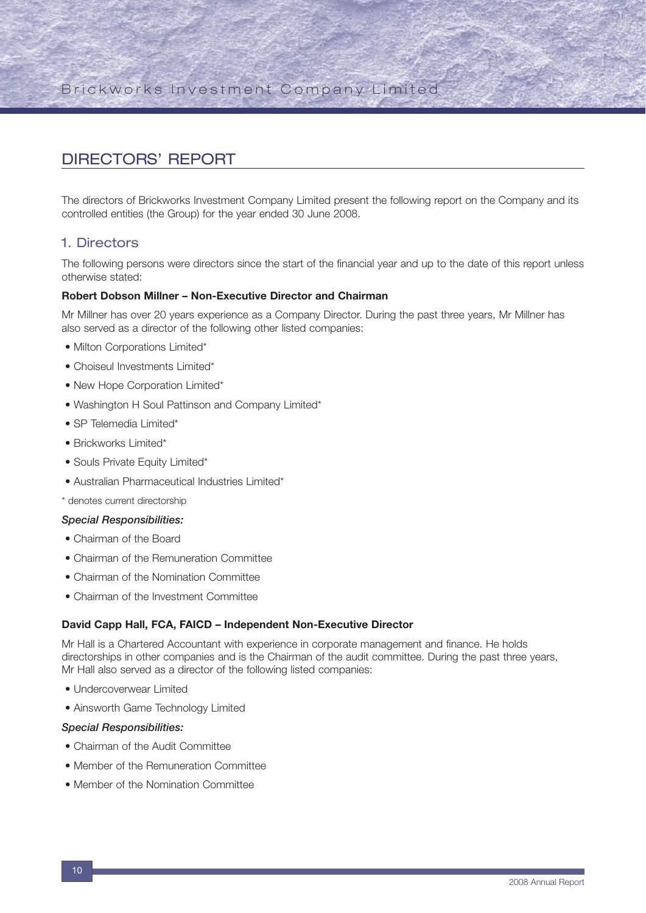## DIRECTORS' REPORT

The directors of Brickworks Investment Company Limited present the following report on the Company and its controlled entities (the Group) for the year ended 30 June 2008.

### 1. Directors

The following persons were directors since the start of the financial year and up to the date of this report unless otherwise stated:

#### **Robert Dobson Millner – Non-Executive Director and Chairman**

Mr Millner has over 20 years experience as a Company Director. During the past three years, Mr Millner has also served as a director of the following other listed companies:

- Milton Corporations Limited\*
- Choiseul Investments Limited\*
- New Hope Corporation Limited\*
- Washington H Soul Pattinson and Company Limited\*
- SP Telemedia Limited\*
- Brickworks Limited\*
- Souls Private Equity Limited\*
- Australian Pharmaceutical Industries Limited\*

\* denotes current directorship

#### *Special Responsibilities:*

- Chairman of the Board
- Chairman of the Remuneration Committee
- Chairman of the Nomination Committee
- Chairman of the Investment Committee

#### **David Capp Hall, FCA, FAICD – Independent Non-Executive Director**

Mr Hall is a Chartered Accountant with experience in corporate management and finance. He holds directorships in other companies and is the Chairman of the audit committee. During the past three years, Mr Hall also served as a director of the following listed companies:

- Undercoverwear Limited
- Ainsworth Game Technology Limited

#### *Special Responsibilities:*

- Chairman of the Audit Committee
- Member of the Remuneration Committee
- Member of the Nomination Committee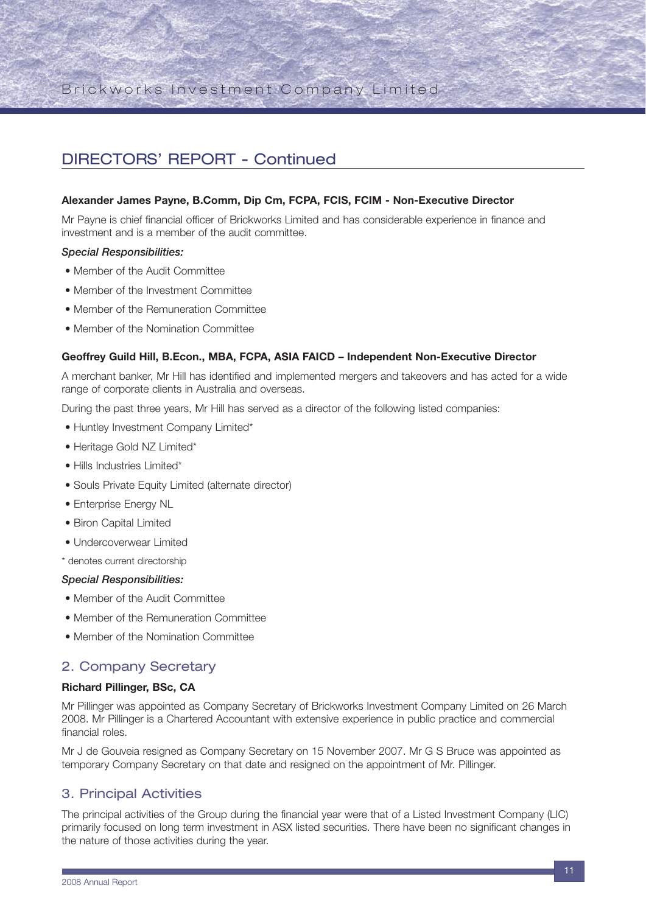## DIRECTORS' REPORT - Continued

#### **Alexander James Payne, B.Comm, Dip Cm, FCPA, FCIS, FCIM - Non-Executive Director**

Mr Payne is chief financial officer of Brickworks Limited and has considerable experience in finance and investment and is a member of the audit committee.

#### *Special Responsibilities:*

- Member of the Audit Committee
- Member of the Investment Committee
- Member of the Remuneration Committee
- Member of the Nomination Committee

#### **Geoffrey Guild Hill, B.Econ., MBA, FCPA, ASIA FAICD – Independent Non-Executive Director**

A merchant banker, Mr Hill has identified and implemented mergers and takeovers and has acted for a wide range of corporate clients in Australia and overseas.

During the past three years, Mr Hill has served as a director of the following listed companies:

- Huntley Investment Company Limited\*
- Heritage Gold NZ Limited\*
- Hills Industries Limited\*
- Souls Private Equity Limited (alternate director)
- Enterprise Energy NL
- Biron Capital Limited
- Undercoverwear Limited

\* denotes current directorship

#### *Special Responsibilities:*

- Member of the Audit Committee
- Member of the Remuneration Committee
- Member of the Nomination Committee

#### 2. Company Secretary

#### **Richard Pillinger, BSc, CA**

Mr Pillinger was appointed as Company Secretary of Brickworks Investment Company Limited on 26 March 2008. Mr Pillinger is a Chartered Accountant with extensive experience in public practice and commercial financial roles.

Mr J de Gouveia resigned as Company Secretary on 15 November 2007. Mr G S Bruce was appointed as temporary Company Secretary on that date and resigned on the appointment of Mr. Pillinger.

### 3. Principal Activities

The principal activities of the Group during the financial year were that of a Listed Investment Company (LIC) primarily focused on long term investment in ASX listed securities. There have been no significant changes in the nature of those activities during the year.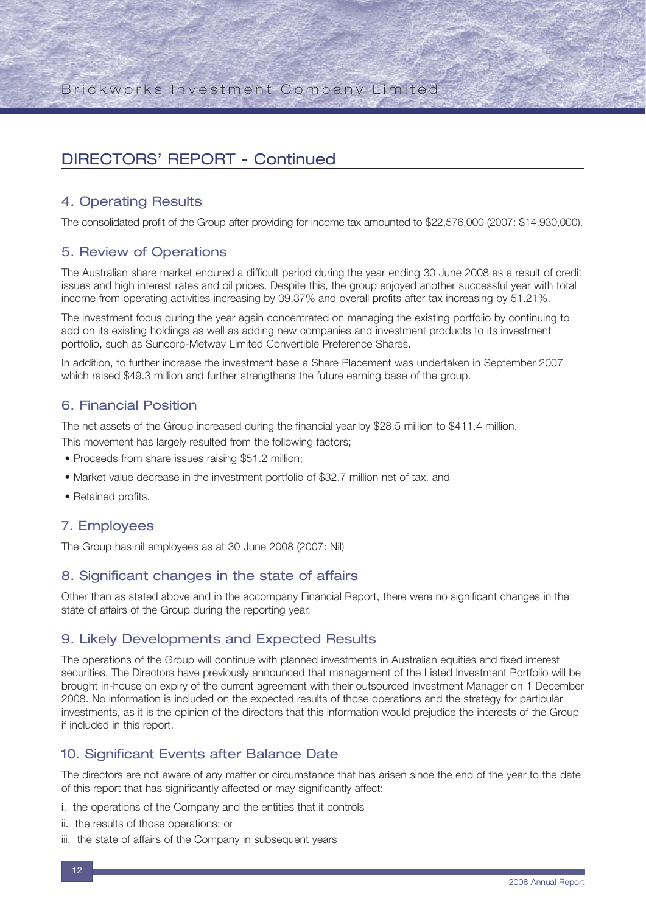## DIRECTORS' REPORT - Continued

### 4. Operating Results

The consolidated profit of the Group after providing for income tax amounted to \$22,576,000 (2007: \$14,930,000).

### 5. Review of Operations

The Australian share market endured a difficult period during the year ending 30 June 2008 as a result of credit issues and high interest rates and oil prices. Despite this, the group enjoyed another successful year with total income from operating activities increasing by 39.37% and overall profits after tax increasing by 51.21%.

The investment focus during the year again concentrated on managing the existing portfolio by continuing to add on its existing holdings as well as adding new companies and investment products to its investment portfolio, such as Suncorp-Metway Limited Convertible Preference Shares.

In addition, to further increase the investment base a Share Placement was undertaken in September 2007 which raised \$49.3 million and further strengthens the future earning base of the group.

### 6. Financial Position

The net assets of the Group increased during the financial year by \$28.5 million to \$411.4 million.

This movement has largely resulted from the following factors;

- Proceeds from share issues raising \$51.2 million;
- Market value decrease in the investment portfolio of \$32.7 million net of tax, and
- Retained profits.

#### 7. Employees

The Group has nil employees as at 30 June 2008 (2007: Nil)

### 8. Significant changes in the state of affairs

Other than as stated above and in the accompany Financial Report, there were no significant changes in the state of affairs of the Group during the reporting year.

### 9. Likely Developments and Expected Results

The operations of the Group will continue with planned investments in Australian equities and fixed interest securities. The Directors have previously announced that management of the Listed Investment Portfolio will be brought in-house on expiry of the current agreement with their outsourced Investment Manager on 1 December 2008. No information is included on the expected results of those operations and the strategy for particular investments, as it is the opinion of the directors that this information would prejudice the interests of the Group if included in this report.

### 10. Significant Events after Balance Date

The directors are not aware of any matter or circumstance that has arisen since the end of the year to the date of this report that has significantly affected or may significantly affect:

- i. the operations of the Company and the entities that it controls
- ii. the results of those operations; or
- iii. the state of affairs of the Company in subsequent years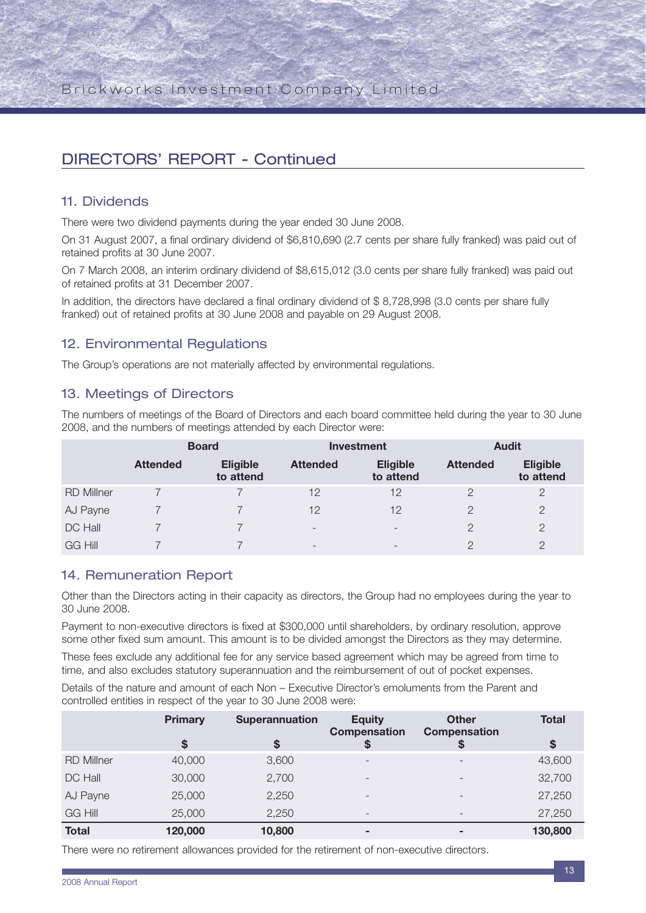## DIRECTORS' REPORT - Continued

### 11. Dividends

There were two dividend payments during the year ended 30 June 2008.

On 31 August 2007, a final ordinary dividend of \$6,810,690 (2.7 cents per share fully franked) was paid out of retained profits at 30 June 2007.

On 7 March 2008, an interim ordinary dividend of \$8,615,012 (3.0 cents per share fully franked) was paid out of retained profits at 31 December 2007.

In addition, the directors have declared a final ordinary dividend of \$ 8,728,998 (3.0 cents per share fully franked) out of retained profits at 30 June 2008 and payable on 29 August 2008.

### 12. Environmental Regulations

The Group's operations are not materially affected by environmental regulations.

### 13. Meetings of Directors

The numbers of meetings of the Board of Directors and each board committee held during the year to 30 June 2008, and the numbers of meetings attended by each Director were:

|                   | <b>Board</b>    |                              |                          | <b>Investment</b>            | <b>Audit</b>    |                              |  |
|-------------------|-----------------|------------------------------|--------------------------|------------------------------|-----------------|------------------------------|--|
|                   | <b>Attended</b> | <b>Eligible</b><br>to attend | <b>Attended</b>          | <b>Eligible</b><br>to attend | <b>Attended</b> | <b>Eligible</b><br>to attend |  |
| <b>RD Millner</b> |                 |                              | 12                       | 12                           | 2               | 2                            |  |
| AJ Payne          |                 |                              | 12                       | 12                           | っ               | 2                            |  |
| DC Hall           |                 |                              | $\overline{\phantom{a}}$ | $\overline{\phantom{0}}$     | $\mathcal{P}$   | $\mathcal{D}$                |  |
| <b>GG Hill</b>    |                 |                              | $\overline{\phantom{a}}$ | $\overline{\phantom{0}}$     | っ               | ◯                            |  |

### 14. Remuneration Report

Other than the Directors acting in their capacity as directors, the Group had no employees during the year to 30 June 2008.

Payment to non-executive directors is fixed at \$300,000 until shareholders, by ordinary resolution, approve some other fixed sum amount. This amount is to be divided amongst the Directors as they may determine.

These fees exclude any additional fee for any service based agreement which may be agreed from time to time, and also excludes statutory superannuation and the reimbursement of out of pocket expenses.

Details of the nature and amount of each Non – Executive Director's emoluments from the Parent and controlled entities in respect of the year to 30 June 2008 were:

|                   | <b>Primary</b> | <b>Superannuation</b> | <b>Equity</b><br>Compensation | <b>Other</b><br><b>Compensation</b> | <b>Total</b> |
|-------------------|----------------|-----------------------|-------------------------------|-------------------------------------|--------------|
|                   | \$             | \$                    |                               |                                     | \$           |
| <b>RD Millner</b> | 40,000         | 3,600                 |                               |                                     | 43,600       |
| DC Hall           | 30,000         | 2,700                 | $\overline{\phantom{0}}$      | $\overline{\phantom{0}}$            | 32,700       |
| AJ Payne          | 25,000         | 2,250                 | -                             | $\overline{\phantom{0}}$            | 27,250       |
| <b>GG Hill</b>    | 25,000         | 2,250                 | -                             | $\overline{\phantom{0}}$            | 27,250       |
| <b>Total</b>      | 120,000        | 10,800                |                               | $\overline{\phantom{a}}$            | 130,800      |

There were no retirement allowances provided for the retirement of non-executive directors.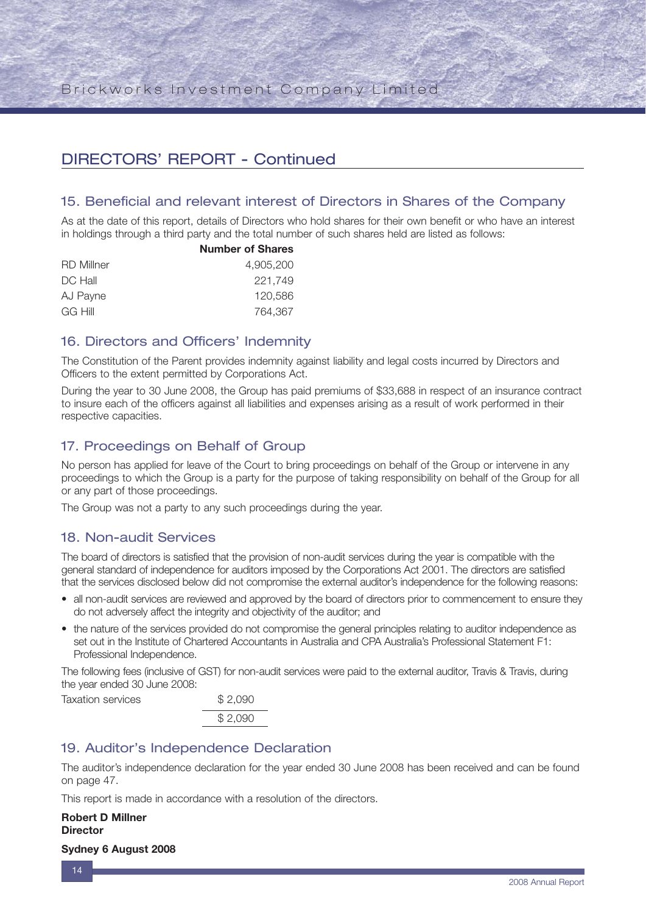## DIRECTORS' REPORT - Continued

### 15. Beneficial and relevant interest of Directors in Shares of the Company

As at the date of this report, details of Directors who hold shares for their own benefit or who have an interest in holdings through a third party and the total number of such shares held are listed as follows:

|                   | <b>Number of Shares</b> |
|-------------------|-------------------------|
| <b>RD</b> Millner | 4.905.200               |
| DC Hall           | 221.749                 |
| AJ Payne          | 120,586                 |
| GG Hill           | 764.367                 |
|                   |                         |

### 16. Directors and Officers' Indemnity

The Constitution of the Parent provides indemnity against liability and legal costs incurred by Directors and Officers to the extent permitted by Corporations Act.

During the year to 30 June 2008, the Group has paid premiums of \$33,688 in respect of an insurance contract to insure each of the officers against all liabilities and expenses arising as a result of work performed in their respective capacities.

### 17. Proceedings on Behalf of Group

No person has applied for leave of the Court to bring proceedings on behalf of the Group or intervene in any proceedings to which the Group is a party for the purpose of taking responsibility on behalf of the Group for all or any part of those proceedings.

The Group was not a party to any such proceedings during the year.

#### 18. Non-audit Services

The board of directors is satisfied that the provision of non-audit services during the year is compatible with the general standard of independence for auditors imposed by the Corporations Act 2001. The directors are satisfied that the services disclosed below did not compromise the external auditor's independence for the following reasons:

- all non-audit services are reviewed and approved by the board of directors prior to commencement to ensure they do not adversely affect the integrity and objectivity of the auditor; and
- the nature of the services provided do not compromise the general principles relating to auditor independence as set out in the Institute of Chartered Accountants in Australia and CPA Australia's Professional Statement F1: Professional Independence.

The following fees (inclusive of GST) for non-audit services were paid to the external auditor, Travis & Travis, during the year ended 30 June 2008:

Taxation services \$ 2,090 \$ 2,090

### 19. Auditor's Independence Declaration

The auditor's independence declaration for the year ended 30 June 2008 has been received and can be found on page 47.

This report is made in accordance with a resolution of the directors.

**Robert D Millner Director**

#### **Sydney 6 August 2008**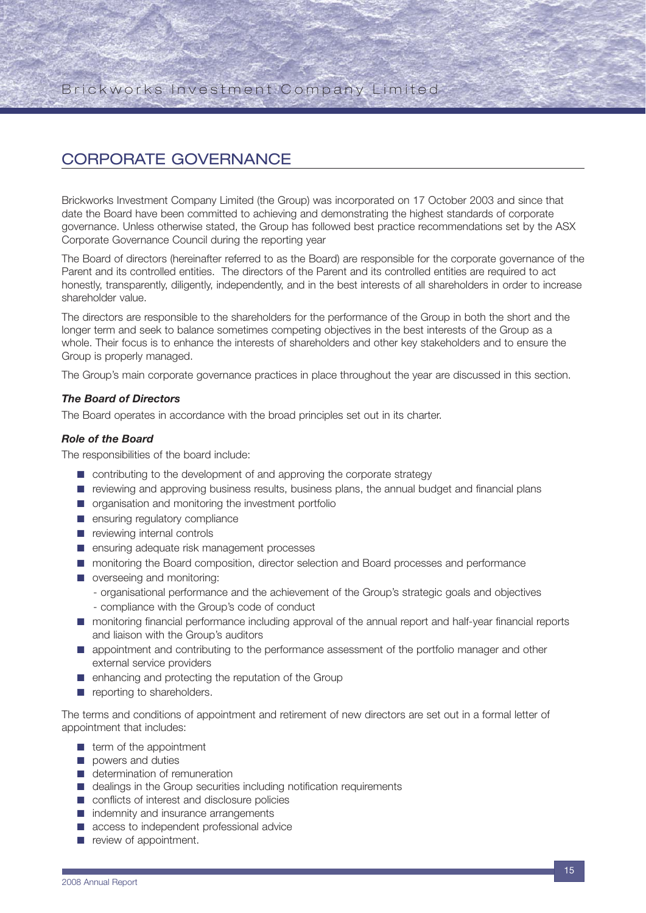## CORPORATE GOVERNANCE

Brickworks Investment Company Limited (the Group) was incorporated on 17 October 2003 and since that date the Board have been committed to achieving and demonstrating the highest standards of corporate governance. Unless otherwise stated, the Group has followed best practice recommendations set by the ASX Corporate Governance Council during the reporting year

The Board of directors (hereinafter referred to as the Board) are responsible for the corporate governance of the Parent and its controlled entities. The directors of the Parent and its controlled entities are required to act honestly, transparently, diligently, independently, and in the best interests of all shareholders in order to increase shareholder value.

The directors are responsible to the shareholders for the performance of the Group in both the short and the longer term and seek to balance sometimes competing objectives in the best interests of the Group as a whole. Their focus is to enhance the interests of shareholders and other key stakeholders and to ensure the Group is properly managed.

The Group's main corporate governance practices in place throughout the year are discussed in this section.

#### *The Board of Directors*

The Board operates in accordance with the broad principles set out in its charter.

#### *Role of the Board*

The responsibilities of the board include:

- contributing to the development of and approving the corporate strategy
- reviewing and approving business results, business plans, the annual budget and financial plans
- organisation and monitoring the investment portfolio
- ensuring regulatory compliance
- reviewing internal controls
- ensuring adequate risk management processes
- monitoring the Board composition, director selection and Board processes and performance
- overseeing and monitoring:
	- organisational performance and the achievement of the Group's strategic goals and objectives
	- compliance with the Group's code of conduct
- monitoring financial performance including approval of the annual report and half-year financial reports and liaison with the Group's auditors
- appointment and contributing to the performance assessment of the portfolio manager and other external service providers
- enhancing and protecting the reputation of the Group
- reporting to shareholders.

The terms and conditions of appointment and retirement of new directors are set out in a formal letter of appointment that includes:

- term of the appointment
- powers and duties
- determination of remuneration
- dealings in the Group securities including notification requirements
- conflicts of interest and disclosure policies
- indemnity and insurance arrangements
- access to independent professional advice
- review of appointment.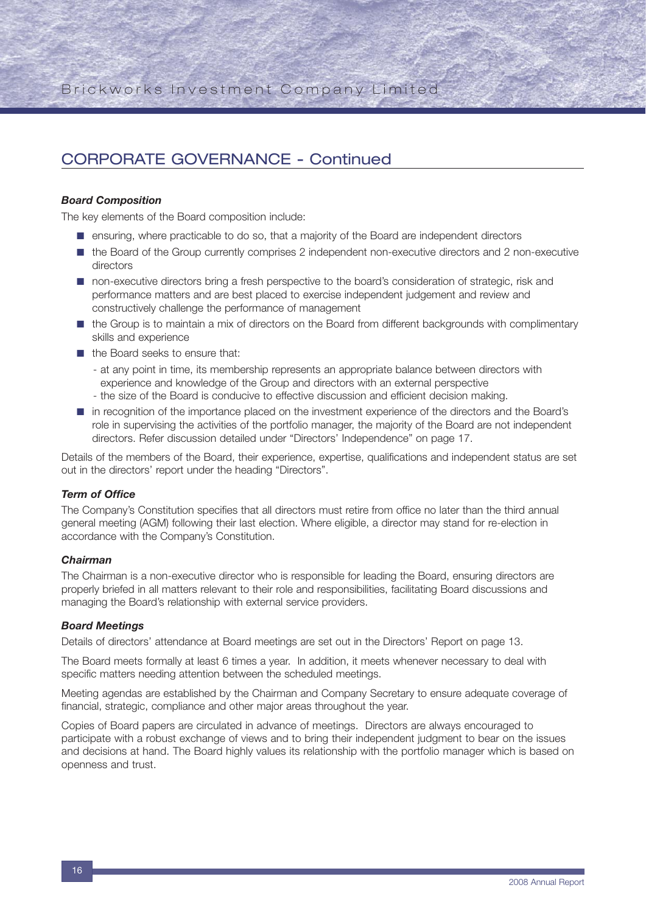#### *Board Composition*

The key elements of the Board composition include:

- ensuring, where practicable to do so, that a majority of the Board are independent directors
- the Board of the Group currently comprises 2 independent non-executive directors and 2 non-executive directors
- non-executive directors bring a fresh perspective to the board's consideration of strategic, risk and performance matters and are best placed to exercise independent judgement and review and constructively challenge the performance of management
- the Group is to maintain a mix of directors on the Board from different backgrounds with complimentary skills and experience
- the Board seeks to ensure that:
	- at any point in time, its membership represents an appropriate balance between directors with experience and knowledge of the Group and directors with an external perspective
	- the size of the Board is conducive to effective discussion and efficient decision making.
- in recognition of the importance placed on the investment experience of the directors and the Board's role in supervising the activities of the portfolio manager, the majority of the Board are not independent directors. Refer discussion detailed under "Directors' Independence" on page 17.

Details of the members of the Board, their experience, expertise, qualifications and independent status are set out in the directors' report under the heading "Directors".

#### *Term of Office*

The Company's Constitution specifies that all directors must retire from office no later than the third annual general meeting (AGM) following their last election. Where eligible, a director may stand for re-election in accordance with the Company's Constitution.

#### *Chairman*

The Chairman is a non-executive director who is responsible for leading the Board, ensuring directors are properly briefed in all matters relevant to their role and responsibilities, facilitating Board discussions and managing the Board's relationship with external service providers.

#### *Board Meetings*

Details of directors' attendance at Board meetings are set out in the Directors' Report on page 13.

The Board meets formally at least 6 times a year. In addition, it meets whenever necessary to deal with specific matters needing attention between the scheduled meetings.

Meeting agendas are established by the Chairman and Company Secretary to ensure adequate coverage of financial, strategic, compliance and other major areas throughout the year.

Copies of Board papers are circulated in advance of meetings. Directors are always encouraged to participate with a robust exchange of views and to bring their independent judgment to bear on the issues and decisions at hand. The Board highly values its relationship with the portfolio manager which is based on openness and trust.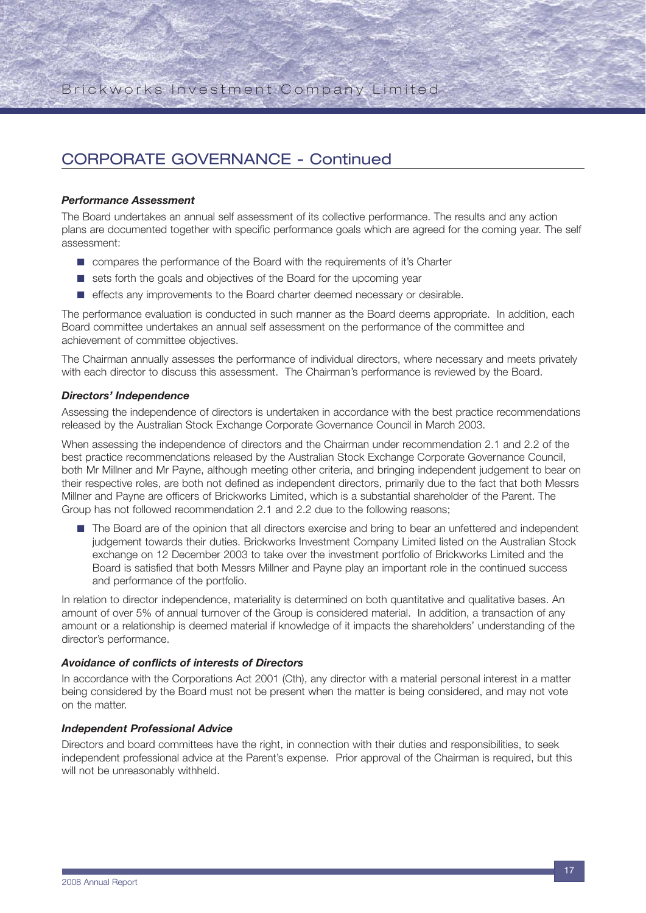#### *Performance Assessment*

The Board undertakes an annual self assessment of its collective performance. The results and any action plans are documented together with specific performance goals which are agreed for the coming year. The self assessment:

- compares the performance of the Board with the requirements of it's Charter
- sets forth the goals and objectives of the Board for the upcoming year
- effects any improvements to the Board charter deemed necessary or desirable.

The performance evaluation is conducted in such manner as the Board deems appropriate. In addition, each Board committee undertakes an annual self assessment on the performance of the committee and achievement of committee objectives.

The Chairman annually assesses the performance of individual directors, where necessary and meets privately with each director to discuss this assessment. The Chairman's performance is reviewed by the Board.

#### *Directors' Independence*

Assessing the independence of directors is undertaken in accordance with the best practice recommendations released by the Australian Stock Exchange Corporate Governance Council in March 2003.

When assessing the independence of directors and the Chairman under recommendation 2.1 and 2.2 of the best practice recommendations released by the Australian Stock Exchange Corporate Governance Council, both Mr Millner and Mr Payne, although meeting other criteria, and bringing independent judgement to bear on their respective roles, are both not defined as independent directors, primarily due to the fact that both Messrs Millner and Payne are officers of Brickworks Limited, which is a substantial shareholder of the Parent. The Group has not followed recommendation 2.1 and 2.2 due to the following reasons;

■ The Board are of the opinion that all directors exercise and bring to bear an unfettered and independent judgement towards their duties. Brickworks Investment Company Limited listed on the Australian Stock exchange on 12 December 2003 to take over the investment portfolio of Brickworks Limited and the Board is satisfied that both Messrs Millner and Payne play an important role in the continued success and performance of the portfolio.

In relation to director independence, materiality is determined on both quantitative and qualitative bases. An amount of over 5% of annual turnover of the Group is considered material. In addition, a transaction of any amount or a relationship is deemed material if knowledge of it impacts the shareholders' understanding of the director's performance.

#### *Avoidance of conflicts of interests of Directors*

In accordance with the Corporations Act 2001 (Cth), any director with a material personal interest in a matter being considered by the Board must not be present when the matter is being considered, and may not vote on the matter.

#### *Independent Professional Advice*

Directors and board committees have the right, in connection with their duties and responsibilities, to seek independent professional advice at the Parent's expense. Prior approval of the Chairman is required, but this will not be unreasonably withheld.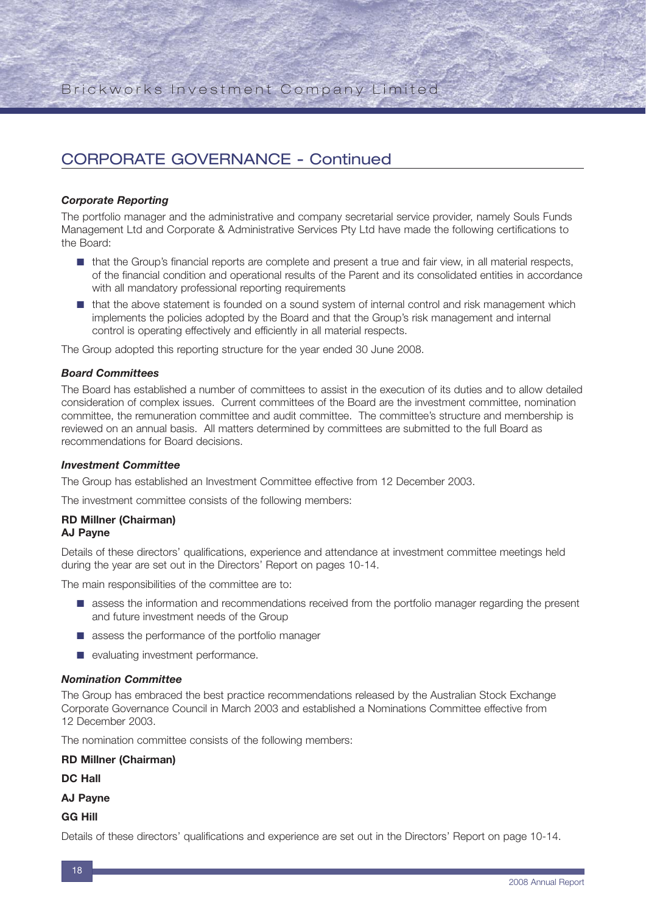#### *Corporate Reporting*

The portfolio manager and the administrative and company secretarial service provider, namely Souls Funds Management Ltd and Corporate & Administrative Services Pty Ltd have made the following certifications to the Board:

- that the Group's financial reports are complete and present a true and fair view, in all material respects, of the financial condition and operational results of the Parent and its consolidated entities in accordance with all mandatory professional reporting requirements
- that the above statement is founded on a sound system of internal control and risk management which implements the policies adopted by the Board and that the Group's risk management and internal control is operating effectively and efficiently in all material respects.

The Group adopted this reporting structure for the year ended 30 June 2008.

#### *Board Committees*

The Board has established a number of committees to assist in the execution of its duties and to allow detailed consideration of complex issues. Current committees of the Board are the investment committee, nomination committee, the remuneration committee and audit committee. The committee's structure and membership is reviewed on an annual basis. All matters determined by committees are submitted to the full Board as recommendations for Board decisions.

#### *Investment Committee*

The Group has established an Investment Committee effective from 12 December 2003.

The investment committee consists of the following members:

## **RD Millner (Chairman)**

## **AJ Payne**

Details of these directors' qualifications, experience and attendance at investment committee meetings held during the year are set out in the Directors' Report on pages 10-14.

The main responsibilities of the committee are to:

- assess the information and recommendations received from the portfolio manager regarding the present and future investment needs of the Group
- assess the performance of the portfolio manager
- evaluating investment performance.

#### *Nomination Committee*

The Group has embraced the best practice recommendations released by the Australian Stock Exchange Corporate Governance Council in March 2003 and established a Nominations Committee effective from 12 December 2003.

The nomination committee consists of the following members:

#### **RD Millner (Chairman)**

**DC Hall**

#### **AJ Payne**

**GG Hill**

Details of these directors' qualifications and experience are set out in the Directors' Report on page 10-14.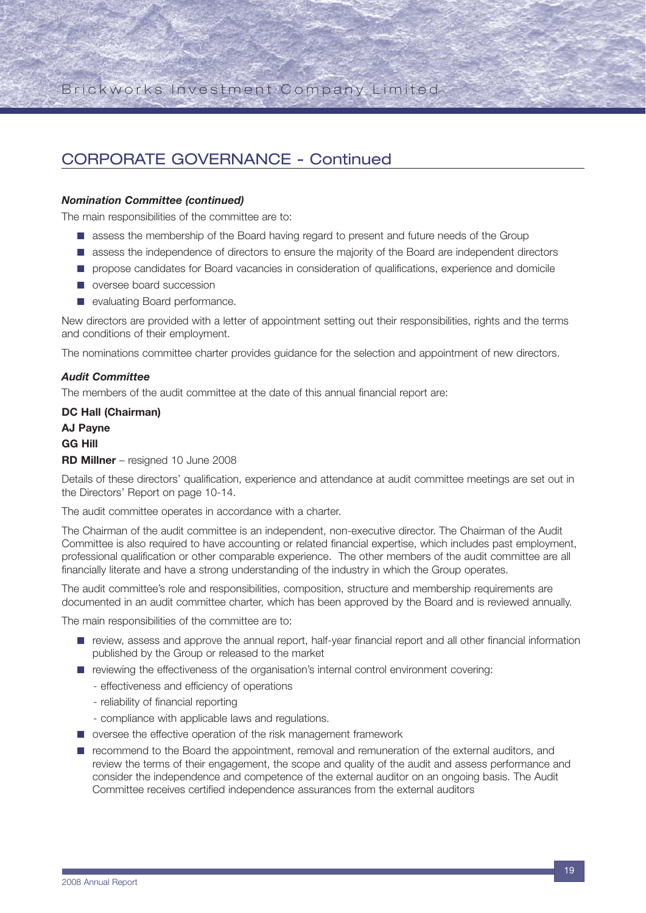#### *Nomination Committee (continued)*

The main responsibilities of the committee are to:

- assess the membership of the Board having regard to present and future needs of the Group
- assess the independence of directors to ensure the majority of the Board are independent directors
- propose candidates for Board vacancies in consideration of qualifications, experience and domicile
- oversee board succession
- evaluating Board performance.

New directors are provided with a letter of appointment setting out their responsibilities, rights and the terms and conditions of their employment.

The nominations committee charter provides guidance for the selection and appointment of new directors.

#### *Audit Committee*

The members of the audit committee at the date of this annual financial report are:

**DC Hall (Chairman) AJ Payne**

### **GG Hill**

#### **RD Millner** – resigned 10 June 2008

Details of these directors' qualification, experience and attendance at audit committee meetings are set out in the Directors' Report on page 10-14.

The audit committee operates in accordance with a charter.

The Chairman of the audit committee is an independent, non-executive director. The Chairman of the Audit Committee is also required to have accounting or related financial expertise, which includes past employment, professional qualification or other comparable experience. The other members of the audit committee are all financially literate and have a strong understanding of the industry in which the Group operates.

The audit committee's role and responsibilities, composition, structure and membership requirements are documented in an audit committee charter, which has been approved by the Board and is reviewed annually.

The main responsibilities of the committee are to:

- review, assess and approve the annual report, half-year financial report and all other financial information published by the Group or released to the market
- reviewing the effectiveness of the organisation's internal control environment covering:
	- effectiveness and efficiency of operations
	- reliability of financial reporting
	- compliance with applicable laws and regulations.
- oversee the effective operation of the risk management framework
- recommend to the Board the appointment, removal and remuneration of the external auditors, and review the terms of their engagement, the scope and quality of the audit and assess performance and consider the independence and competence of the external auditor on an ongoing basis. The Audit Committee receives certified independence assurances from the external auditors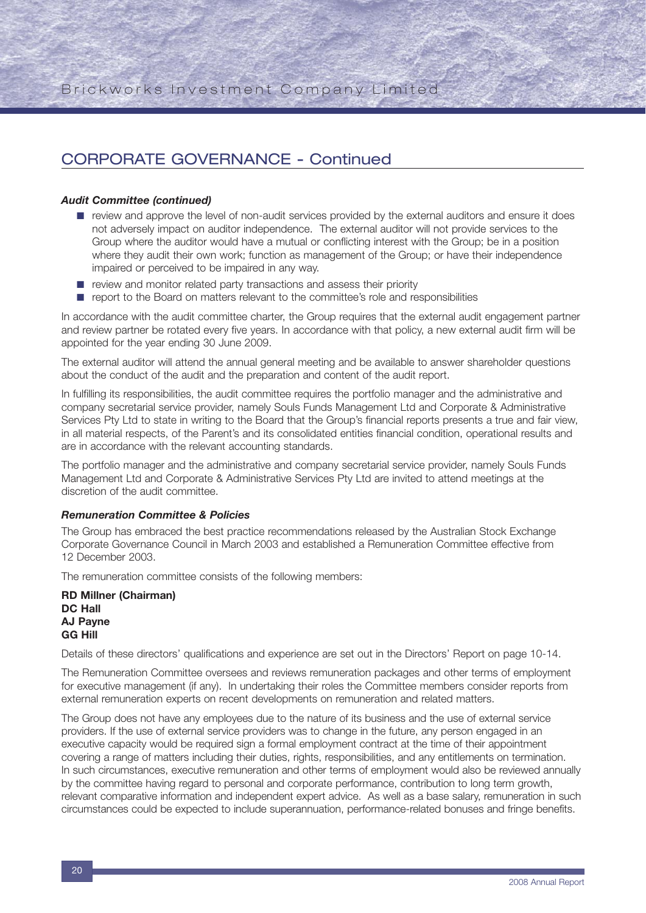#### *Audit Committee (continued)*

- review and approve the level of non-audit services provided by the external auditors and ensure it does not adversely impact on auditor independence. The external auditor will not provide services to the Group where the auditor would have a mutual or conflicting interest with the Group; be in a position where they audit their own work; function as management of the Group; or have their independence impaired or perceived to be impaired in any way.
- review and monitor related party transactions and assess their priority
- report to the Board on matters relevant to the committee's role and responsibilities

In accordance with the audit committee charter, the Group requires that the external audit engagement partner and review partner be rotated every five years. In accordance with that policy, a new external audit firm will be appointed for the year ending 30 June 2009.

The external auditor will attend the annual general meeting and be available to answer shareholder questions about the conduct of the audit and the preparation and content of the audit report.

In fulfilling its responsibilities, the audit committee requires the portfolio manager and the administrative and company secretarial service provider, namely Souls Funds Management Ltd and Corporate & Administrative Services Pty Ltd to state in writing to the Board that the Group's financial reports presents a true and fair view, in all material respects, of the Parent's and its consolidated entities financial condition, operational results and are in accordance with the relevant accounting standards.

The portfolio manager and the administrative and company secretarial service provider, namely Souls Funds Management Ltd and Corporate & Administrative Services Pty Ltd are invited to attend meetings at the discretion of the audit committee.

#### *Remuneration Committee & Policies*

The Group has embraced the best practice recommendations released by the Australian Stock Exchange Corporate Governance Council in March 2003 and established a Remuneration Committee effective from 12 December 2003.

The remuneration committee consists of the following members:

**RD Millner (Chairman) DC Hall AJ Payne GG Hill**

Details of these directors' qualifications and experience are set out in the Directors' Report on page 10-14.

The Remuneration Committee oversees and reviews remuneration packages and other terms of employment for executive management (if any). In undertaking their roles the Committee members consider reports from external remuneration experts on recent developments on remuneration and related matters.

The Group does not have any employees due to the nature of its business and the use of external service providers. If the use of external service providers was to change in the future, any person engaged in an executive capacity would be required sign a formal employment contract at the time of their appointment covering a range of matters including their duties, rights, responsibilities, and any entitlements on termination. In such circumstances, executive remuneration and other terms of employment would also be reviewed annually by the committee having regard to personal and corporate performance, contribution to long term growth, relevant comparative information and independent expert advice. As well as a base salary, remuneration in such circumstances could be expected to include superannuation, performance-related bonuses and fringe benefits.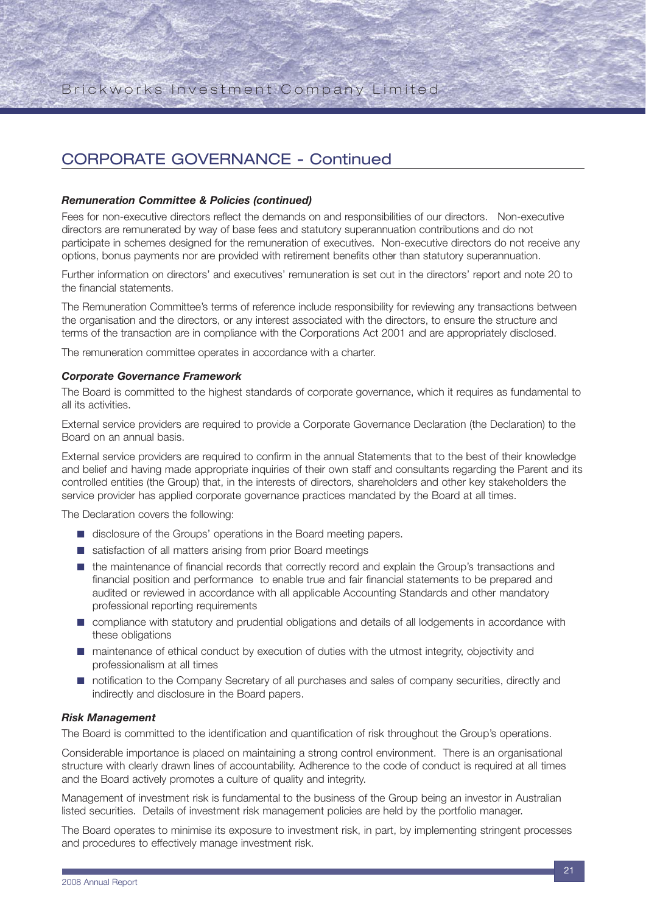#### *Remuneration Committee & Policies (continued)*

Fees for non-executive directors reflect the demands on and responsibilities of our directors. Non-executive directors are remunerated by way of base fees and statutory superannuation contributions and do not participate in schemes designed for the remuneration of executives. Non-executive directors do not receive any options, bonus payments nor are provided with retirement benefits other than statutory superannuation.

Further information on directors' and executives' remuneration is set out in the directors' report and note 20 to the financial statements.

The Remuneration Committee's terms of reference include responsibility for reviewing any transactions between the organisation and the directors, or any interest associated with the directors, to ensure the structure and terms of the transaction are in compliance with the Corporations Act 2001 and are appropriately disclosed.

The remuneration committee operates in accordance with a charter.

#### *Corporate Governance Framework*

The Board is committed to the highest standards of corporate governance, which it requires as fundamental to all its activities.

External service providers are required to provide a Corporate Governance Declaration (the Declaration) to the Board on an annual basis.

External service providers are required to confirm in the annual Statements that to the best of their knowledge and belief and having made appropriate inquiries of their own staff and consultants regarding the Parent and its controlled entities (the Group) that, in the interests of directors, shareholders and other key stakeholders the service provider has applied corporate governance practices mandated by the Board at all times.

The Declaration covers the following:

- disclosure of the Groups' operations in the Board meeting papers.
- satisfaction of all matters arising from prior Board meetings
- the maintenance of financial records that correctly record and explain the Group's transactions and financial position and performance to enable true and fair financial statements to be prepared and audited or reviewed in accordance with all applicable Accounting Standards and other mandatory professional reporting requirements
- compliance with statutory and prudential obligations and details of all lodgements in accordance with these obligations
- maintenance of ethical conduct by execution of duties with the utmost integrity, objectivity and professionalism at all times
- notification to the Company Secretary of all purchases and sales of company securities, directly and indirectly and disclosure in the Board papers.

#### *Risk Management*

The Board is committed to the identification and quantification of risk throughout the Group's operations.

Considerable importance is placed on maintaining a strong control environment. There is an organisational structure with clearly drawn lines of accountability. Adherence to the code of conduct is required at all times and the Board actively promotes a culture of quality and integrity.

Management of investment risk is fundamental to the business of the Group being an investor in Australian listed securities. Details of investment risk management policies are held by the portfolio manager.

The Board operates to minimise its exposure to investment risk, in part, by implementing stringent processes and procedures to effectively manage investment risk.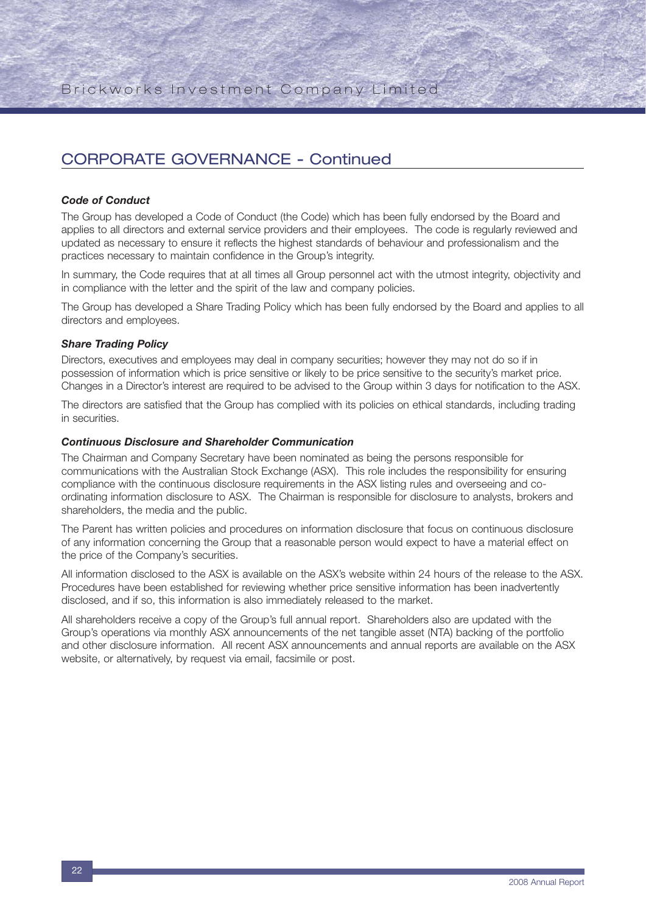#### *Code of Conduct*

The Group has developed a Code of Conduct (the Code) which has been fully endorsed by the Board and applies to all directors and external service providers and their employees. The code is regularly reviewed and updated as necessary to ensure it reflects the highest standards of behaviour and professionalism and the practices necessary to maintain confidence in the Group's integrity.

In summary, the Code requires that at all times all Group personnel act with the utmost integrity, objectivity and in compliance with the letter and the spirit of the law and company policies.

The Group has developed a Share Trading Policy which has been fully endorsed by the Board and applies to all directors and employees.

#### *Share Trading Policy*

Directors, executives and employees may deal in company securities; however they may not do so if in possession of information which is price sensitive or likely to be price sensitive to the security's market price. Changes in a Director's interest are required to be advised to the Group within 3 days for notification to the ASX.

The directors are satisfied that the Group has complied with its policies on ethical standards, including trading in securities.

#### *Continuous Disclosure and Shareholder Communication*

The Chairman and Company Secretary have been nominated as being the persons responsible for communications with the Australian Stock Exchange (ASX). This role includes the responsibility for ensuring compliance with the continuous disclosure requirements in the ASX listing rules and overseeing and coordinating information disclosure to ASX. The Chairman is responsible for disclosure to analysts, brokers and shareholders, the media and the public.

The Parent has written policies and procedures on information disclosure that focus on continuous disclosure of any information concerning the Group that a reasonable person would expect to have a material effect on the price of the Company's securities.

All information disclosed to the ASX is available on the ASX's website within 24 hours of the release to the ASX. Procedures have been established for reviewing whether price sensitive information has been inadvertently disclosed, and if so, this information is also immediately released to the market.

All shareholders receive a copy of the Group's full annual report. Shareholders also are updated with the Group's operations via monthly ASX announcements of the net tangible asset (NTA) backing of the portfolio and other disclosure information. All recent ASX announcements and annual reports are available on the ASX website, or alternatively, by request via email, facsimile or post.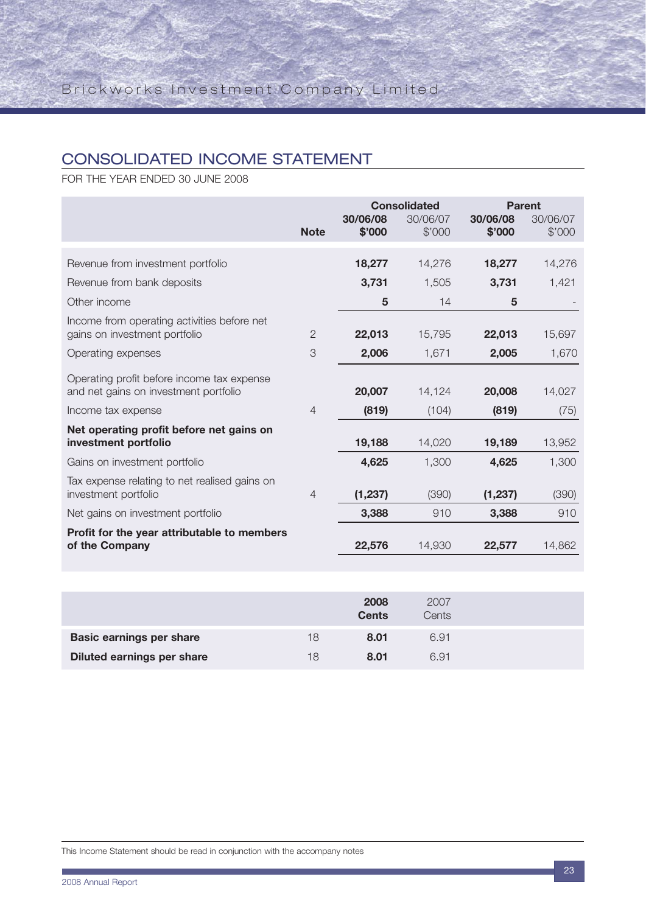## CONSOLIDATED INCOME STATEMENT

FOR THE YEAR ENDED 30 JUNE 2008

|                                                                                     |                | <b>Consolidated</b> |                    | <b>Parent</b>      |                    |
|-------------------------------------------------------------------------------------|----------------|---------------------|--------------------|--------------------|--------------------|
|                                                                                     | <b>Note</b>    | 30/06/08<br>\$'000  | 30/06/07<br>\$'000 | 30/06/08<br>\$'000 | 30/06/07<br>\$'000 |
|                                                                                     |                |                     |                    |                    |                    |
| Revenue from investment portfolio                                                   |                | 18,277              | 14,276             | 18,277             | 14,276             |
| Revenue from bank deposits                                                          |                | 3,731               | 1,505              | 3,731              | 1,421              |
| Other income                                                                        |                | 5                   | 14                 | 5                  |                    |
| Income from operating activities before net<br>gains on investment portfolio        | $\mathbf{2}$   | 22,013              | 15,795             | 22,013             | 15,697             |
| Operating expenses                                                                  | 3              | 2,006               | 1,671              | 2,005              | 1,670              |
| Operating profit before income tax expense<br>and net gains on investment portfolio |                | 20,007              | 14,124             | 20,008             | 14,027             |
| Income tax expense                                                                  | $\overline{4}$ | (819)               | (104)              | (819)              | (75)               |
| Net operating profit before net gains on<br>investment portfolio                    |                | 19,188              | 14,020             | 19,189             | 13,952             |
| Gains on investment portfolio                                                       |                | 4,625               | 1,300              | 4,625              | 1,300              |
| Tax expense relating to net realised gains on<br>investment portfolio               | $\overline{4}$ | (1, 237)            | (390)              | (1, 237)           | (390)              |
| Net gains on investment portfolio                                                   |                | 3,388               | 910                | 3,388              | 910                |
| Profit for the year attributable to members<br>of the Company                       |                | 22,576              | 14,930             | 22,577             | 14,862             |

|                                   |    | 2008<br><b>Cents</b> | 2007<br>Cents |  |
|-----------------------------------|----|----------------------|---------------|--|
| <b>Basic earnings per share</b>   | 18 | 8.01                 | 6.91          |  |
| <b>Diluted earnings per share</b> | 18 | 8.01                 | 6.91          |  |

This Income Statement should be read in conjunction with the accompany notes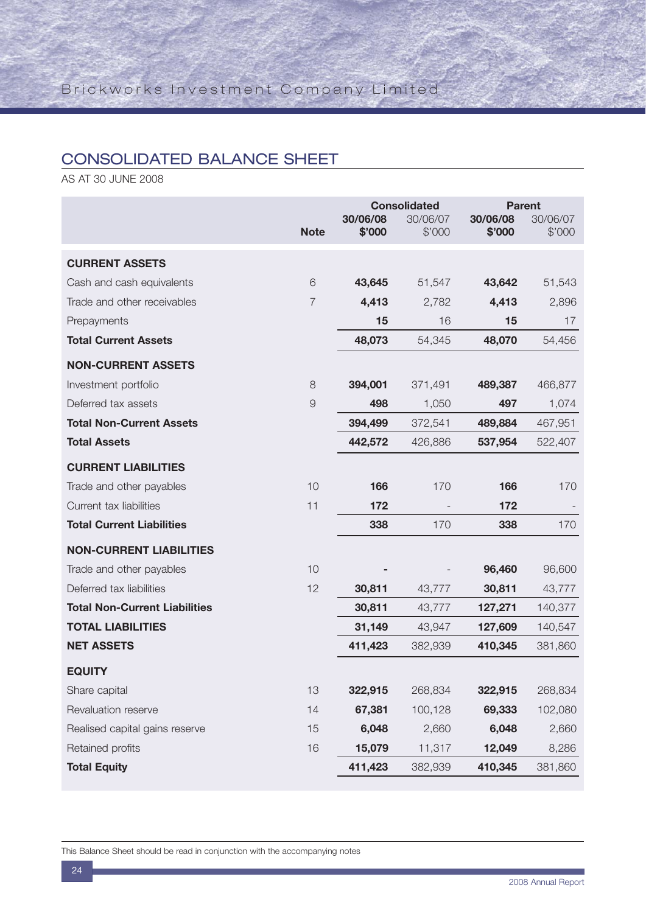## CONSOLIDATED BALANCE SHEET

AS AT 30 JUNE 2008

|                                      |             | <b>Consolidated</b> |                    | <b>Parent</b>      |                    |
|--------------------------------------|-------------|---------------------|--------------------|--------------------|--------------------|
|                                      | <b>Note</b> | 30/06/08<br>\$'000  | 30/06/07<br>\$'000 | 30/06/08<br>\$'000 | 30/06/07<br>\$'000 |
|                                      |             |                     |                    |                    |                    |
| <b>CURRENT ASSETS</b>                |             |                     |                    |                    |                    |
| Cash and cash equivalents            | 6           | 43,645              | 51,547             | 43,642             | 51,543             |
| Trade and other receivables          | 7           | 4,413               | 2,782              | 4,413              | 2,896              |
| Prepayments                          |             | 15                  | 16                 | 15                 | 17                 |
| <b>Total Current Assets</b>          |             | 48,073              | 54,345             | 48,070             | 54,456             |
| <b>NON-CURRENT ASSETS</b>            |             |                     |                    |                    |                    |
| Investment portfolio                 | 8           | 394,001             | 371,491            | 489,387            | 466,877            |
| Deferred tax assets                  | $\Theta$    | 498                 | 1,050              | 497                | 1,074              |
| <b>Total Non-Current Assets</b>      |             | 394,499             | 372,541            | 489,884            | 467,951            |
| <b>Total Assets</b>                  |             | 442,572             | 426,886            | 537,954            | 522,407            |
| <b>CURRENT LIABILITIES</b>           |             |                     |                    |                    |                    |
| Trade and other payables             | 10          | 166                 | 170                | 166                | 170                |
| Current tax liabilities              | 11          | 172                 |                    | 172                |                    |
| <b>Total Current Liabilities</b>     |             | 338                 | 170                | 338                | 170                |
| <b>NON-CURRENT LIABILITIES</b>       |             |                     |                    |                    |                    |
| Trade and other payables             | 10          |                     |                    | 96,460             | 96,600             |
| Deferred tax liabilities             | 12          | 30,811              | 43,777             | 30,811             | 43,777             |
| <b>Total Non-Current Liabilities</b> |             | 30,811              | 43,777             | 127,271            | 140,377            |
| <b>TOTAL LIABILITIES</b>             |             | 31,149              | 43,947             | 127,609            | 140,547            |
| <b>NET ASSETS</b>                    |             | 411,423             | 382,939            | 410,345            | 381,860            |
| <b>EQUITY</b>                        |             |                     |                    |                    |                    |
| Share capital                        | 13          | 322,915             | 268,834            | 322,915            | 268,834            |
| Revaluation reserve                  | 14          | 67,381              | 100,128            | 69,333             | 102,080            |
| Realised capital gains reserve       | 15          | 6,048               | 2,660              | 6,048              | 2,660              |
| Retained profits                     | 16          | 15,079              | 11,317             | 12,049             | 8,286              |
| <b>Total Equity</b>                  |             | 411,423             | 382,939            | 410,345            | 381,860            |

This Balance Sheet should be read in conjunction with the accompanying notes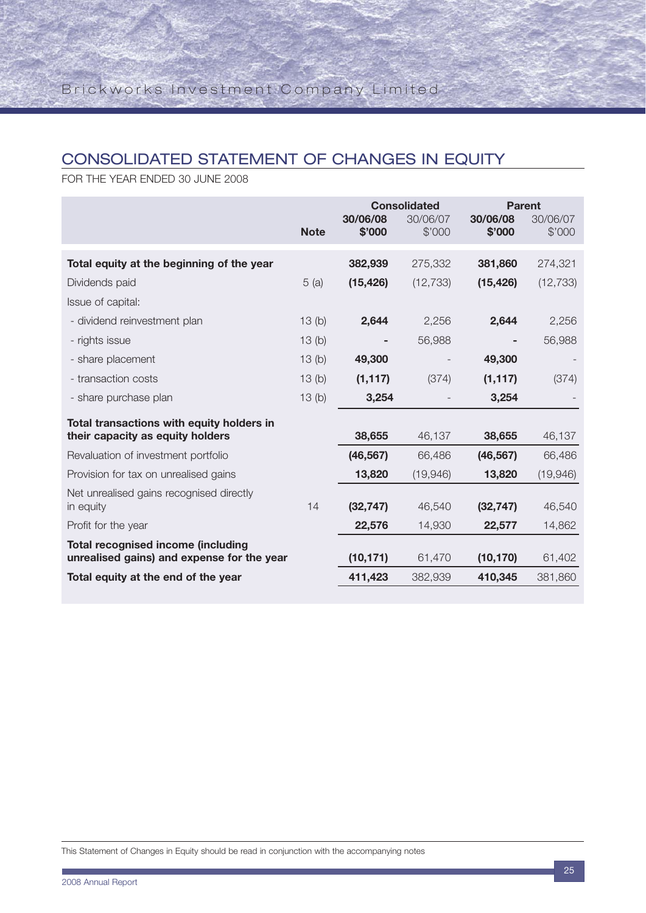## CONSOLIDATED STATEMENT OF CHANGES IN EQUITY

FOR THE YEAR ENDED 30 JUNE 2008

|                                            |             | <b>Consolidated</b> |           | <b>Parent</b> |           |
|--------------------------------------------|-------------|---------------------|-----------|---------------|-----------|
|                                            |             | 30/06/08            | 30/06/07  | 30/06/08      | 30/06/07  |
|                                            | <b>Note</b> | \$'000              | \$'000    | \$'000        | \$'000    |
| Total equity at the beginning of the year  |             | 382,939             | 275,332   | 381,860       | 274,321   |
| Dividends paid                             | 5(a)        | (15, 426)           | (12, 733) | (15, 426)     | (12, 733) |
| Issue of capital:                          |             |                     |           |               |           |
| - dividend reinvestment plan               | 13(b)       | 2,644               | 2,256     | 2,644         | 2,256     |
| - rights issue                             | 13(b)       |                     | 56,988    |               | 56,988    |
| - share placement                          | 13(b)       | 49,300              |           | 49,300        |           |
| - transaction costs                        | 13(b)       | (1, 117)            | (374)     | (1, 117)      | (374)     |
| - share purchase plan                      | 13(b)       | 3,254               |           | 3,254         |           |
| Total transactions with equity holders in  |             |                     |           |               |           |
| their capacity as equity holders           |             | 38,655              | 46,137    | 38,655        | 46,137    |
| Revaluation of investment portfolio        |             | (46, 567)           | 66,486    | (46, 567)     | 66,486    |
| Provision for tax on unrealised gains      |             | 13,820              | (19,946)  | 13,820        | (19,946)  |
| Net unrealised gains recognised directly   |             |                     |           |               |           |
| in equity                                  | 14          | (32, 747)           | 46,540    | (32, 747)     | 46,540    |
| Profit for the year                        |             | 22,576              | 14,930    | 22,577        | 14,862    |
| <b>Total recognised income (including</b>  |             |                     |           |               |           |
| unrealised gains) and expense for the year |             | (10, 171)           | 61,470    | (10, 170)     | 61,402    |
| Total equity at the end of the year        |             | 411,423             | 382,939   | 410,345       | 381,860   |

This Statement of Changes in Equity should be read in conjunction with the accompanying notes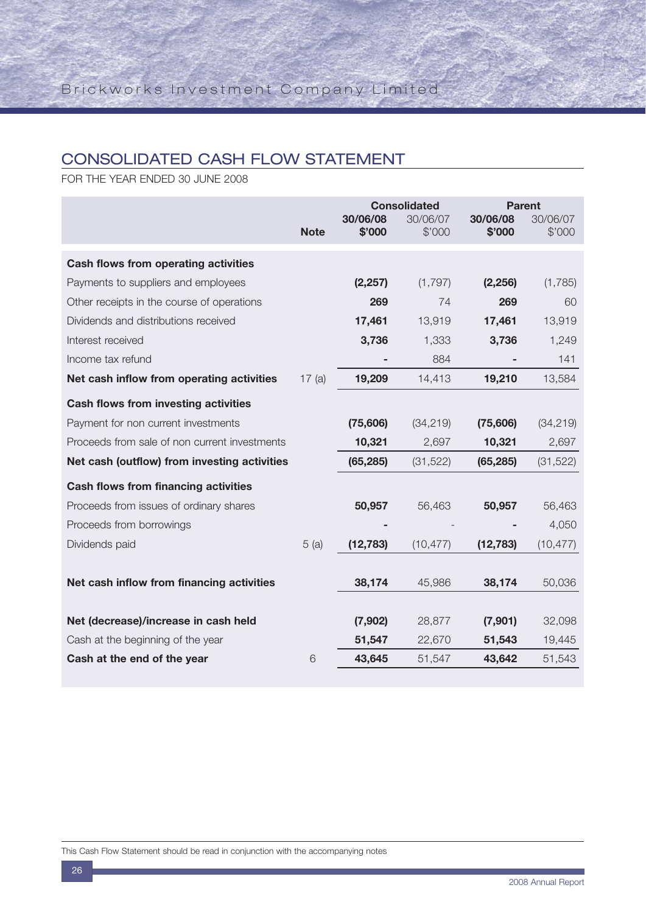## CONSOLIDATED CASH FLOW STATEMENT

FOR THE YEAR ENDED 30 JUNE 2008

|                                               |             | <b>Consolidated</b> |                    | <b>Parent</b>      |                    |
|-----------------------------------------------|-------------|---------------------|--------------------|--------------------|--------------------|
|                                               | <b>Note</b> | 30/06/08<br>\$'000  | 30/06/07<br>\$'000 | 30/06/08<br>\$'000 | 30/06/07<br>\$'000 |
|                                               |             |                     |                    |                    |                    |
| Cash flows from operating activities          |             |                     |                    |                    |                    |
| Payments to suppliers and employees           |             | (2, 257)            | (1,797)            | (2, 256)           | (1,785)            |
| Other receipts in the course of operations    |             | 269                 | 74                 | 269                | 60                 |
| Dividends and distributions received          |             | 17,461              | 13,919             | 17,461             | 13,919             |
| Interest received                             |             | 3,736               | 1,333              | 3,736              | 1,249              |
| Income tax refund                             |             |                     | 884                |                    | 141                |
| Net cash inflow from operating activities     | 17(a)       | 19,209              | 14,413             | 19,210             | 13,584             |
| <b>Cash flows from investing activities</b>   |             |                     |                    |                    |                    |
| Payment for non current investments           |             | (75,606)            | (34, 219)          | (75,606)           | (34, 219)          |
| Proceeds from sale of non current investments |             | 10,321              | 2,697              | 10,321             | 2,697              |
| Net cash (outflow) from investing activities  |             | (65, 285)           | (31, 522)          | (65, 285)          | (31, 522)          |
| <b>Cash flows from financing activities</b>   |             |                     |                    |                    |                    |
| Proceeds from issues of ordinary shares       |             | 50,957              | 56,463             | 50,957             | 56,463             |
| Proceeds from borrowings                      |             |                     |                    |                    | 4,050              |
| Dividends paid                                | 5(a)        | (12, 783)           | (10, 477)          | (12, 783)          | (10, 477)          |
|                                               |             |                     |                    |                    |                    |
| Net cash inflow from financing activities     |             | 38,174              | 45,986             | 38,174             | 50,036             |
|                                               |             |                     |                    |                    |                    |
| Net (decrease)/increase in cash held          |             | (7,902)             | 28,877             | (7,901)            | 32,098             |
| Cash at the beginning of the year             |             | 51,547              | 22,670             | 51,543             | 19,445             |
| Cash at the end of the year                   | 6           | 43,645              | 51,547             | 43,642             | 51,543             |

This Cash Flow Statement should be read in conjunction with the accompanying notes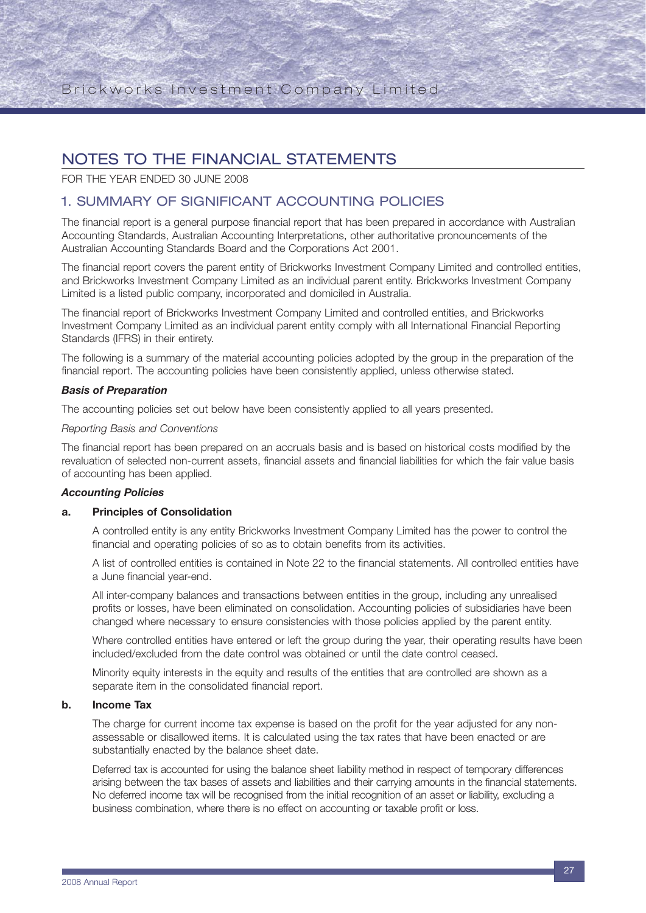## NOTES TO THE FINANCIAL STATEMENTS

FOR THE YEAR ENDED 30 JUNE 2008

### 1. SUMMARY OF SIGNIFICANT ACCOUNTING POLICIES

The financial report is a general purpose financial report that has been prepared in accordance with Australian Accounting Standards, Australian Accounting Interpretations, other authoritative pronouncements of the Australian Accounting Standards Board and the Corporations Act 2001.

The financial report covers the parent entity of Brickworks Investment Company Limited and controlled entities, and Brickworks Investment Company Limited as an individual parent entity. Brickworks Investment Company Limited is a listed public company, incorporated and domiciled in Australia.

The financial report of Brickworks Investment Company Limited and controlled entities, and Brickworks Investment Company Limited as an individual parent entity comply with all International Financial Reporting Standards (IFRS) in their entirety.

The following is a summary of the material accounting policies adopted by the group in the preparation of the financial report. The accounting policies have been consistently applied, unless otherwise stated.

#### *Basis of Preparation*

The accounting policies set out below have been consistently applied to all years presented.

#### *Reporting Basis and Conventions*

The financial report has been prepared on an accruals basis and is based on historical costs modified by the revaluation of selected non-current assets, financial assets and financial liabilities for which the fair value basis of accounting has been applied.

#### *Accounting Policies*

#### **a. Principles of Consolidation**

A controlled entity is any entity Brickworks Investment Company Limited has the power to control the financial and operating policies of so as to obtain benefits from its activities.

A list of controlled entities is contained in Note 22 to the financial statements. All controlled entities have a June financial year-end.

All inter-company balances and transactions between entities in the group, including any unrealised profits or losses, have been eliminated on consolidation. Accounting policies of subsidiaries have been changed where necessary to ensure consistencies with those policies applied by the parent entity.

Where controlled entities have entered or left the group during the year, their operating results have been included/excluded from the date control was obtained or until the date control ceased.

Minority equity interests in the equity and results of the entities that are controlled are shown as a separate item in the consolidated financial report.

### **b. Income Tax**

The charge for current income tax expense is based on the profit for the year adjusted for any nonassessable or disallowed items. It is calculated using the tax rates that have been enacted or are substantially enacted by the balance sheet date.

Deferred tax is accounted for using the balance sheet liability method in respect of temporary differences arising between the tax bases of assets and liabilities and their carrying amounts in the financial statements. No deferred income tax will be recognised from the initial recognition of an asset or liability, excluding a business combination, where there is no effect on accounting or taxable profit or loss.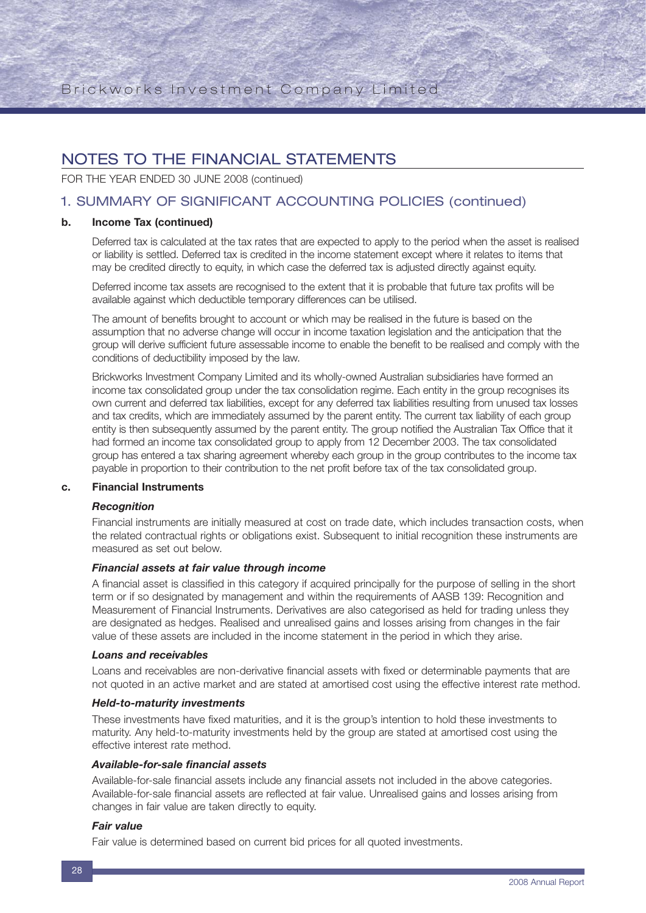FOR THE YEAR ENDED 30 JUNE 2008 (continued)

## 1. SUMMARY OF SIGNIFICANT ACCOUNTING POLICIES (continued)

#### **b. Income Tax (continued)**

Deferred tax is calculated at the tax rates that are expected to apply to the period when the asset is realised or liability is settled. Deferred tax is credited in the income statement except where it relates to items that may be credited directly to equity, in which case the deferred tax is adjusted directly against equity.

Deferred income tax assets are recognised to the extent that it is probable that future tax profits will be available against which deductible temporary differences can be utilised.

The amount of benefits brought to account or which may be realised in the future is based on the assumption that no adverse change will occur in income taxation legislation and the anticipation that the group will derive sufficient future assessable income to enable the benefit to be realised and comply with the conditions of deductibility imposed by the law.

Brickworks Investment Company Limited and its wholly-owned Australian subsidiaries have formed an income tax consolidated group under the tax consolidation regime. Each entity in the group recognises its own current and deferred tax liabilities, except for any deferred tax liabilities resulting from unused tax losses and tax credits, which are immediately assumed by the parent entity. The current tax liability of each group entity is then subsequently assumed by the parent entity. The group notified the Australian Tax Office that it had formed an income tax consolidated group to apply from 12 December 2003. The tax consolidated group has entered a tax sharing agreement whereby each group in the group contributes to the income tax payable in proportion to their contribution to the net profit before tax of the tax consolidated group.

#### **c. Financial Instruments**

#### *Recognition*

Financial instruments are initially measured at cost on trade date, which includes transaction costs, when the related contractual rights or obligations exist. Subsequent to initial recognition these instruments are measured as set out below.

#### *Financial assets at fair value through income*

A financial asset is classified in this category if acquired principally for the purpose of selling in the short term or if so designated by management and within the requirements of AASB 139: Recognition and Measurement of Financial Instruments. Derivatives are also categorised as held for trading unless they are designated as hedges. Realised and unrealised gains and losses arising from changes in the fair value of these assets are included in the income statement in the period in which they arise.

#### *Loans and receivables*

Loans and receivables are non-derivative financial assets with fixed or determinable payments that are not quoted in an active market and are stated at amortised cost using the effective interest rate method.

#### *Held-to-maturity investments*

These investments have fixed maturities, and it is the group's intention to hold these investments to maturity. Any held-to-maturity investments held by the group are stated at amortised cost using the effective interest rate method.

#### *Available-for-sale financial assets*

Available-for-sale financial assets include any financial assets not included in the above categories. Available-for-sale financial assets are reflected at fair value. Unrealised gains and losses arising from changes in fair value are taken directly to equity.

#### *Fair value*

Fair value is determined based on current bid prices for all quoted investments.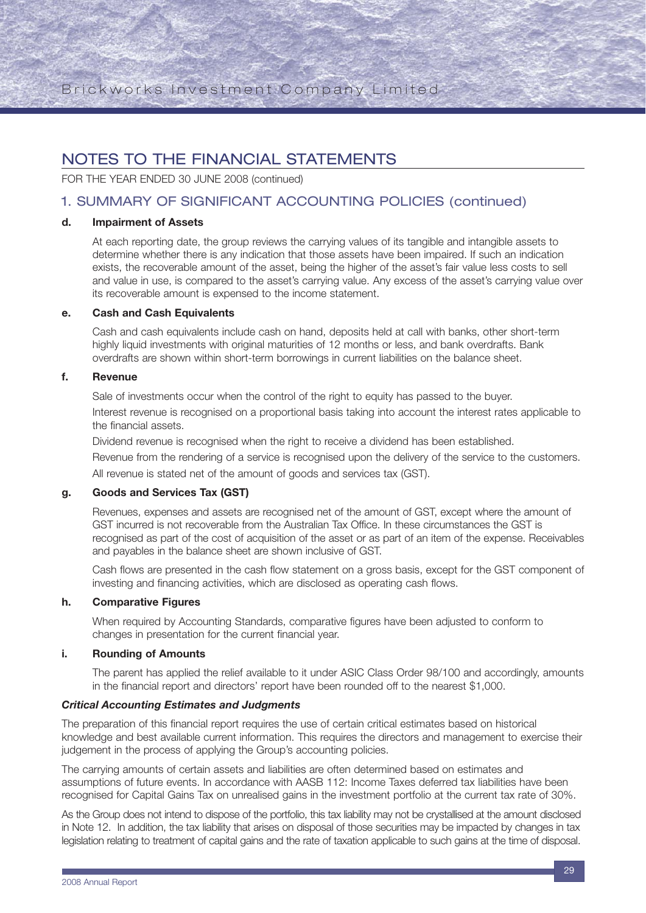## NOTES TO THE FINANCIAL STATEMENTS

FOR THE YEAR ENDED 30 JUNE 2008 (continued)

## 1. SUMMARY OF SIGNIFICANT ACCOUNTING POLICIES (continued)

#### **d. Impairment of Assets**

At each reporting date, the group reviews the carrying values of its tangible and intangible assets to determine whether there is any indication that those assets have been impaired. If such an indication exists, the recoverable amount of the asset, being the higher of the asset's fair value less costs to sell and value in use, is compared to the asset's carrying value. Any excess of the asset's carrying value over its recoverable amount is expensed to the income statement.

#### **e. Cash and Cash Equivalents**

Cash and cash equivalents include cash on hand, deposits held at call with banks, other short-term highly liquid investments with original maturities of 12 months or less, and bank overdrafts. Bank overdrafts are shown within short-term borrowings in current liabilities on the balance sheet.

#### **f. Revenue**

Sale of investments occur when the control of the right to equity has passed to the buyer. Interest revenue is recognised on a proportional basis taking into account the interest rates applicable to the financial assets.

Dividend revenue is recognised when the right to receive a dividend has been established.

Revenue from the rendering of a service is recognised upon the delivery of the service to the customers. All revenue is stated net of the amount of goods and services tax (GST).

#### **g. Goods and Services Tax (GST)**

Revenues, expenses and assets are recognised net of the amount of GST, except where the amount of GST incurred is not recoverable from the Australian Tax Office. In these circumstances the GST is recognised as part of the cost of acquisition of the asset or as part of an item of the expense. Receivables and payables in the balance sheet are shown inclusive of GST.

Cash flows are presented in the cash flow statement on a gross basis, except for the GST component of investing and financing activities, which are disclosed as operating cash flows.

#### **h. Comparative Figures**

When required by Accounting Standards, comparative figures have been adjusted to conform to changes in presentation for the current financial year.

#### **i. Rounding of Amounts**

The parent has applied the relief available to it under ASIC Class Order 98/100 and accordingly, amounts in the financial report and directors' report have been rounded off to the nearest \$1,000.

#### *Critical Accounting Estimates and Judgments*

The preparation of this financial report requires the use of certain critical estimates based on historical knowledge and best available current information. This requires the directors and management to exercise their judgement in the process of applying the Group's accounting policies.

The carrying amounts of certain assets and liabilities are often determined based on estimates and assumptions of future events. In accordance with AASB 112: Income Taxes deferred tax liabilities have been recognised for Capital Gains Tax on unrealised gains in the investment portfolio at the current tax rate of 30%.

As the Group does not intend to dispose of the portfolio, this tax liability may not be crystallised at the amount disclosed in Note 12. In addition, the tax liability that arises on disposal of those securities may be impacted by changes in tax legislation relating to treatment of capital gains and the rate of taxation applicable to such gains at the time of disposal.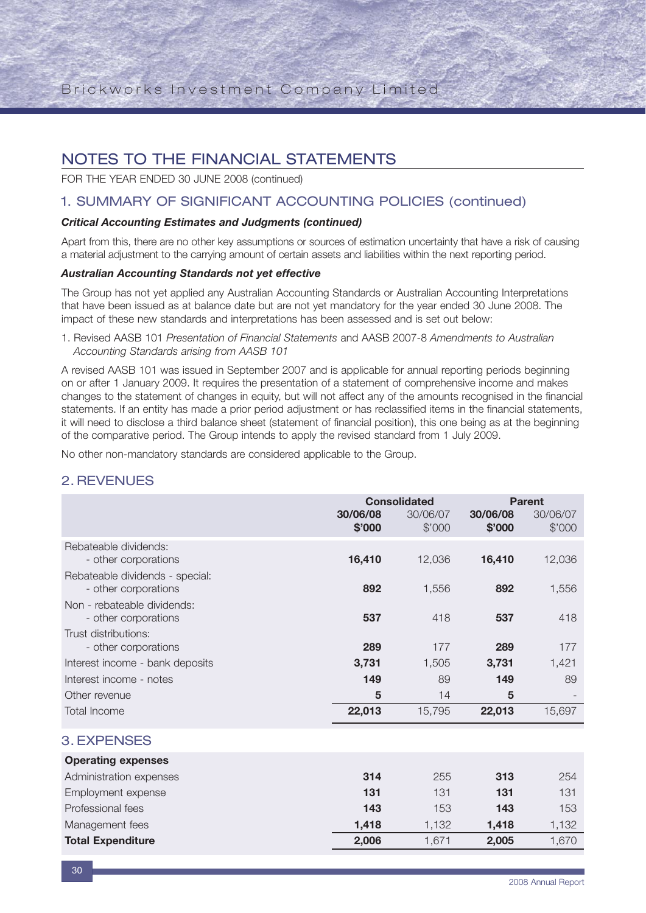FOR THE YEAR ENDED 30 JUNE 2008 (continued)

### 1. SUMMARY OF SIGNIFICANT ACCOUNTING POLICIES (continued)

#### *Critical Accounting Estimates and Judgments (continued)*

Apart from this, there are no other key assumptions or sources of estimation uncertainty that have a risk of causing a material adjustment to the carrying amount of certain assets and liabilities within the next reporting period.

#### *Australian Accounting Standards not yet effective*

The Group has not yet applied any Australian Accounting Standards or Australian Accounting Interpretations that have been issued as at balance date but are not yet mandatory for the year ended 30 June 2008. The impact of these new standards and interpretations has been assessed and is set out below:

1. Revised AASB 101 *Presentation of Financial Statements* and AASB 2007-8 *Amendments to Australian Accounting Standards arising from AASB 101*

A revised AASB 101 was issued in September 2007 and is applicable for annual reporting periods beginning on or after 1 January 2009. It requires the presentation of a statement of comprehensive income and makes changes to the statement of changes in equity, but will not affect any of the amounts recognised in the financial statements. If an entity has made a prior period adjustment or has reclassified items in the financial statements, it will need to disclose a third balance sheet (statement of financial position), this one being as at the beginning of the comparative period. The Group intends to apply the revised standard from 1 July 2009.

No other non-mandatory standards are considered applicable to the Group.

### 2. REVENUES

|                                 | <b>Consolidated</b> |                    | <b>Parent</b>      |                    |
|---------------------------------|---------------------|--------------------|--------------------|--------------------|
|                                 | 30/06/08<br>\$'000  | 30/06/07<br>\$'000 | 30/06/08<br>\$'000 | 30/06/07<br>\$'000 |
| Rebateable dividends:           |                     |                    |                    |                    |
| - other corporations            | 16,410              | 12,036             | 16,410             | 12,036             |
| Rebateable dividends - special: |                     |                    |                    |                    |
| - other corporations            | 892                 | 1,556              | 892                | 1,556              |
| Non - rebateable dividends:     |                     |                    |                    |                    |
| - other corporations            | 537                 | 418                | 537                | 418                |
| Trust distributions:            |                     |                    |                    |                    |
| - other corporations            | 289                 | 177                | 289                | 177                |
| Interest income - bank deposits | 3,731               | 1,505              | 3,731              | 1,421              |
| Interest income - notes         | 149                 | 89                 | 149                | 89                 |
| Other revenue                   | 5                   | 14                 | 5                  |                    |
| <b>Total Income</b>             | 22,013              | 15,795             | 22,013             | 15,697             |
| <b>3. EXPENSES</b>              |                     |                    |                    |                    |
| <b>Operating expenses</b>       |                     |                    |                    |                    |
| Administration expenses         | 314                 | 255                | 313                | 254                |
| Employment expense              | 131                 | 131                | 131                | 131                |

Professional fees **143** 153 **143** 153 Management fees **1,418** 1,132 **1,418** 1,132 **Total Expenditure 2,006** 1,671 **2,005** 1,670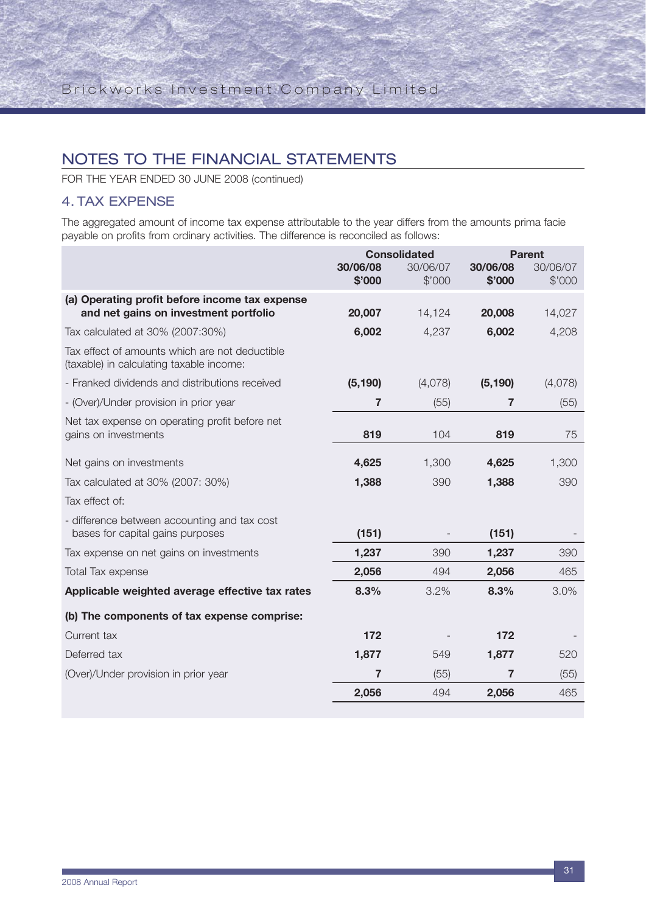FOR THE YEAR ENDED 30 JUNE 2008 (continued)

## 4. TAX EXPENSE

The aggregated amount of income tax expense attributable to the year differs from the amounts prima facie payable on profits from ordinary activities. The difference is reconciled as follows:

|                                                                                            | <b>Consolidated</b> |                    |                    | <b>Parent</b>      |
|--------------------------------------------------------------------------------------------|---------------------|--------------------|--------------------|--------------------|
|                                                                                            | 30/06/08<br>\$'000  | 30/06/07<br>\$'000 | 30/06/08<br>\$'000 | 30/06/07<br>\$'000 |
| (a) Operating profit before income tax expense<br>and net gains on investment portfolio    | 20,007              | 14,124             | 20,008             | 14,027             |
| Tax calculated at 30% (2007:30%)                                                           | 6,002               | 4,237              | 6,002              | 4,208              |
| Tax effect of amounts which are not deductible<br>(taxable) in calculating taxable income: |                     |                    |                    |                    |
| - Franked dividends and distributions received                                             | (5, 190)            | (4,078)            | (5, 190)           | (4,078)            |
| - (Over)/Under provision in prior year                                                     | 7                   | (55)               | 7                  | (55)               |
| Net tax expense on operating profit before net<br>gains on investments                     | 819                 | 104                | 819                | 75                 |
| Net gains on investments                                                                   | 4,625               | 1,300              | 4,625              | 1,300              |
| Tax calculated at 30% (2007: 30%)                                                          | 1,388               | 390                | 1,388              | 390                |
| Tax effect of:                                                                             |                     |                    |                    |                    |
| - difference between accounting and tax cost<br>bases for capital gains purposes           | (151)               |                    | (151)              |                    |
| Tax expense on net gains on investments                                                    | 1,237               | 390                | 1,237              | 390                |
| <b>Total Tax expense</b>                                                                   | 2,056               | 494                | 2,056              | 465                |
| Applicable weighted average effective tax rates                                            | 8.3%                | 3.2%               | 8.3%               | 3.0%               |
| (b) The components of tax expense comprise:                                                |                     |                    |                    |                    |
| Current tax                                                                                | 172                 |                    | 172                |                    |
| Deferred tax                                                                               | 1,877               | 549                | 1,877              | 520                |
| (Over)/Under provision in prior year                                                       | $\overline{7}$      | (55)               | 7                  | (55)               |
|                                                                                            | 2,056               | 494                | 2,056              | 465                |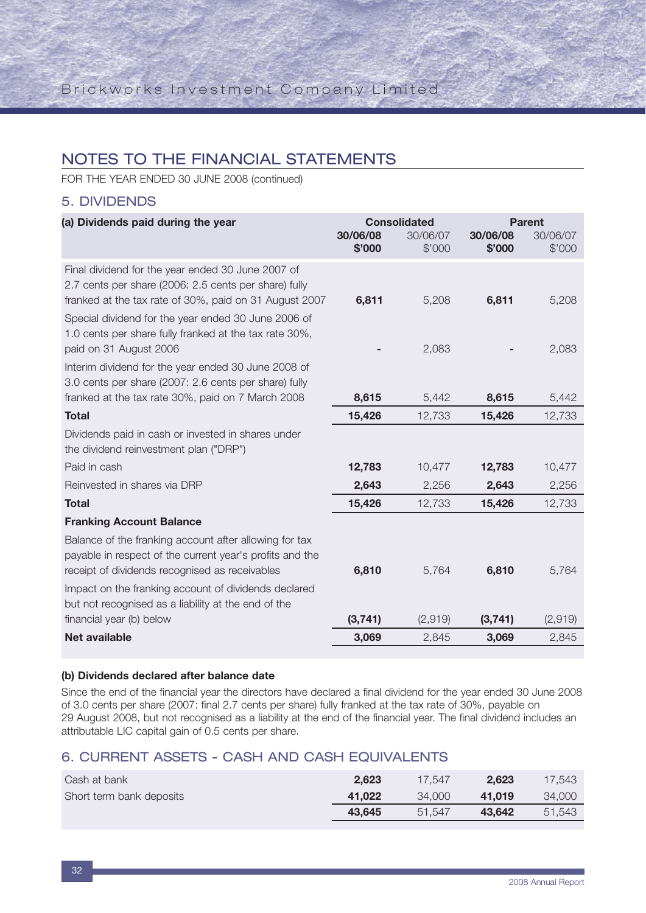FOR THE YEAR ENDED 30 JUNE 2008 (continued)

### 5. DIVIDENDS

| (a) Dividends paid during the year                                                                              |                    | <b>Consolidated</b> |                    | <b>Parent</b>      |  |
|-----------------------------------------------------------------------------------------------------------------|--------------------|---------------------|--------------------|--------------------|--|
|                                                                                                                 | 30/06/08<br>\$'000 | 30/06/07<br>\$'000  | 30/06/08<br>\$'000 | 30/06/07<br>\$'000 |  |
|                                                                                                                 |                    |                     |                    |                    |  |
| Final dividend for the year ended 30 June 2007 of                                                               |                    |                     |                    |                    |  |
| 2.7 cents per share (2006: 2.5 cents per share) fully<br>franked at the tax rate of 30%, paid on 31 August 2007 | 6,811              | 5,208               | 6,811              | 5,208              |  |
| Special dividend for the year ended 30 June 2006 of                                                             |                    |                     |                    |                    |  |
| 1.0 cents per share fully franked at the tax rate 30%,                                                          |                    |                     |                    |                    |  |
| paid on 31 August 2006                                                                                          |                    | 2,083               |                    | 2,083              |  |
| Interim dividend for the year ended 30 June 2008 of                                                             |                    |                     |                    |                    |  |
| 3.0 cents per share (2007: 2.6 cents per share) fully                                                           |                    |                     |                    |                    |  |
| franked at the tax rate 30%, paid on 7 March 2008                                                               | 8,615              | 5,442               | 8,615              | 5,442              |  |
| <b>Total</b>                                                                                                    | 15,426             | 12,733              | 15,426             | 12,733             |  |
| Dividends paid in cash or invested in shares under                                                              |                    |                     |                    |                    |  |
| the dividend reinvestment plan ("DRP")                                                                          |                    |                     |                    |                    |  |
| Paid in cash                                                                                                    | 12,783             | 10,477              | 12,783             | 10,477             |  |
| Reinvested in shares via DRP                                                                                    | 2,643              | 2,256               | 2,643              | 2,256              |  |
| <b>Total</b>                                                                                                    | 15,426             | 12,733              | 15,426             | 12,733             |  |
| <b>Franking Account Balance</b>                                                                                 |                    |                     |                    |                    |  |
| Balance of the franking account after allowing for tax                                                          |                    |                     |                    |                    |  |
| payable in respect of the current year's profits and the                                                        |                    |                     |                    |                    |  |
| receipt of dividends recognised as receivables                                                                  | 6,810              | 5,764               | 6,810              | 5,764              |  |
| Impact on the franking account of dividends declared                                                            |                    |                     |                    |                    |  |
| but not recognised as a liability at the end of the                                                             |                    |                     |                    |                    |  |
| financial year (b) below                                                                                        | (3,741)            | (2,919)             | (3,741)            | (2,919)            |  |
| <b>Net available</b>                                                                                            | 3,069              | 2,845               | 3,069              | 2,845              |  |

#### **(b) Dividends declared after balance date**

Since the end of the financial year the directors have declared a final dividend for the year ended 30 June 2008 of 3.0 cents per share (2007: final 2.7 cents per share) fully franked at the tax rate of 30%, payable on 29 August 2008, but not recognised as a liability at the end of the financial year. The final dividend includes an attributable LIC capital gain of 0.5 cents per share.

### 6. CURRENT ASSETS - CASH AND CASH EQUIVALENTS

| Cash at bank             | 2.623  | 17.547 | 2.623  | 17.543 |
|--------------------------|--------|--------|--------|--------|
| Short term bank deposits | 41.022 | 34,000 | 41.019 | 34.000 |
|                          | 43.645 | 51.547 | 43.642 | 51.543 |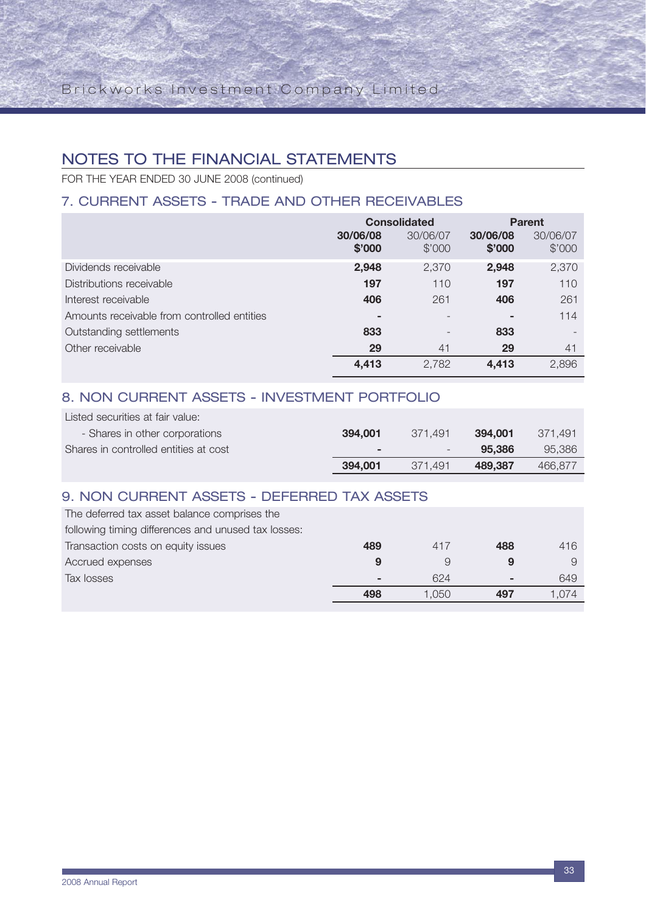FOR THE YEAR ENDED 30 JUNE 2008 (continued)

## 7. CURRENT ASSETS - TRADE AND OTHER RECEIVABLES

|                                             | <b>Consolidated</b>      |                          | <b>Parent</b>      |                    |
|---------------------------------------------|--------------------------|--------------------------|--------------------|--------------------|
|                                             | 30/06/08<br>\$'000       | 30/06/07<br>\$'000       | 30/06/08<br>\$'000 | 30/06/07<br>\$'000 |
| Dividends receivable                        | 2,948                    | 2,370                    | 2,948              | 2,370              |
| Distributions receivable                    | 197                      | 110                      | 197                | 110                |
| Interest receivable                         | 406                      | 261                      | 406                | 261                |
| Amounts receivable from controlled entities | $\overline{\phantom{a}}$ |                          | ۰                  | 114                |
| Outstanding settlements                     | 833                      | $\overline{\phantom{0}}$ | 833                |                    |
| Other receivable                            | 29                       | 41                       | 29                 | 41                 |
|                                             | 4,413                    | 2,782                    | 4,413              | 2,896              |

#### 8. NON CURRENT ASSETS - INVESTMENT PORTFOLIO Listed securities at fair value:

| Listed securities at fair value:      |                          |                          |         |          |
|---------------------------------------|--------------------------|--------------------------|---------|----------|
| - Shares in other corporations        | 394.001                  | 371.491                  | 394.001 | -371.491 |
| Shares in controlled entities at cost | $\overline{\phantom{a}}$ | $\overline{\phantom{a}}$ | 95.386  | 95.386   |
|                                       | 394.001                  | 371.491                  | 489.387 | 466.877  |

## 9. NON CURRENT ASSETS - DEFERRED TAX ASSETS

| The deferred tax asset balance comprises the        |     |       |     |       |
|-----------------------------------------------------|-----|-------|-----|-------|
| following timing differences and unused tax losses: |     |       |     |       |
| Transaction costs on equity issues                  | 489 | 417   | 488 | 416   |
| Accrued expenses                                    |     |       | 9   |       |
| Tax losses                                          | -   | 624   | ۰.  | 649   |
|                                                     | 498 | 1.050 |     | 1.074 |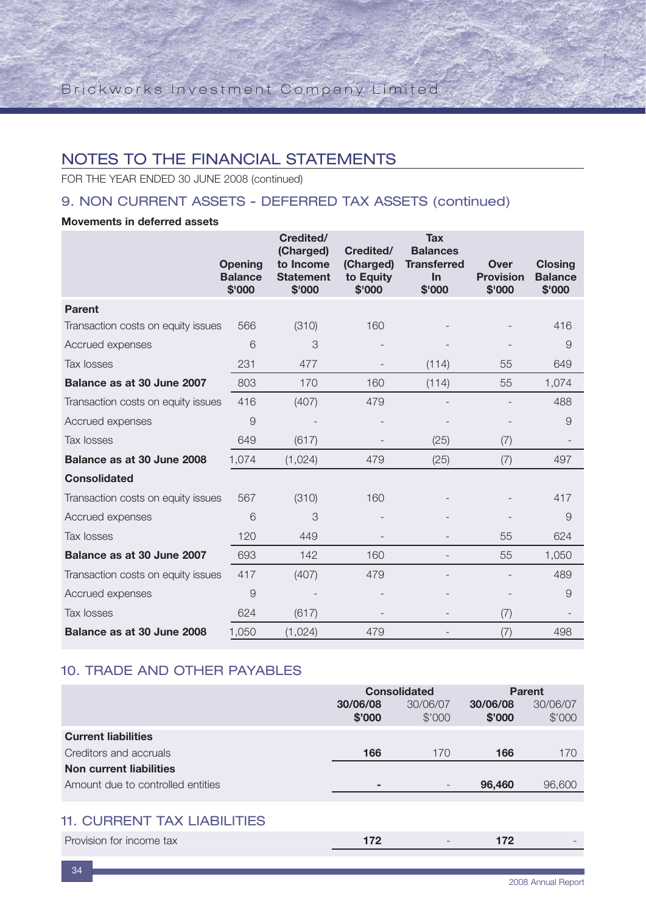FOR THE YEAR ENDED 30 JUNE 2008 (continued)

## 9. NON CURRENT ASSETS - DEFERRED TAX ASSETS (continued)

### **Movements in deferred assets**

|                                    | <b>Opening</b><br><b>Balance</b><br>\$'000 | Credited/<br>(Charged)<br>to Income<br><b>Statement</b><br>\$'000 | Credited/<br>(Charged)<br>to Equity<br>\$'000 | <b>Tax</b><br><b>Balances</b><br><b>Transferred</b><br>In<br>\$'000 | <b>Over</b><br><b>Provision</b><br>\$'000 | <b>Closing</b><br><b>Balance</b><br>\$'000 |
|------------------------------------|--------------------------------------------|-------------------------------------------------------------------|-----------------------------------------------|---------------------------------------------------------------------|-------------------------------------------|--------------------------------------------|
| <b>Parent</b>                      |                                            |                                                                   |                                               |                                                                     |                                           |                                            |
| Transaction costs on equity issues | 566                                        | (310)                                                             | 160                                           |                                                                     |                                           | 416                                        |
| Accrued expenses                   | 6                                          | 3                                                                 |                                               |                                                                     |                                           | 9                                          |
| Tax losses                         | 231                                        | 477                                                               |                                               | (114)                                                               | 55                                        | 649                                        |
| Balance as at 30 June 2007         | 803                                        | 170                                                               | 160                                           | (114)                                                               | 55                                        | 1,074                                      |
| Transaction costs on equity issues | 416                                        | (407)                                                             | 479                                           |                                                                     |                                           | 488                                        |
| Accrued expenses                   | 9                                          |                                                                   |                                               |                                                                     |                                           | $\overline{9}$                             |
| Tax losses                         | 649                                        | (617)                                                             |                                               | (25)                                                                | (7)                                       |                                            |
| Balance as at 30 June 2008         | 1,074                                      | (1,024)                                                           | 479                                           | (25)                                                                | (7)                                       | 497                                        |
| <b>Consolidated</b>                |                                            |                                                                   |                                               |                                                                     |                                           |                                            |
| Transaction costs on equity issues | 567                                        | (310)                                                             | 160                                           |                                                                     |                                           | 417                                        |
| Accrued expenses                   | 6                                          | 3                                                                 |                                               |                                                                     |                                           | 9                                          |
| Tax losses                         | 120                                        | 449                                                               |                                               |                                                                     | 55                                        | 624                                        |
| Balance as at 30 June 2007         | 693                                        | 142                                                               | 160                                           |                                                                     | 55                                        | 1,050                                      |
| Transaction costs on equity issues | 417                                        | (407)                                                             | 479                                           |                                                                     |                                           | 489                                        |
| Accrued expenses                   | 9                                          |                                                                   |                                               |                                                                     |                                           | $\overline{9}$                             |
| Tax losses                         | 624                                        | (617)                                                             |                                               |                                                                     | (7)                                       |                                            |
| Balance as at 30 June 2008         | 1,050                                      | (1,024)                                                           | 479                                           |                                                                     | (7)                                       | 498                                        |

## 10. TRADE AND OTHER PAYABLES

|                                   | <b>Consolidated</b>      |                          | <b>Parent</b>      |                    |
|-----------------------------------|--------------------------|--------------------------|--------------------|--------------------|
|                                   | 30/06/08<br>\$'000       | 30/06/07<br>\$'000       | 30/06/08<br>\$'000 | 30/06/07<br>\$'000 |
| <b>Current liabilities</b>        |                          |                          |                    |                    |
| Creditors and accruals            | 166                      | 170                      | 166                | 170                |
| Non current liabilities           |                          |                          |                    |                    |
| Amount due to controlled entities | $\overline{\phantom{a}}$ | $\overline{\phantom{0}}$ | 96,460             | 96,600             |
|                                   |                          |                          |                    |                    |

## 11. CURRENT TAX LIABILITIES

| Provision for income tax |  |  |
|--------------------------|--|--|
|                          |  |  |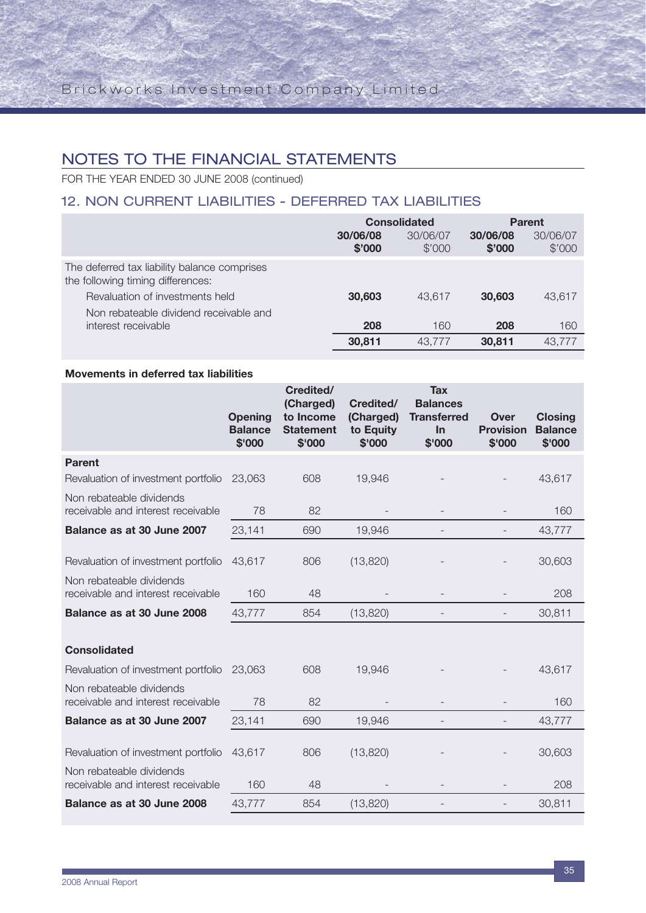## NOTES TO THE FINANCIAL STATEMENTS

FOR THE YEAR ENDED 30 JUNE 2008 (continued)

## 12. NON CURRENT LIABILITIES - DEFERRED TAX LIABILITIES

|                                                                                   | <b>Consolidated</b> |                    | <b>Parent</b>      |                    |
|-----------------------------------------------------------------------------------|---------------------|--------------------|--------------------|--------------------|
|                                                                                   | 30/06/08<br>\$'000  | 30/06/07<br>\$'000 | 30/06/08<br>\$'000 | 30/06/07<br>\$'000 |
| The deferred tax liability balance comprises<br>the following timing differences: |                     |                    |                    |                    |
| Revaluation of investments held                                                   | 30,603              | 43.617             | 30,603             | 43.617             |
| Non rebateable dividend receivable and                                            |                     |                    |                    |                    |
| interest receivable                                                               | 208                 | 160                | 208                | 160                |
|                                                                                   | 30.811              | 43.777             | 30,811             | 43.777             |

#### **Movements in deferred tax liabilities**

|                                                                 | <b>Opening</b><br><b>Balance</b><br>\$'000 | Credited/<br>(Charged)<br>to Income<br><b>Statement</b><br>\$'000 | Credited/<br>(Charged)<br>to Equity<br>\$'000 | <b>Tax</b><br><b>Balances</b><br><b>Transferred</b><br>In<br>\$'000 | Over<br><b>Provision</b><br>\$'000 | <b>Closing</b><br><b>Balance</b><br>\$'000 |
|-----------------------------------------------------------------|--------------------------------------------|-------------------------------------------------------------------|-----------------------------------------------|---------------------------------------------------------------------|------------------------------------|--------------------------------------------|
| <b>Parent</b>                                                   |                                            |                                                                   |                                               |                                                                     |                                    |                                            |
| Revaluation of investment portfolio                             | 23,063                                     | 608                                                               | 19,946                                        |                                                                     |                                    | 43,617                                     |
| Non rebateable dividends<br>receivable and interest receivable  | 78                                         | 82                                                                |                                               |                                                                     |                                    | 160                                        |
| Balance as at 30 June 2007                                      | 23,141                                     | 690                                                               | 19,946                                        |                                                                     |                                    | 43,777                                     |
| Revaluation of investment portfolio                             | 43,617                                     | 806                                                               | (13,820)                                      |                                                                     |                                    | 30,603                                     |
| Non rebateable dividends<br>receivable and interest receivable  | 160                                        | 48                                                                |                                               |                                                                     |                                    | 208                                        |
| Balance as at 30 June 2008                                      | 43,777                                     | 854                                                               | (13,820)                                      |                                                                     |                                    | 30,811                                     |
| <b>Consolidated</b>                                             |                                            |                                                                   |                                               |                                                                     |                                    |                                            |
| Revaluation of investment portfolio                             | 23,063                                     | 608                                                               | 19,946                                        |                                                                     |                                    | 43,617                                     |
| Non rebateable dividends<br>receivable and interest receivable  | 78                                         | 82                                                                |                                               |                                                                     |                                    | 160                                        |
| Balance as at 30 June 2007                                      | 23,141                                     | 690                                                               | 19,946                                        | $\overline{\phantom{a}}$                                            | $\overline{\phantom{a}}$           | 43,777                                     |
| Revaluation of investment portfolio<br>Non rebateable dividends | 43,617                                     | 806                                                               | (13,820)                                      |                                                                     |                                    | 30,603                                     |
| receivable and interest receivable                              | 160                                        | 48                                                                |                                               |                                                                     |                                    | 208                                        |
| Balance as at 30 June 2008                                      | 43,777                                     | 854                                                               | (13,820)                                      |                                                                     |                                    | 30,811                                     |
|                                                                 |                                            |                                                                   |                                               |                                                                     |                                    |                                            |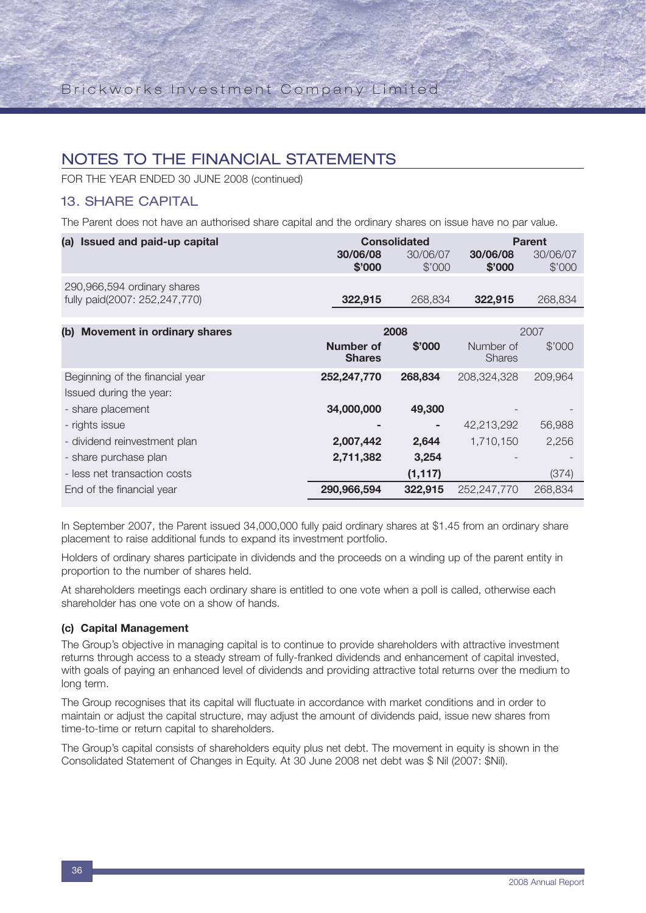FOR THE YEAR ENDED 30 JUNE 2008 (continued)

### 13. SHARE CAPITAL

The Parent does not have an authorised share capital and the ordinary shares on issue have no par value.

| (a) Issued and paid-up capital                               |                    | <b>Consolidated</b> | <b>Parent</b>      |                    |  |
|--------------------------------------------------------------|--------------------|---------------------|--------------------|--------------------|--|
|                                                              | 30/06/08<br>\$'000 | 30/06/07<br>\$'000  | 30/06/08<br>\$'000 | 30/06/07<br>\$'000 |  |
| 290,966,594 ordinary shares<br>fully paid(2007: 252,247,770) | 322.915            | 268.834             | 322.915            | 268,834            |  |
|                                                              |                    |                     |                    |                    |  |
| (b) Movement in ordinary shares                              |                    | 2008                |                    | 2007               |  |
|                                                              | Number of          | \$'000              | Number of          | \$'000             |  |

|                                 | <b>Shares</b> |          | <b>Shares</b> |         |
|---------------------------------|---------------|----------|---------------|---------|
| Beginning of the financial year | 252,247,770   | 268,834  | 208,324,328   | 209,964 |
| Issued during the year:         |               |          |               |         |
| - share placement               | 34,000,000    | 49,300   |               |         |
| - rights issue                  |               | ٠        | 42,213,292    | 56,988  |
| - dividend reinvestment plan    | 2,007,442     | 2,644    | 1,710,150     | 2,256   |
| - share purchase plan           | 2,711,382     | 3,254    |               |         |
| - less net transaction costs    |               | (1, 117) |               | (374)   |
| End of the financial year       | 290,966,594   | 322,915  | 252,247,770   | 268,834 |

In September 2007, the Parent issued 34,000,000 fully paid ordinary shares at \$1.45 from an ordinary share placement to raise additional funds to expand its investment portfolio.

Holders of ordinary shares participate in dividends and the proceeds on a winding up of the parent entity in proportion to the number of shares held.

At shareholders meetings each ordinary share is entitled to one vote when a poll is called, otherwise each shareholder has one vote on a show of hands.

### **(c) Capital Management**

The Group's objective in managing capital is to continue to provide shareholders with attractive investment returns through access to a steady stream of fully-franked dividends and enhancement of capital invested, with goals of paying an enhanced level of dividends and providing attractive total returns over the medium to long term.

The Group recognises that its capital will fluctuate in accordance with market conditions and in order to maintain or adjust the capital structure, may adjust the amount of dividends paid, issue new shares from time-to-time or return capital to shareholders.

The Group's capital consists of shareholders equity plus net debt. The movement in equity is shown in the Consolidated Statement of Changes in Equity. At 30 June 2008 net debt was \$ Nil (2007: \$Nil).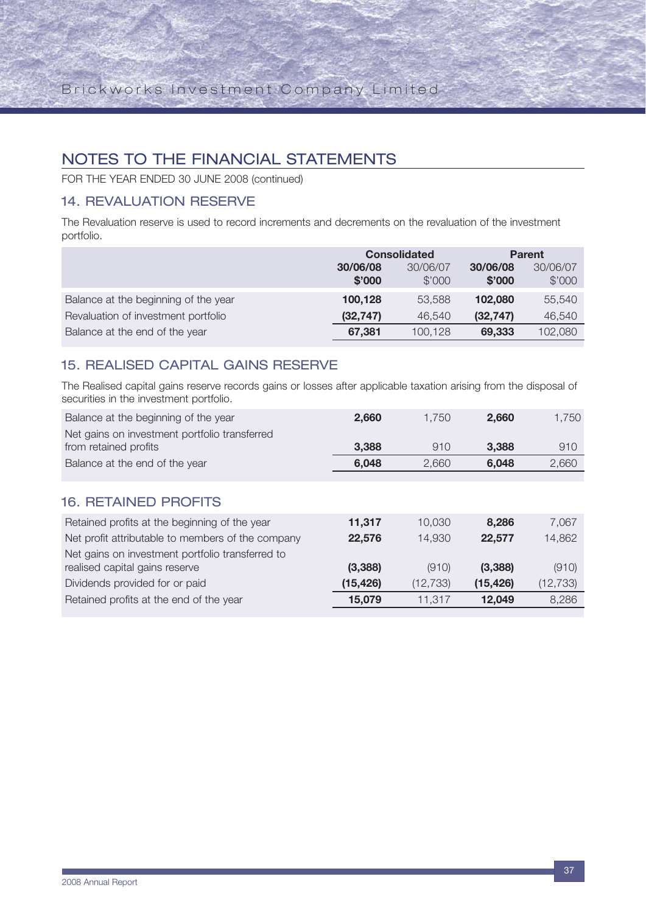FOR THE YEAR ENDED 30 JUNE 2008 (continued)

## 14. REVALUATION RESERVE

The Revaluation reserve is used to record increments and decrements on the revaluation of the investment portfolio.

|                                      | <b>Consolidated</b> |                    | <b>Parent</b>      |                    |
|--------------------------------------|---------------------|--------------------|--------------------|--------------------|
|                                      | 30/06/08<br>\$'000  | 30/06/07<br>\$'000 | 30/06/08<br>\$'000 | 30/06/07<br>\$'000 |
| Balance at the beginning of the year | 100,128             | 53.588             | 102,080            | 55,540             |
| Revaluation of investment portfolio  | (32, 747)           | 46.540             | (32, 747)          | 46,540             |
| Balance at the end of the year       | 67.381              | 100,128            | 69.333             | 102,080            |

## 15. REALISED CAPITAL GAINS RESERVE

The Realised capital gains reserve records gains or losses after applicable taxation arising from the disposal of securities in the investment portfolio.

| Balance at the beginning of the year              | 2,660     | 1,750     | 2,660     | 1,750     |
|---------------------------------------------------|-----------|-----------|-----------|-----------|
| Net gains on investment portfolio transferred     |           |           |           |           |
| from retained profits                             | 3,388     | 910       | 3,388     | 910       |
| Balance at the end of the year                    | 6,048     | 2,660     | 6,048     | 2,660     |
|                                                   |           |           |           |           |
| <b>16. RETAINED PROFITS</b>                       |           |           |           |           |
| Retained profits at the beginning of the year     | 11,317    | 10,030    | 8.286     | 7,067     |
| Net profit attributable to members of the company | 22,576    | 14,930    | 22,577    | 14,862    |
| Net gains on investment portfolio transferred to  |           |           |           |           |
| realised capital gains reserve                    | (3,388)   | (910)     | (3,388)   | (910)     |
| Dividends provided for or paid                    | (15, 426) | (12, 733) | (15, 426) | (12, 733) |
| Retained profits at the end of the year           | 15,079    | 11.317    | 12,049    | 8,286     |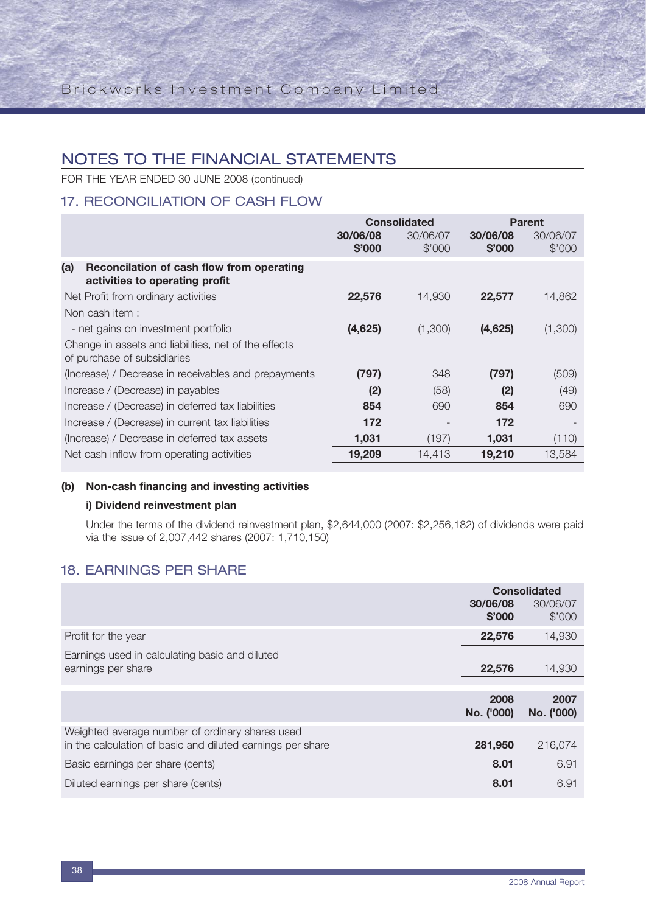FOR THE YEAR ENDED 30 JUNE 2008 (continued)

## 17. RECONCILIATION OF CASH FLOW

|                                                                                     | <b>Consolidated</b> |                    |                    | <b>Parent</b>      |
|-------------------------------------------------------------------------------------|---------------------|--------------------|--------------------|--------------------|
|                                                                                     | 30/06/08<br>\$'000  | 30/06/07<br>\$'000 | 30/06/08<br>\$'000 | 30/06/07<br>\$'000 |
| (a)<br>Reconcilation of cash flow from operating<br>activities to operating profit  |                     |                    |                    |                    |
| Net Profit from ordinary activities                                                 | 22,576              | 14,930             | 22,577             | 14,862             |
| Non cash item:                                                                      |                     |                    |                    |                    |
| - net gains on investment portfolio                                                 | (4,625)             | (1,300)            | (4,625)            | (1,300)            |
| Change in assets and liabilities, net of the effects<br>of purchase of subsidiaries |                     |                    |                    |                    |
| (Increase) / Decrease in receivables and prepayments                                | (797)               | 348                | (797)              | (509)              |
| Increase / (Decrease) in payables                                                   | (2)                 | (58)               | (2)                | (49)               |
| Increase / (Decrease) in deferred tax liabilities                                   | 854                 | 690                | 854                | 690                |
| Increase / (Decrease) in current tax liabilities                                    | 172                 |                    | 172                |                    |
| (Increase) / Decrease in deferred tax assets                                        | 1,031               | (197)              | 1,031              | (110)              |
| Net cash inflow from operating activities                                           | 19,209              | 14,413             | 19,210             | 13,584             |

### **(b) Non-cash financing and investing activities**

### **i) Dividend reinvestment plan**

Under the terms of the dividend reinvestment plan, \$2,644,000 (2007: \$2,256,182) of dividends were paid via the issue of 2,007,442 shares (2007: 1,710,150)

## 18. EARNINGS PER SHARE

|                                                                                                               | <b>Consolidated</b> |                    |
|---------------------------------------------------------------------------------------------------------------|---------------------|--------------------|
|                                                                                                               | 30/06/08<br>\$'000  | 30/06/07<br>\$'000 |
| Profit for the year                                                                                           | 22,576              | 14,930             |
| Earnings used in calculating basic and diluted                                                                |                     |                    |
| earnings per share                                                                                            | 22,576              | 14,930             |
|                                                                                                               |                     |                    |
|                                                                                                               | 2008<br>No. ('000)  | 2007<br>No. ('000) |
| Weighted average number of ordinary shares used<br>in the calculation of basic and diluted earnings per share | 281,950             | 216,074            |
| Basic earnings per share (cents)                                                                              | 8.01                | 6.91               |
| Diluted earnings per share (cents)                                                                            | 8.01                | 6.91               |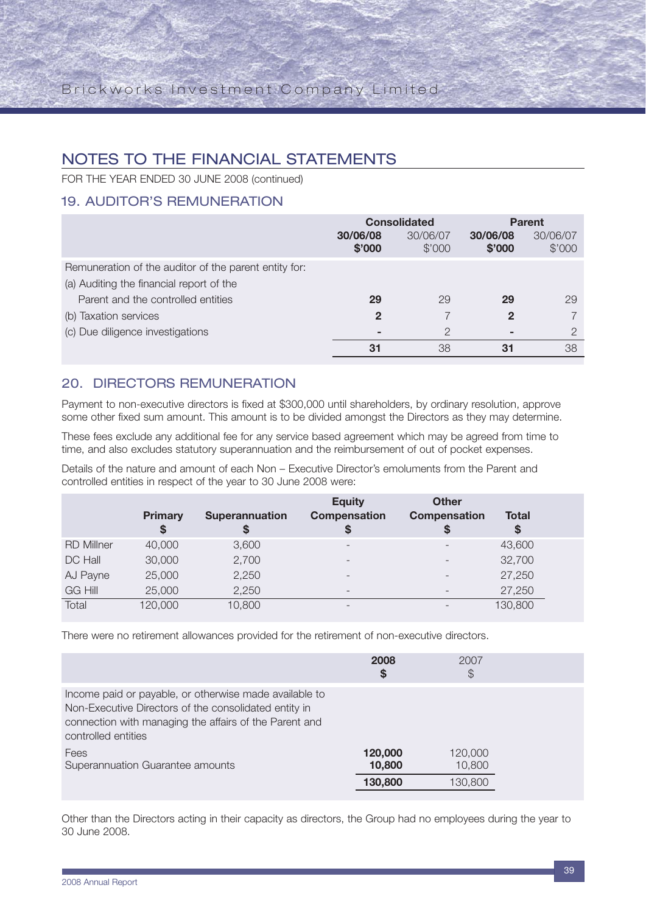FOR THE YEAR ENDED 30 JUNE 2008 (continued)

## 19. AUDITOR'S REMUNERATION

|                                                       | <b>Consolidated</b> |                    | <b>Parent</b>      |                    |
|-------------------------------------------------------|---------------------|--------------------|--------------------|--------------------|
|                                                       | 30/06/08<br>\$'000  | 30/06/07<br>\$'000 | 30/06/08<br>\$'000 | 30/06/07<br>\$'000 |
| Remuneration of the auditor of the parent entity for: |                     |                    |                    |                    |
| (a) Auditing the financial report of the              |                     |                    |                    |                    |
| Parent and the controlled entities                    | 29                  | 29                 | 29                 | 29                 |
| (b) Taxation services                                 | $\mathbf 2$         |                    | 2                  |                    |
| (c) Due diligence investigations                      | -                   | っ                  | ۰                  | $\Omega$           |
|                                                       | 31                  | 38                 | 31                 | 38                 |

### 20. DIRECTORS REMUNERATION

Payment to non-executive directors is fixed at \$300,000 until shareholders, by ordinary resolution, approve some other fixed sum amount. This amount is to be divided amongst the Directors as they may determine.

These fees exclude any additional fee for any service based agreement which may be agreed from time to time, and also excludes statutory superannuation and the reimbursement of out of pocket expenses.

Details of the nature and amount of each Non – Executive Director's emoluments from the Parent and controlled entities in respect of the year to 30 June 2008 were:

|                   | <b>Primary</b><br>\$ | <b>Superannuation</b><br>S | <b>Equity</b><br><b>Compensation</b> | <b>Other</b><br>Compensation<br>S | <b>Total</b><br>\$ |  |
|-------------------|----------------------|----------------------------|--------------------------------------|-----------------------------------|--------------------|--|
| <b>RD Millner</b> | 40,000               | 3,600                      | $\overline{\phantom{0}}$             | $\overline{\phantom{a}}$          | 43,600             |  |
| DC Hall           | 30,000               | 2,700                      |                                      | $\overline{\phantom{0}}$          | 32,700             |  |
| AJ Payne          | 25,000               | 2,250                      | $\overline{\phantom{0}}$             | $\overline{\phantom{0}}$          | 27,250             |  |
| <b>GG Hill</b>    | 25,000               | 2,250                      | $\overline{\phantom{0}}$             | $\overline{\phantom{0}}$          | 27,250             |  |
| Total             | 120,000              | 10,800                     | $\overline{\phantom{0}}$             | $\overline{\phantom{a}}$          | 130,800            |  |

There were no retirement allowances provided for the retirement of non-executive directors.

|                                                                                                                                                                                                  | 2008<br>\$                   | 2007<br>S                    |
|--------------------------------------------------------------------------------------------------------------------------------------------------------------------------------------------------|------------------------------|------------------------------|
| Income paid or payable, or otherwise made available to<br>Non-Executive Directors of the consolidated entity in<br>connection with managing the affairs of the Parent and<br>controlled entities |                              |                              |
| Fees<br>Superannuation Guarantee amounts                                                                                                                                                         | 120,000<br>10,800<br>130,800 | 120,000<br>10,800<br>130,800 |

Other than the Directors acting in their capacity as directors, the Group had no employees during the year to 30 June 2008.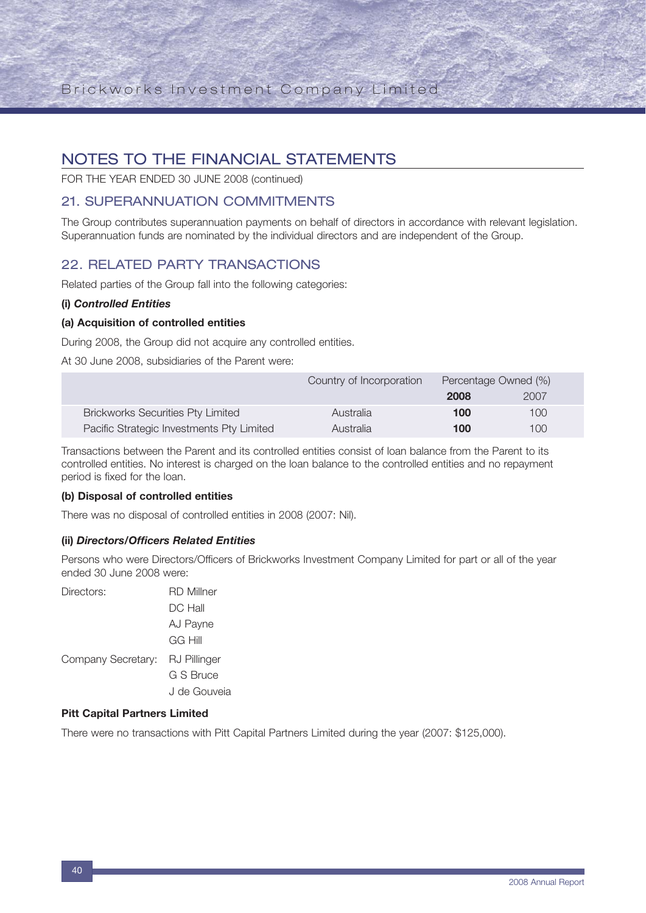## NOTES TO THE FINANCIAL STATEMENTS

FOR THE YEAR ENDED 30 JUNE 2008 (continued)

### 21. SUPERANNUATION COMMITMENTS

The Group contributes superannuation payments on behalf of directors in accordance with relevant legislation. Superannuation funds are nominated by the individual directors and are independent of the Group.

### 22. RELATED PARTY TRANSACTIONS

Related parties of the Group fall into the following categories:

#### **(i)** *Controlled Entities*

#### **(a) Acquisition of controlled entities**

During 2008, the Group did not acquire any controlled entities.

At 30 June 2008, subsidiaries of the Parent were:

|                                           | Country of Incorporation | Percentage Owned (%) |      |  |
|-------------------------------------------|--------------------------|----------------------|------|--|
|                                           |                          | 2008                 | 2007 |  |
| <b>Brickworks Securities Pty Limited</b>  | Australia                | 100                  | 100  |  |
| Pacific Strategic Investments Pty Limited | Australia                | 100                  | 100  |  |

Transactions between the Parent and its controlled entities consist of loan balance from the Parent to its controlled entities. No interest is charged on the loan balance to the controlled entities and no repayment period is fixed for the loan.

#### **(b) Disposal of controlled entities**

There was no disposal of controlled entities in 2008 (2007: Nil).

#### **(ii)** *Directors/Officers Related Entities*

Persons who were Directors/Officers of Brickworks Investment Company Limited for part or all of the year ended 30 June 2008 were:

| Directors:                      | <b>RD</b> Millner |
|---------------------------------|-------------------|
|                                 | DC Hall           |
|                                 | AJ Payne          |
|                                 | GG Hill           |
| Company Secretary: RJ Pillinger |                   |
|                                 | G S Bruce         |
|                                 | J de Gouveia      |

#### **Pitt Capital Partners Limited**

There were no transactions with Pitt Capital Partners Limited during the year (2007: \$125,000).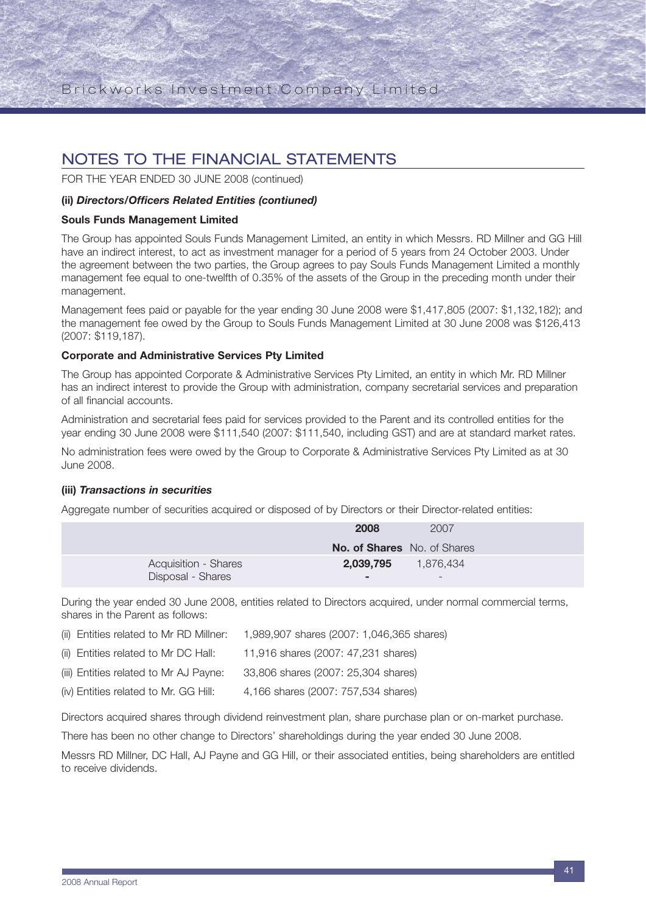FOR THE YEAR ENDED 30 JUNE 2008 (continued)

#### **(ii)** *Directors/Officers Related Entities (contiuned)*

#### **Souls Funds Management Limited**

The Group has appointed Souls Funds Management Limited, an entity in which Messrs. RD Millner and GG Hill have an indirect interest, to act as investment manager for a period of 5 years from 24 October 2003. Under the agreement between the two parties, the Group agrees to pay Souls Funds Management Limited a monthly management fee equal to one-twelfth of 0.35% of the assets of the Group in the preceding month under their management.

Management fees paid or payable for the year ending 30 June 2008 were \$1,417,805 (2007: \$1,132,182); and the management fee owed by the Group to Souls Funds Management Limited at 30 June 2008 was \$126,413 (2007: \$119,187).

#### **Corporate and Administrative Services Pty Limited**

The Group has appointed Corporate & Administrative Services Pty Limited, an entity in which Mr. RD Millner has an indirect interest to provide the Group with administration, company secretarial services and preparation of all financial accounts.

Administration and secretarial fees paid for services provided to the Parent and its controlled entities for the year ending 30 June 2008 were \$111,540 (2007: \$111,540, including GST) and are at standard market rates.

No administration fees were owed by the Group to Corporate & Administrative Services Pty Limited as at 30 June 2008.

#### **(iii)** *Transactions in securities*

Aggregate number of securities acquired or disposed of by Directors or their Director-related entities:

|                      | 2007<br>2008                       |  |
|----------------------|------------------------------------|--|
|                      | <b>No. of Shares</b> No. of Shares |  |
| Acquisition - Shares | 2,039,795<br>1.876.434             |  |
| Disposal - Shares    | $\overline{\phantom{0}}$           |  |

During the year ended 30 June 2008, entities related to Directors acquired, under normal commercial terms, shares in the Parent as follows:

| (ii) Entities related to Mr RD Millner: | 1,989,907 shares (2007: 1,046,365 shares) |
|-----------------------------------------|-------------------------------------------|
| (ii) Entities related to Mr DC Hall:    | 11,916 shares (2007: 47,231 shares)       |
| (iii) Entities related to Mr AJ Payne:  | 33,806 shares (2007: 25,304 shares)       |
| (iv) Entities related to Mr. GG Hill:   | 4,166 shares (2007: 757,534 shares)       |

Directors acquired shares through dividend reinvestment plan, share purchase plan or on-market purchase.

There has been no other change to Directors' shareholdings during the year ended 30 June 2008.

Messrs RD Millner, DC Hall, AJ Payne and GG Hill, or their associated entities, being shareholders are entitled to receive dividends.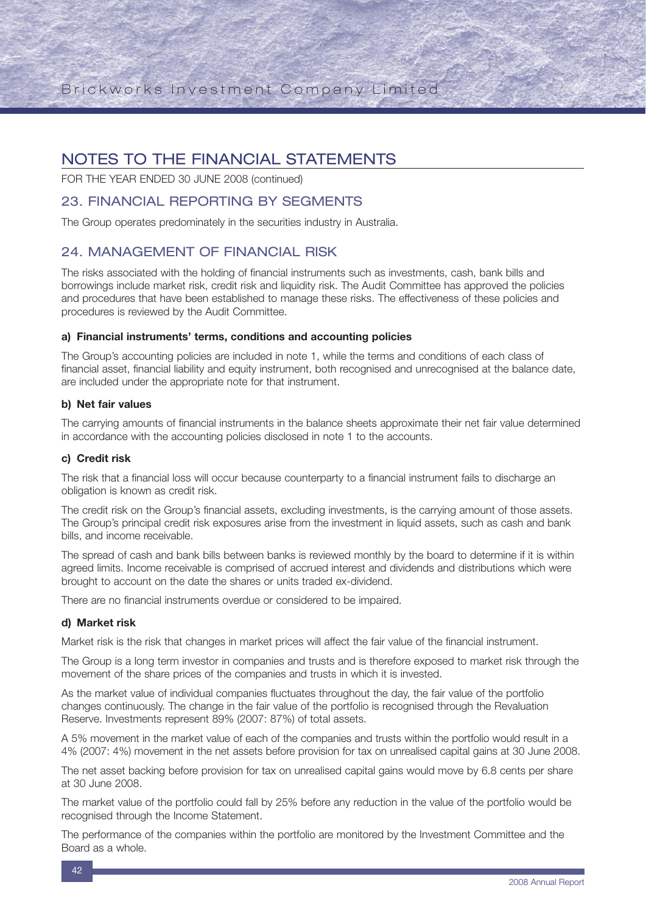FOR THE YEAR ENDED 30 JUNE 2008 (continued)

### 23. FINANCIAL REPORTING BY SEGMENTS

The Group operates predominately in the securities industry in Australia.

### 24. MANAGEMENT OF FINANCIAL RISK

The risks associated with the holding of financial instruments such as investments, cash, bank bills and borrowings include market risk, credit risk and liquidity risk. The Audit Committee has approved the policies and procedures that have been established to manage these risks. The effectiveness of these policies and procedures is reviewed by the Audit Committee.

#### **a) Financial instruments' terms, conditions and accounting policies**

The Group's accounting policies are included in note 1, while the terms and conditions of each class of financial asset, financial liability and equity instrument, both recognised and unrecognised at the balance date, are included under the appropriate note for that instrument.

#### **b) Net fair values**

The carrying amounts of financial instruments in the balance sheets approximate their net fair value determined in accordance with the accounting policies disclosed in note 1 to the accounts.

#### **c) Credit risk**

The risk that a financial loss will occur because counterparty to a financial instrument fails to discharge an obligation is known as credit risk.

The credit risk on the Group's financial assets, excluding investments, is the carrying amount of those assets. The Group's principal credit risk exposures arise from the investment in liquid assets, such as cash and bank bills, and income receivable.

The spread of cash and bank bills between banks is reviewed monthly by the board to determine if it is within agreed limits. Income receivable is comprised of accrued interest and dividends and distributions which were brought to account on the date the shares or units traded ex-dividend.

There are no financial instruments overdue or considered to be impaired.

#### **d) Market risk**

Market risk is the risk that changes in market prices will affect the fair value of the financial instrument.

The Group is a long term investor in companies and trusts and is therefore exposed to market risk through the movement of the share prices of the companies and trusts in which it is invested.

As the market value of individual companies fluctuates throughout the day, the fair value of the portfolio changes continuously. The change in the fair value of the portfolio is recognised through the Revaluation Reserve. Investments represent 89% (2007: 87%) of total assets.

A 5% movement in the market value of each of the companies and trusts within the portfolio would result in a 4% (2007: 4%) movement in the net assets before provision for tax on unrealised capital gains at 30 June 2008.

The net asset backing before provision for tax on unrealised capital gains would move by 6.8 cents per share at 30 June 2008.

The market value of the portfolio could fall by 25% before any reduction in the value of the portfolio would be recognised through the Income Statement.

The performance of the companies within the portfolio are monitored by the Investment Committee and the Board as a whole.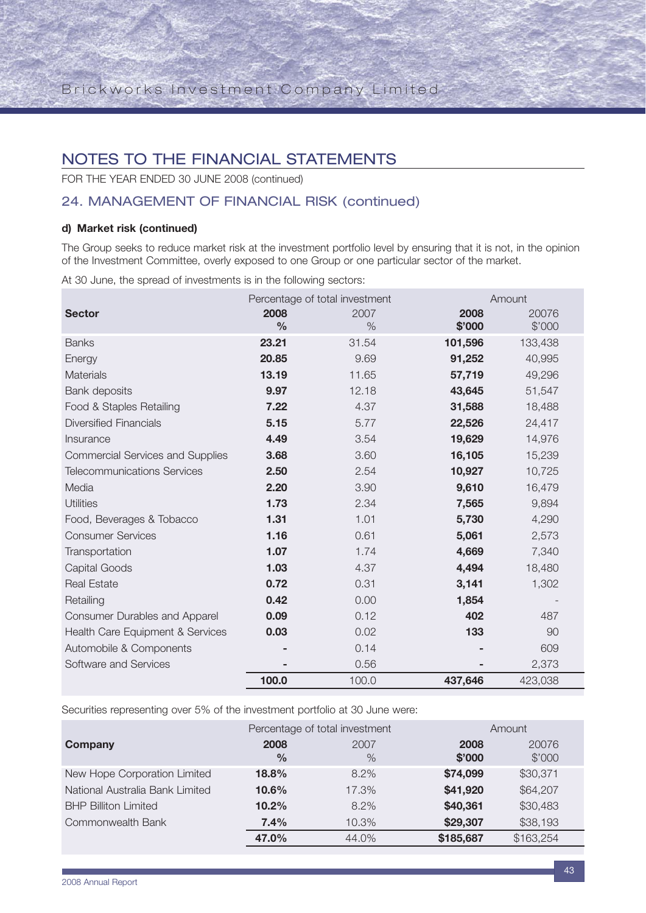FOR THE YEAR ENDED 30 JUNE 2008 (continued)

## 24. MANAGEMENT OF FINANCIAL RISK (continued)

### **d) Market risk (continued)**

The Group seeks to reduce market risk at the investment portfolio level by ensuring that it is not, in the opinion of the Investment Committee, overly exposed to one Group or one particular sector of the market.

At 30 June, the spread of investments is in the following sectors:

|                                         |               | Percentage of total investment |         | Amount  |
|-----------------------------------------|---------------|--------------------------------|---------|---------|
| <b>Sector</b>                           | 2008          | 2007                           | 2008    | 20076   |
|                                         | $\frac{0}{0}$ | %                              | \$'000  | \$'000  |
| <b>Banks</b>                            | 23.21         | 31.54                          | 101,596 | 133,438 |
| Energy                                  | 20.85         | 9.69                           | 91,252  | 40,995  |
| <b>Materials</b>                        | 13.19         | 11.65                          | 57,719  | 49,296  |
| <b>Bank deposits</b>                    | 9.97          | 12.18                          | 43,645  | 51,547  |
| Food & Staples Retailing                | 7.22          | 4.37                           | 31,588  | 18,488  |
| <b>Diversified Financials</b>           | 5.15          | 5.77                           | 22,526  | 24,417  |
| Insurance                               | 4.49          | 3.54                           | 19,629  | 14,976  |
| <b>Commercial Services and Supplies</b> | 3.68          | 3.60                           | 16,105  | 15,239  |
| <b>Telecommunications Services</b>      | 2.50          | 2.54                           | 10,927  | 10,725  |
| Media                                   | 2.20          | 3.90                           | 9,610   | 16,479  |
| <b>Utilities</b>                        | 1.73          | 2.34                           | 7,565   | 9,894   |
| Food, Beverages & Tobacco               | 1.31          | 1.01                           | 5,730   | 4,290   |
| <b>Consumer Services</b>                | 1.16          | 0.61                           | 5,061   | 2,573   |
| Transportation                          | 1.07          | 1.74                           | 4,669   | 7,340   |
| Capital Goods                           | 1.03          | 4.37                           | 4,494   | 18,480  |
| <b>Real Estate</b>                      | 0.72          | 0.31                           | 3,141   | 1,302   |
| Retailing                               | 0.42          | 0.00                           | 1,854   |         |
| <b>Consumer Durables and Apparel</b>    | 0.09          | 0.12                           | 402     | 487     |
| Health Care Equipment & Services        | 0.03          | 0.02                           | 133     | 90      |
| Automobile & Components                 |               | 0.14                           |         | 609     |
| Software and Services                   |               | 0.56                           |         | 2,373   |
|                                         | 100.0         | 100.0                          | 437,646 | 423,038 |

Securities representing over 5% of the investment portfolio at 30 June were:

|                                 | Percentage of total investment |              | Amount         |                 |
|---------------------------------|--------------------------------|--------------|----------------|-----------------|
| Company                         | 2008<br>$\frac{0}{0}$          | 2007<br>$\%$ | 2008<br>\$'000 | 20076<br>\$'000 |
| New Hope Corporation Limited    | 18.8%                          | $8.2\%$      | \$74,099       | \$30,371        |
| National Australia Bank Limited | 10.6%                          | 17.3%        | \$41,920       | \$64,207        |
| <b>BHP Billiton Limited</b>     | 10.2%                          | $8.2\%$      | \$40,361       | \$30,483        |
| Commonwealth Bank               | 7.4%                           | 10.3%        | \$29,307       | \$38,193        |
|                                 | 47.0%                          | 44.0%        | \$185,687      | \$163,254       |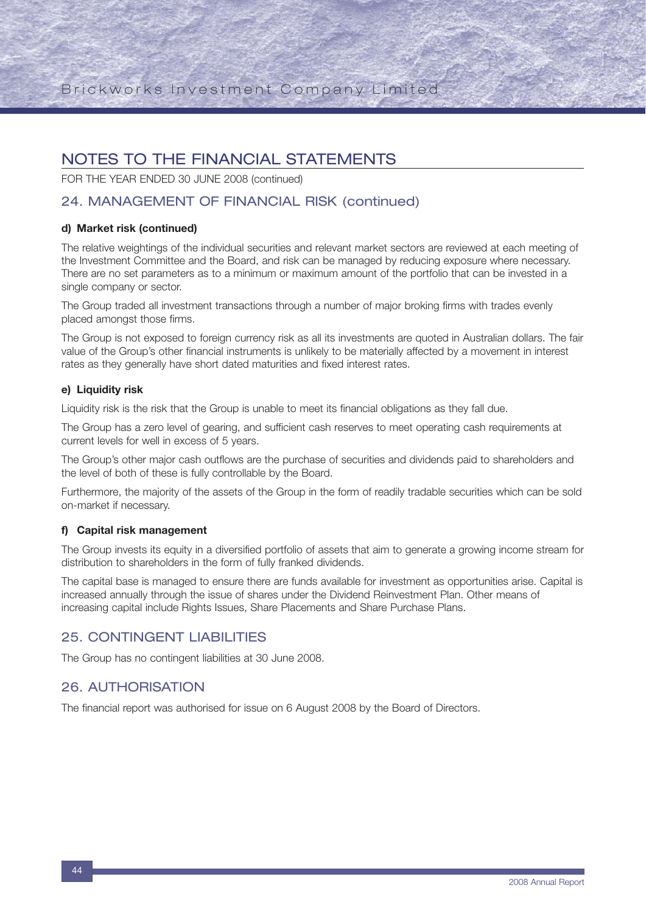FOR THE YEAR ENDED 30 JUNE 2008 (continued)

## 24. MANAGEMENT OF FINANCIAL RISK (continued)

#### **d) Market risk (continued)**

The relative weightings of the individual securities and relevant market sectors are reviewed at each meeting of the Investment Committee and the Board, and risk can be managed by reducing exposure where necessary. There are no set parameters as to a minimum or maximum amount of the portfolio that can be invested in a single company or sector.

The Group traded all investment transactions through a number of major broking firms with trades evenly placed amongst those firms.

The Group is not exposed to foreign currency risk as all its investments are quoted in Australian dollars. The fair value of the Group's other financial instruments is unlikely to be materially affected by a movement in interest rates as they generally have short dated maturities and fixed interest rates.

#### **e) Liquidity risk**

Liquidity risk is the risk that the Group is unable to meet its financial obligations as they fall due.

The Group has a zero level of gearing, and sufficient cash reserves to meet operating cash requirements at current levels for well in excess of 5 years.

The Group's other major cash outflows are the purchase of securities and dividends paid to shareholders and the level of both of these is fully controllable by the Board.

Furthermore, the majority of the assets of the Group in the form of readily tradable securities which can be sold on-market if necessary.

#### **f) Capital risk management**

The Group invests its equity in a diversified portfolio of assets that aim to generate a growing income stream for distribution to shareholders in the form of fully franked dividends.

The capital base is managed to ensure there are funds available for investment as opportunities arise. Capital is increased annually through the issue of shares under the Dividend Reinvestment Plan. Other means of increasing capital include Rights Issues, Share Placements and Share Purchase Plans.

### 25. CONTINGENT LIABILITIES

The Group has no contingent liabilities at 30 June 2008.

### 26. AUTHORISATION

The financial report was authorised for issue on 6 August 2008 by the Board of Directors.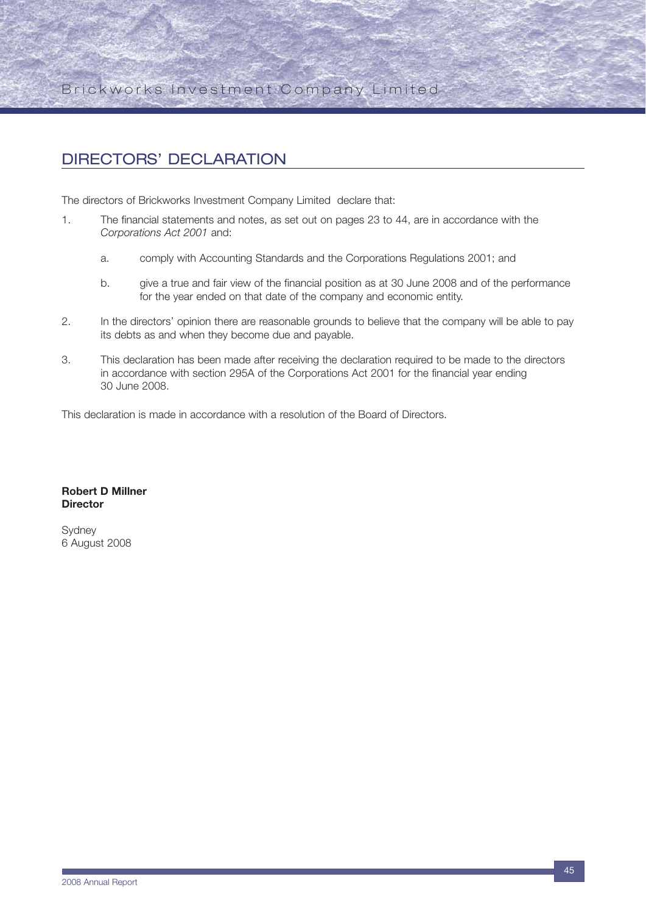## DIRECTORS' DECLARATION

The directors of Brickworks Investment Company Limited declare that:

- 1. The financial statements and notes, as set out on pages 23 to 44, are in accordance with the *Corporations Act 2001* and:
	- a. comply with Accounting Standards and the Corporations Regulations 2001; and
	- b. give a true and fair view of the financial position as at 30 June 2008 and of the performance for the year ended on that date of the company and economic entity.
- 2. In the directors' opinion there are reasonable grounds to believe that the company will be able to pay its debts as and when they become due and payable.
- 3. This declaration has been made after receiving the declaration required to be made to the directors in accordance with section 295A of the Corporations Act 2001 for the financial year ending 30 June 2008.

This declaration is made in accordance with a resolution of the Board of Directors.

#### **Robert D Millner Director**

Sydney 6 August 2008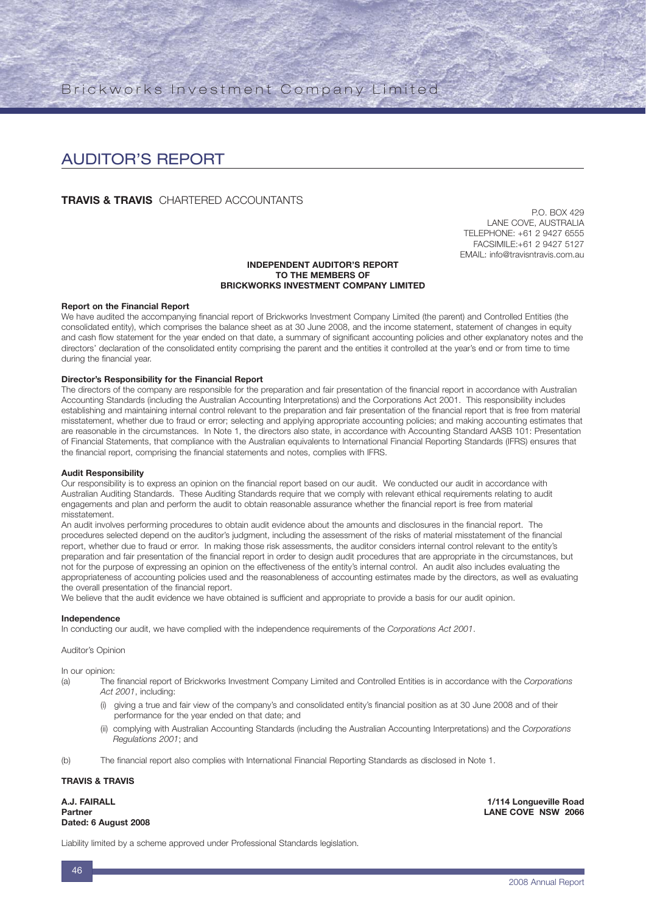## AUDITOR'S REPORT

#### **TRAVIS & TRAVIS** CHARTERED ACCOUNTANTS

P.O. BOX 429 LANE COVE, AUSTRALIA TELEPHONE: +61 2 9427 6555 FACSIMILE:+61 2 9427 5127 EMAIL: info@travisntravis.com.au

#### **INDEPENDENT AUDITOR'S REPORT TO THE MEMBERS OF BRICKWORKS INVESTMENT COMPANY LIMITED**

#### **Report on the Financial Report**

We have audited the accompanying financial report of Brickworks Investment Company Limited (the parent) and Controlled Entities (the consolidated entity), which comprises the balance sheet as at 30 June 2008, and the income statement, statement of changes in equity and cash flow statement for the year ended on that date, a summary of significant accounting policies and other explanatory notes and the directors' declaration of the consolidated entity comprising the parent and the entities it controlled at the year's end or from time to time during the financial year.

#### **Director's Responsibility for the Financial Report**

The directors of the company are responsible for the preparation and fair presentation of the financial report in accordance with Australian Accounting Standards (including the Australian Accounting Interpretations) and the Corporations Act 2001. This responsibility includes establishing and maintaining internal control relevant to the preparation and fair presentation of the financial report that is free from material misstatement, whether due to fraud or error; selecting and applying appropriate accounting policies; and making accounting estimates that are reasonable in the circumstances. In Note 1, the directors also state, in accordance with Accounting Standard AASB 101: Presentation of Financial Statements, that compliance with the Australian equivalents to International Financial Reporting Standards (IFRS) ensures that the financial report, comprising the financial statements and notes, complies with IFRS.

#### **Audit Responsibility**

Our responsibility is to express an opinion on the financial report based on our audit. We conducted our audit in accordance with Australian Auditing Standards. These Auditing Standards require that we comply with relevant ethical requirements relating to audit engagements and plan and perform the audit to obtain reasonable assurance whether the financial report is free from material misstatement.

An audit involves performing procedures to obtain audit evidence about the amounts and disclosures in the financial report. The procedures selected depend on the auditor's judgment, including the assessment of the risks of material misstatement of the financial report, whether due to fraud or error. In making those risk assessments, the auditor considers internal control relevant to the entity's preparation and fair presentation of the financial report in order to design audit procedures that are appropriate in the circumstances, but not for the purpose of expressing an opinion on the effectiveness of the entity's internal control. An audit also includes evaluating the appropriateness of accounting policies used and the reasonableness of accounting estimates made by the directors, as well as evaluating the overall presentation of the financial report.

We believe that the audit evidence we have obtained is sufficient and appropriate to provide a basis for our audit opinion.

#### **Independence**

In conducting our audit, we have complied with the independence requirements of the *Corporations Act 2001*.

Auditor's Opinion

In our opinion:

- (a) The financial report of Brickworks Investment Company Limited and Controlled Entities is in accordance with the *Corporations Act 2001*, including:
	- (i) giving a true and fair view of the company's and consolidated entity's financial position as at 30 June 2008 and of their performance for the year ended on that date; and
	- (ii) complying with Australian Accounting Standards (including the Australian Accounting Interpretations) and the *Corporations Regulations 2001*; and
- (b) The financial report also complies with International Financial Reporting Standards as disclosed in Note 1.

#### **TRAVIS & TRAVIS**

**Dated: 6 August 2008**

**A.J. FAIRALL 1/114 Longueville Road LANE COVE NSW 2066** 

Liability limited by a scheme approved under Professional Standards legislation.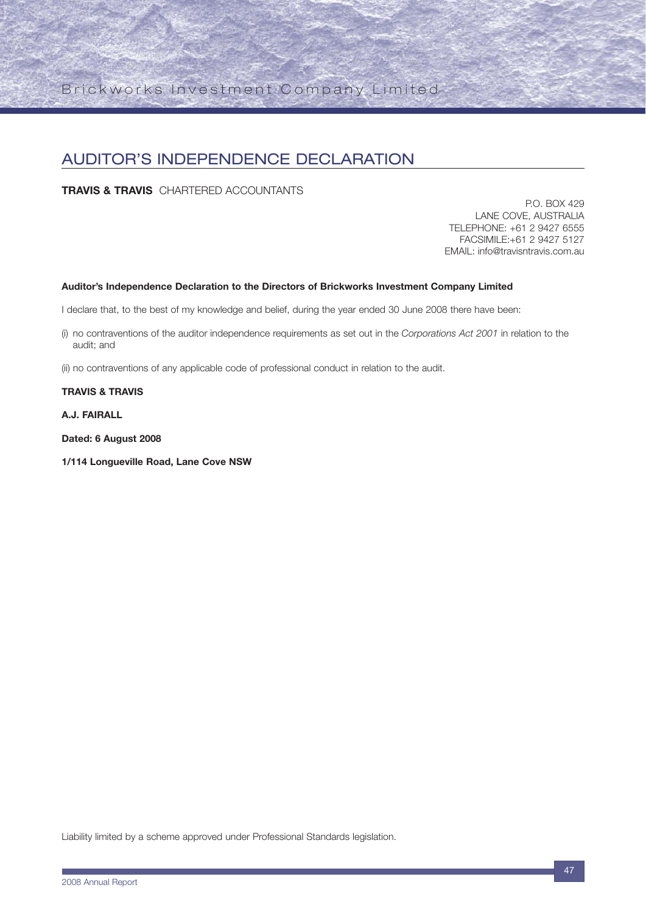## AUDITOR'S INDEPENDENCE DECLARATION

**TRAVIS & TRAVIS** CHARTERED ACCOUNTANTS

P.O. BOX 429 LANE COVE, AUSTRALIA TELEPHONE: +61 2 9427 6555 FACSIMILE:+61 2 9427 5127 EMAIL: info@travisntravis.com.au

#### **Auditor's Independence Declaration to the Directors of Brickworks Investment Company Limited**

I declare that, to the best of my knowledge and belief, during the year ended 30 June 2008 there have been:

- (i) no contraventions of the auditor independence requirements as set out in the *Corporations Act 2001* in relation to the audit; and
- (ii) no contraventions of any applicable code of professional conduct in relation to the audit.

#### **TRAVIS & TRAVIS**

**A.J. FAIRALL**

**Dated: 6 August 2008**

**1/114 Longueville Road, Lane Cove NSW**

Liability limited by a scheme approved under Professional Standards legislation.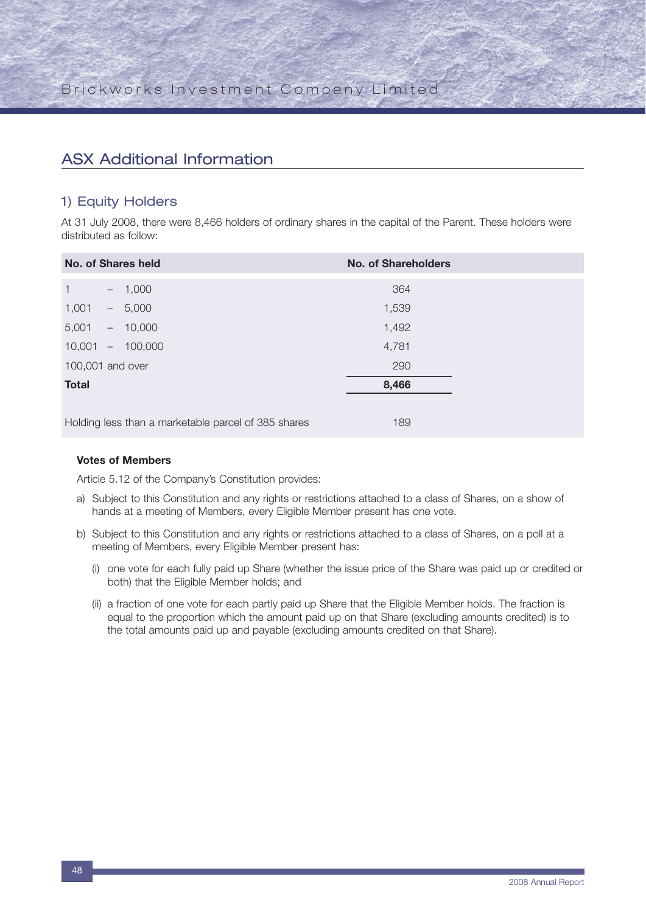## ASX Additional Information

### 1) Equity Holders

At 31 July 2008, there were 8,466 holders of ordinary shares in the capital of the Parent. These holders were distributed as follow:

| <b>No. of Shares held</b>                           |  |            | <b>No. of Shareholders</b> |  |
|-----------------------------------------------------|--|------------|----------------------------|--|
| $\mathbf{1}$                                        |  | $-1,000$   | 364                        |  |
| 1,001                                               |  | $-5,000$   | 1,539                      |  |
| 5,001                                               |  | $-10,000$  | 1,492                      |  |
| 10,001                                              |  | $-100,000$ | 4,781                      |  |
| 100,001 and over                                    |  |            | 290                        |  |
| <b>Total</b>                                        |  |            | 8,466                      |  |
|                                                     |  |            |                            |  |
| Holding less than a marketable parcel of 385 shares |  |            | 189                        |  |

#### **Votes of Members**

Article 5.12 of the Company's Constitution provides:

- a) Subject to this Constitution and any rights or restrictions attached to a class of Shares, on a show of hands at a meeting of Members, every Eligible Member present has one vote.
- b) Subject to this Constitution and any rights or restrictions attached to a class of Shares, on a poll at a meeting of Members, every Eligible Member present has:
	- (i) one vote for each fully paid up Share (whether the issue price of the Share was paid up or credited or both) that the Eligible Member holds; and
	- (ii) a fraction of one vote for each partly paid up Share that the Eligible Member holds. The fraction is equal to the proportion which the amount paid up on that Share (excluding amounts credited) is to the total amounts paid up and payable (excluding amounts credited on that Share).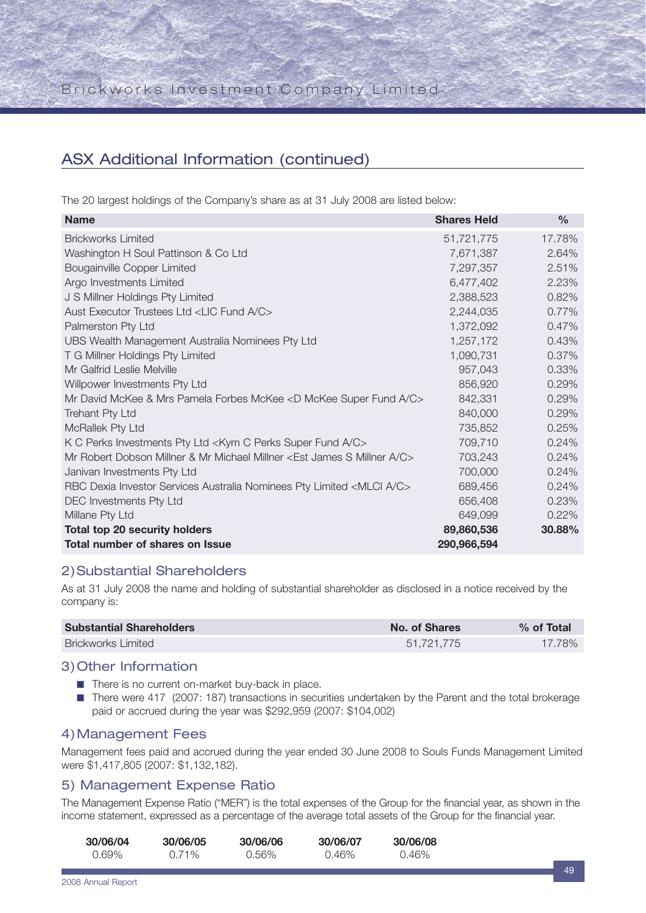## ASX Additional Information (continued)

The 20 largest holdings of the Company's share as at 31 July 2008 are listed below:

| <b>Name</b>                                                                          | <b>Shares Held</b> | $\frac{0}{0}$ |
|--------------------------------------------------------------------------------------|--------------------|---------------|
| <b>Brickworks Limited</b>                                                            | 51,721,775         | 17.78%        |
| Washington H Soul Pattinson & Co Ltd                                                 | 7,671,387          | 2.64%         |
| Bougainville Copper Limited                                                          | 7,297,357          | 2.51%         |
| Argo Investments Limited                                                             | 6,477,402          | 2.23%         |
| J S Millner Holdings Pty Limited                                                     | 2,388,523          | 0.82%         |
| Aust Executor Trustees Ltd <lic a="" c="" fund=""></lic>                             | 2,244,035          | 0.77%         |
| Palmerston Pty Ltd                                                                   | 1,372,092          | 0.47%         |
| UBS Wealth Management Australia Nominees Pty Ltd                                     | 1,257,172          | 0.43%         |
| T G Millner Holdings Pty Limited                                                     | 1,090,731          | 0.37%         |
| Mr Galfrid Leslie Melville                                                           | 957,043            | 0.33%         |
| Willpower Investments Pty Ltd                                                        | 856,920            | 0.29%         |
| Mr David McKee & Mrs Pamela Forbes McKee <d a="" c="" fund="" mckee="" super=""></d> | 842,331            | 0.29%         |
| Trehant Pty Ltd                                                                      | 840,000            | 0.29%         |
| McRallek Pty Ltd                                                                     | 735,852            | 0.25%         |
| K C Perks Investments Pty Ltd <kym a="" c="" fund="" perks="" super=""></kym>        | 709,710            | 0.24%         |
| Mr Robert Dobson Millner & Mr Michael Millner < Est James S Millner A/C>             | 703,243            | 0.24%         |
| Janivan Investments Pty Ltd                                                          | 700,000            | 0.24%         |
| RBC Dexia Investor Services Australia Nominees Pty Limited <mlci a="" c=""></mlci>   | 689,456            | 0.24%         |
| DEC Investments Pty Ltd                                                              | 656,408            | 0.23%         |
| Millane Pty Ltd                                                                      | 649,099            | 0.22%         |
| <b>Total top 20 security holders</b>                                                 | 89,860,536         | 30.88%        |
| Total number of shares on Issue                                                      | 290,966,594        |               |

### 2)Substantial Shareholders

As at 31 July 2008 the name and holding of substantial shareholder as disclosed in a notice received by the company is:

| <b>Substantial Shareholders</b> | No. of Shares | $%$ of Total |
|---------------------------------|---------------|--------------|
| <b>Brickworks Limited</b>       | 51.721.775    | 17.78%       |

### 3)Other Information

- There is no current on-market buy-back in place.
- There were 417 (2007: 187) transactions in securities undertaken by the Parent and the total brokerage paid or accrued during the year was \$292,959 (2007: \$104,002)

### 4)Management Fees

Management fees paid and accrued during the year ended 30 June 2008 to Souls Funds Management Limited were \$1,417,805 (2007: \$1,132,182).

### 5) Management Expense Ratio

The Management Expense Ratio ("MER") is the total expenses of the Group for the financial year, as shown in the income statement, expressed as a percentage of the average total assets of the Group for the financial year.

| 30/06/04 | 30/06/05 | 30/06/06 | 30/06/07 | 30/06/08 |
|----------|----------|----------|----------|----------|
| 0.69%    | 0.71%    | 0.56%    | 0.46%    | $0.46\%$ |